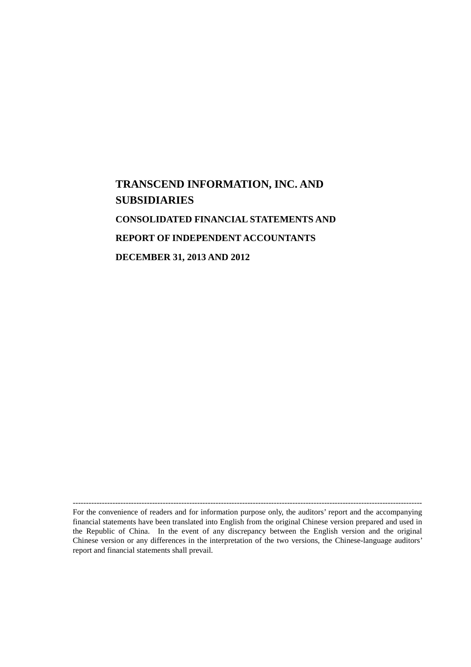# **TRANSCEND INFORMATION, INC. AND SUBSIDIARIES CONSOLIDATED FINANCIAL STATEMENTS AND REPORT OF INDEPENDENT ACCOUNTANTS DECEMBER 31, 2013 AND 2012**

------------------------------------------------------------------------------------------------------------------------------------

For the convenience of readers and for information purpose only, the auditors' report and the accompanying financial statements have been translated into English from the original Chinese version prepared and used in the Republic of China. In the event of any discrepancy between the English version and the original Chinese version or any differences in the interpretation of the two versions, the Chinese-language auditors' report and financial statements shall prevail.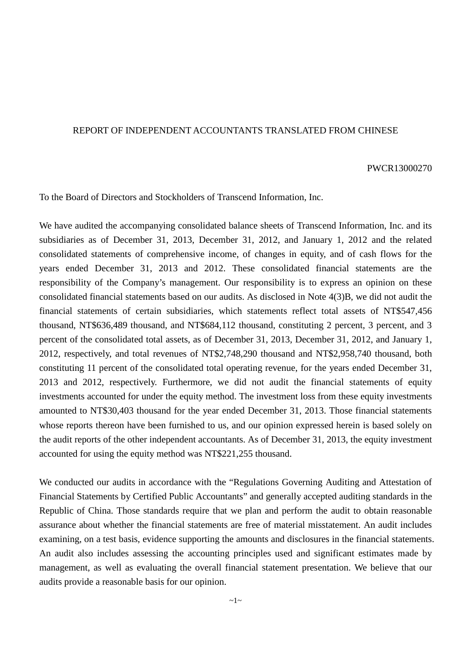### REPORT OF INDEPENDENT ACCOUNTANTS TRANSLATED FROM CHINESE

#### PWCR13000270

To the Board of Directors and Stockholders of Transcend Information, Inc.

We have audited the accompanying consolidated balance sheets of Transcend Information, Inc. and its subsidiaries as of December 31, 2013, December 31, 2012, and January 1, 2012 and the related consolidated statements of comprehensive income, of changes in equity, and of cash flows for the years ended December 31, 2013 and 2012. These consolidated financial statements are the responsibility of the Company's management. Our responsibility is to express an opinion on these consolidated financial statements based on our audits. As disclosed in Note 4(3)B, we did not audit the financial statements of certain subsidiaries, which statements reflect total assets of NT\$547,456 thousand, NT\$636,489 thousand, and NT\$684,112 thousand, constituting 2 percent, 3 percent, and 3 percent of the consolidated total assets, as of December 31, 2013, December 31, 2012, and January 1, 2012, respectively, and total revenues of NT\$2,748,290 thousand and NT\$2,958,740 thousand, both constituting 11 percent of the consolidated total operating revenue, for the years ended December 31, 2013 and 2012, respectively. Furthermore, we did not audit the financial statements of equity investments accounted for under the equity method. The investment loss from these equity investments amounted to NT\$30,403 thousand for the year ended December 31, 2013. Those financial statements whose reports thereon have been furnished to us, and our opinion expressed herein is based solely on the audit reports of the other independent accountants. As of December 31, 2013, the equity investment accounted for using the equity method was NT\$221,255 thousand.

We conducted our audits in accordance with the "Regulations Governing Auditing and Attestation of Financial Statements by Certified Public Accountants" and generally accepted auditing standards in the Republic of China. Those standards require that we plan and perform the audit to obtain reasonable assurance about whether the financial statements are free of material misstatement. An audit includes examining, on a test basis, evidence supporting the amounts and disclosures in the financial statements. An audit also includes assessing the accounting principles used and significant estimates made by management, as well as evaluating the overall financial statement presentation. We believe that our audits provide a reasonable basis for our opinion.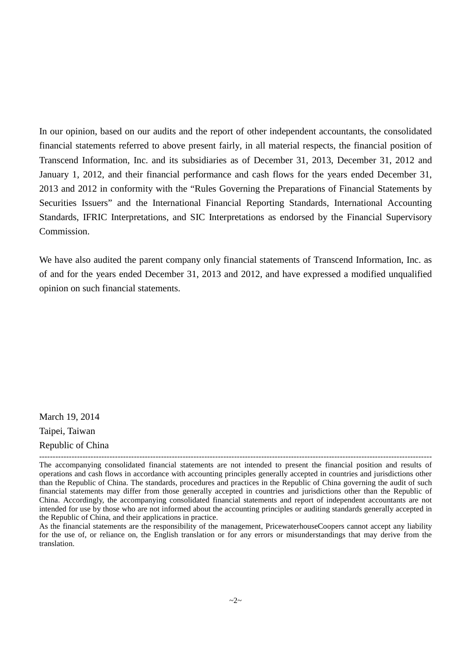In our opinion, based on our audits and the report of other independent accountants, the consolidated financial statements referred to above present fairly, in all material respects, the financial position of Transcend Information, Inc. and its subsidiaries as of December 31, 2013, December 31, 2012 and January 1, 2012, and their financial performance and cash flows for the years ended December 31, 2013 and 2012 in conformity with the "Rules Governing the Preparations of Financial Statements by Securities Issuers" and the International Financial Reporting Standards, International Accounting Standards, IFRIC Interpretations, and SIC Interpretations as endorsed by the Financial Supervisory Commission.

We have also audited the parent company only financial statements of Transcend Information, Inc. as of and for the years ended December 31, 2013 and 2012, and have expressed a modified unqualified opinion on such financial statements.

March 19, 2014 Taipei, Taiwan

Republic of China -------------------------------------------------------------------------------------------------------------------------------------------------

The accompanying consolidated financial statements are not intended to present the financial position and results of operations and cash flows in accordance with accounting principles generally accepted in countries and jurisdictions other than the Republic of China. The standards, procedures and practices in the Republic of China governing the audit of such financial statements may differ from those generally accepted in countries and jurisdictions other than the Republic of China. Accordingly, the accompanying consolidated financial statements and report of independent accountants are not intended for use by those who are not informed about the accounting principles or auditing standards generally accepted in the Republic of China, and their applications in practice.

As the financial statements are the responsibility of the management, PricewaterhouseCoopers cannot accept any liability for the use of, or reliance on, the English translation or for any errors or misunderstandings that may derive from the translation.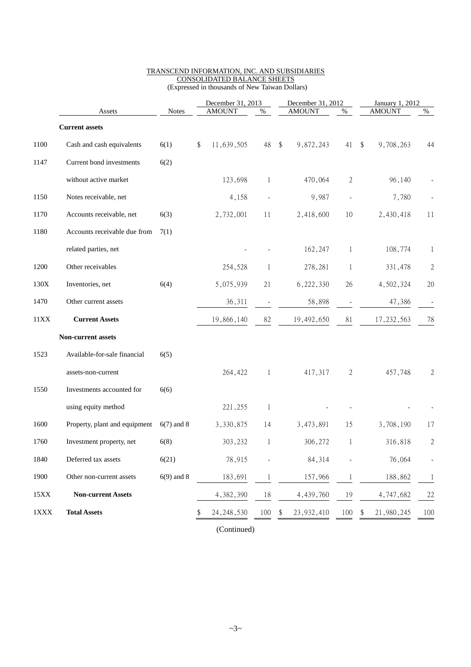|      |                               |              | December 31, 2013 |               |              | December 31, 2012 |               |                          | January 1, 2012 |               |                |
|------|-------------------------------|--------------|-------------------|---------------|--------------|-------------------|---------------|--------------------------|-----------------|---------------|----------------|
|      | Assets                        | <b>Notes</b> |                   | <b>AMOUNT</b> | %            |                   | <b>AMOUNT</b> | %                        |                 | <b>AMOUNT</b> | %              |
|      | <b>Current assets</b>         |              |                   |               |              |                   |               |                          |                 |               |                |
| 1100 | Cash and cash equivalents     | 6(1)         | \$                | 11,639,505    | 48           | - \$              | 9,872,243     | 41                       | $\$\$           | 9,708,263     | 44             |
| 1147 | Current bond investments      | 6(2)         |                   |               |              |                   |               |                          |                 |               |                |
|      | without active market         |              |                   | 123,698       | 1            |                   | 470,064       | 2                        |                 | 96,140        |                |
| 1150 | Notes receivable, net         |              |                   | 4,158         |              |                   | 9,987         | $\overline{\phantom{a}}$ |                 | 7,780         |                |
| 1170 | Accounts receivable, net      | 6(3)         |                   | 2,732,001     | 11           |                   | 2,418,600     | 10                       |                 | 2,430,418     | 11             |
| 1180 | Accounts receivable due from  | 7(1)         |                   |               |              |                   |               |                          |                 |               |                |
|      | related parties, net          |              |                   |               |              |                   | 162,247       | 1                        |                 | 108,774       | 1              |
| 1200 | Other receivables             |              |                   | 254,528       | 1            |                   | 278,281       | $\mathbf{1}$             |                 | 331,478       | $\sqrt{2}$     |
| 130X | Inventories, net              | 6(4)         |                   | 5,075,939     | 21           |                   | 6,222,330     | 26                       |                 | 4,502,324     | 20             |
| 1470 | Other current assets          |              |                   | 36,311        |              |                   | 58,898        |                          |                 | 47,386        |                |
| 11XX | <b>Current Assets</b>         |              |                   | 19,866,140    | 82           |                   | 19,492,650    | 81                       |                 | 17, 232, 563  | 78             |
|      | Non-current assets            |              |                   |               |              |                   |               |                          |                 |               |                |
| 1523 | Available-for-sale financial  | 6(5)         |                   |               |              |                   |               |                          |                 |               |                |
|      | assets-non-current            |              |                   | 264,422       | $\mathbf{1}$ |                   | 417,317       | $\overline{2}$           |                 | 457,748       | 2              |
| 1550 | Investments accounted for     | 6(6)         |                   |               |              |                   |               |                          |                 |               |                |
|      | using equity method           |              |                   | 221,255       | $\mathbf{1}$ |                   |               |                          |                 |               |                |
| 1600 | Property, plant and equipment | $6(7)$ and 8 |                   | 3,330,875     | 14           |                   | 3,473,891     | 15                       |                 | 3,708,190     | 17             |
| 1760 | Investment property, net      | 6(8)         |                   | 303,232       | 1            |                   | 306,272       | 1                        |                 | 316,818       | $\overline{2}$ |
| 1840 | Deferred tax assets           | 6(21)        |                   | 78,915        |              |                   | 84,314        |                          |                 | 76,064        | $\overline{a}$ |
| 1900 | Other non-current assets      | $6(9)$ and 8 |                   | 183,691       | 1            |                   | 157,966       | $\perp$                  |                 | 188,862       | 1              |
| 15XX | <b>Non-current Assets</b>     |              |                   | 4,382,390     | $18\,$       |                   | 4,439,760     | 19                       |                 | 4,747,682     | 22             |
| 1XXX | <b>Total Assets</b>           |              | \$                | 24, 248, 530  | 100          | \$                | 23, 932, 410  | 100                      | \$              | 21,980,245    | 100            |

#### TRANSCEND INFORMATION, INC. AND SUBSIDIARIES CONSOLIDATED BALANCE SHEETS (Expressed in thousands of New Taiwan Dollars)

(Continued)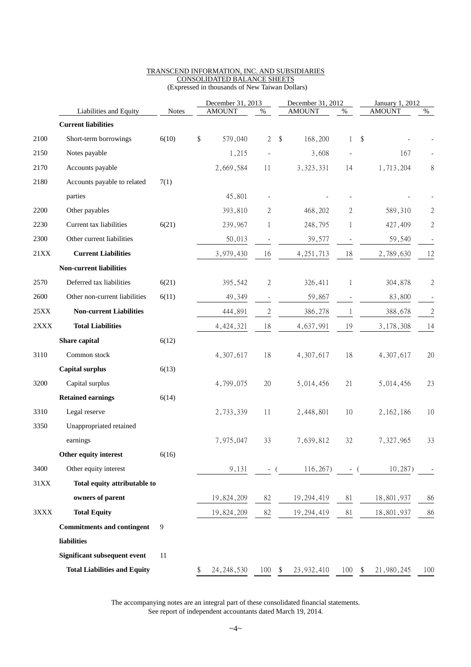|                 |                                     |              | December 31, 2013  |                          | December 31, 2012 |                          |                            | January 1, 2012 |                |
|-----------------|-------------------------------------|--------------|--------------------|--------------------------|-------------------|--------------------------|----------------------------|-----------------|----------------|
|                 | Liabilities and Equity              | <b>Notes</b> | <b>AMOUNT</b>      | $\%$                     | <b>AMOUNT</b>     | $\%$                     |                            | <b>AMOUNT</b>   | $\%$           |
|                 | <b>Current liabilities</b>          |              |                    |                          |                   |                          |                            |                 |                |
| 2100            | Short-term borrowings               | 6(10)        | \$<br>579,040      | $\overline{2}$           | \$<br>168,200     | $\mathbf{1}$             | $\boldsymbol{\mathsf{\$}}$ |                 |                |
| 2150            | Notes payable                       |              | 1,215              |                          | 3,608             |                          |                            | 167             |                |
| 2170            | Accounts payable                    |              | 2,669,584          | 11                       | 3, 323, 331       | 14                       |                            | 1,713,204       | 8              |
| 2180            | Accounts payable to related         | 7(1)         |                    |                          |                   |                          |                            |                 |                |
|                 | parties                             |              | 45,801             |                          |                   |                          |                            |                 |                |
| 2200            | Other payables                      |              | 393,810            | 2                        | 468,202           | $\mathbf{2}$             |                            | 589,310         | $\overline{c}$ |
| 2230            | Current tax liabilities             | 6(21)        | 239,967            | 1                        | 248,795           | 1                        |                            | 427,409         | $\overline{c}$ |
| 2300            | Other current liabilities           |              | 50,013             | $\overline{\phantom{m}}$ | 39,577            | $\overline{\phantom{a}}$ |                            | 59,540          |                |
| 21XX            | <b>Current Liabilities</b>          |              | 3,979,430          | 16                       | 4, 251, 713       | 18                       |                            | 2,789,630       | 12             |
|                 | <b>Non-current liabilities</b>      |              |                    |                          |                   |                          |                            |                 |                |
| 2570            | Deferred tax liabilities            | 6(21)        | 395,542            | 2                        | 326,411           | 1                        |                            | 304,878         | $\mathbf{c}$   |
| 2600            | Other non-current liabilities       | 6(11)        | 49,349             | $\overline{\phantom{a}}$ | 59,867            | $\overline{\phantom{a}}$ |                            | 83,800          |                |
| $25XX$          | <b>Non-current Liabilities</b>      |              | 444,891            | $\sqrt{2}$               | 386,278           | $\mathbf{1}$             |                            | 388,678         | $\overline{c}$ |
| $2\mathbf{XXX}$ | <b>Total Liabilities</b>            |              | 4, 424, 321        | 18                       | 4,637,991         | 19                       |                            | 3,178,308       | 14             |
|                 | Share capital                       | 6(12)        |                    |                          |                   |                          |                            |                 |                |
| 3110            | Common stock                        |              | 4,307,617          | 18                       | 4,307,617         | 18                       |                            | 4,307,617       | 20             |
|                 | <b>Capital surplus</b>              | 6(13)        |                    |                          |                   |                          |                            |                 |                |
| 3200            | Capital surplus                     |              | 4,799,075          | $20\,$                   | 5,014,456         | 21                       |                            | 5,014,456       | 23             |
|                 | <b>Retained earnings</b>            | 6(14)        |                    |                          |                   |                          |                            |                 |                |
| 3310            | Legal reserve                       |              | 2,733,339          | 11                       | 2,448,801         | 10                       |                            | 2, 162, 186     | 10             |
| 3350            | Unappropriated retained             |              |                    |                          |                   |                          |                            |                 |                |
|                 | earnings                            |              | 7,975,047          | 33                       | 7,639,812         | 32                       |                            | 7,327,965       | 33             |
|                 | Other equity interest               | 6(16)        |                    |                          |                   |                          |                            |                 |                |
| 3400            | Other equity interest               |              | 9,131              |                          | 116,267           | - (                      |                            | 10,287          |                |
| 31XX            | Total equity attributable to        |              |                    |                          |                   |                          |                            |                 |                |
|                 | owners of parent                    |              | 19,824,209         | 82                       | 19,294,419        | 81                       |                            | 18,801,937      | 86             |
| 3XXX            | <b>Total Equity</b>                 |              | 19,824,209         | 82                       | 19,294,419        | 81                       |                            | 18,801,937      | 86             |
|                 | <b>Commitments and contingent</b>   | 9            |                    |                          |                   |                          |                            |                 |                |
|                 | liabilities                         |              |                    |                          |                   |                          |                            |                 |                |
|                 | <b>Significant subsequent event</b> | 11           |                    |                          |                   |                          |                            |                 |                |
|                 | <b>Total Liabilities and Equity</b> |              | \$<br>24, 248, 530 | $100 - $$                | 23,932,410        | 100                      | \$                         | 21,980,245      | 100            |

#### TRANSCEND INFORMATION, INC. AND SUBSIDIARIES CONSOLIDATED BALANCE SHEETS (Expressed in thousands of New Taiwan Dollars)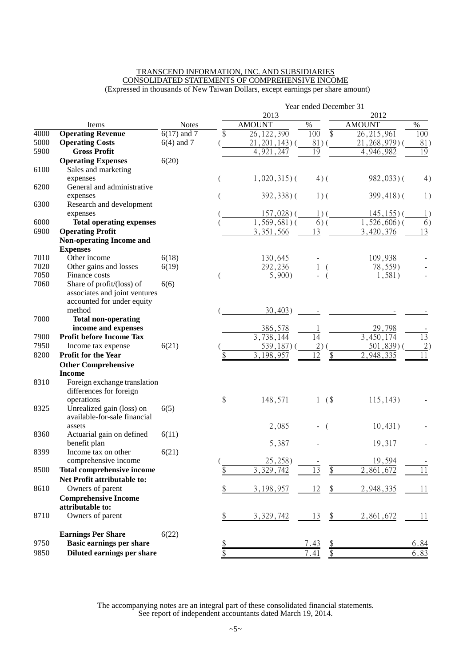#### TRANSCEND INFORMATION, INC. AND SUBSIDIARIES CONSOLIDATED STATEMENTS OF COMPREHENSIVE INCOME (Expressed in thousands of New Taiwan Dollars, except earnings per share amount)

|      |                                                           |               | Year ended December 31<br>2012 |                    |                        |                 |                 |  |  |  |  |
|------|-----------------------------------------------------------|---------------|--------------------------------|--------------------|------------------------|-----------------|-----------------|--|--|--|--|
|      |                                                           |               |                                | 2013               |                        |                 |                 |  |  |  |  |
|      | Items                                                     | <b>Notes</b>  |                                | <b>AMOUNT</b>      | $\%$                   | <b>AMOUNT</b>   | $\%$            |  |  |  |  |
| 4000 | <b>Operating Revenue</b>                                  | $6(17)$ and 7 | \$                             | 26, 122, 390       | 100<br>\$              | 26, 215, 961    | 100             |  |  |  |  |
| 5000 | <b>Operating Costs</b>                                    | $6(4)$ and 7  |                                | $21, 201, 143$ ) ( | 81)                    | $21,268,979$ (  | 81)             |  |  |  |  |
| 5900 | <b>Gross Profit</b>                                       |               |                                | 4,921,247          | 19                     | 4,946,982       | 19              |  |  |  |  |
|      | <b>Operating Expenses</b>                                 | 6(20)         |                                |                    |                        |                 |                 |  |  |  |  |
| 6100 | Sales and marketing                                       |               |                                |                    |                        |                 |                 |  |  |  |  |
|      | expenses                                                  |               |                                | $1,020,315$ ) (    | $4)$ (                 | $982,033$ )(    | 4)              |  |  |  |  |
| 6200 | General and administrative                                |               |                                |                    |                        |                 |                 |  |  |  |  |
|      | expenses                                                  |               |                                | $392,338$ ) (      | $1)$ (                 | $399,418$ ) (   | 1)              |  |  |  |  |
| 6300 | Research and development                                  |               |                                |                    |                        |                 |                 |  |  |  |  |
|      | expenses                                                  |               |                                | $157,028$ ) (      | $1)$ (                 | $145, 155$ ) (  | 1)              |  |  |  |  |
| 6000 | <b>Total operating expenses</b>                           |               |                                | $, 569, 681)$ (    | 6)                     | $, 526, 606)$ ( | $\overline{6}$  |  |  |  |  |
| 6900 | <b>Operating Profit</b>                                   |               |                                | 3,351,566          | 13                     | 3,420,376       | $\overline{13}$ |  |  |  |  |
|      | <b>Non-operating Income and</b><br><b>Expenses</b>        |               |                                |                    |                        |                 |                 |  |  |  |  |
| 7010 | Other income                                              | 6(18)         |                                | 130,645            |                        | 109,938         |                 |  |  |  |  |
| 7020 | Other gains and losses                                    | 6(19)         |                                | 292,236            |                        | 78,559)         |                 |  |  |  |  |
| 7050 | Finance costs                                             |               |                                | 5,900              | $\overline{ }$         | 1,581)          |                 |  |  |  |  |
| 7060 | Share of profit/(loss) of                                 | 6(6)          |                                |                    |                        |                 |                 |  |  |  |  |
|      | associates and joint ventures                             |               |                                |                    |                        |                 |                 |  |  |  |  |
|      | accounted for under equity                                |               |                                |                    |                        |                 |                 |  |  |  |  |
|      | method                                                    |               |                                | 30,403)            |                        |                 |                 |  |  |  |  |
| 7000 | <b>Total non-operating</b>                                |               |                                |                    |                        |                 |                 |  |  |  |  |
|      | income and expenses                                       |               |                                | 386,578            |                        | 29,798          |                 |  |  |  |  |
| 7900 | <b>Profit before Income Tax</b>                           |               |                                | 3,738,144          | 14                     | 3,450,174       | $\overline{13}$ |  |  |  |  |
| 7950 | Income tax expense                                        | 6(21)         |                                | 539, 187) (        | 2)                     | $501,839$ ) (   | $\overline{2})$ |  |  |  |  |
| 8200 | <b>Profit for the Year</b>                                |               |                                | 3,198,957          | 12                     | 2,948,335       | 11              |  |  |  |  |
|      | <b>Other Comprehensive</b>                                |               |                                |                    |                        |                 |                 |  |  |  |  |
|      | <b>Income</b>                                             |               |                                |                    |                        |                 |                 |  |  |  |  |
| 8310 | Foreign exchange translation                              |               |                                |                    |                        |                 |                 |  |  |  |  |
|      | differences for foreign                                   |               |                                |                    |                        |                 |                 |  |  |  |  |
|      | operations                                                |               | \$                             | 148,571            | $($ \$<br>$\mathbf{1}$ | 115, 143)       |                 |  |  |  |  |
| 8325 | Unrealized gain (loss) on<br>available-for-sale financial | 6(5)          |                                |                    |                        |                 |                 |  |  |  |  |
|      | assets                                                    |               |                                | 2,085              |                        | 10,431)         |                 |  |  |  |  |
| 8360 | Actuarial gain on defined                                 | 6(11)         |                                |                    | $\left($               |                 |                 |  |  |  |  |
|      | benefit plan                                              |               |                                | 5,387              |                        | 19,317          |                 |  |  |  |  |
| 8399 | Income tax on other                                       | 6(21)         |                                |                    |                        |                 |                 |  |  |  |  |
|      | comprehensive income                                      |               |                                | 25,258             |                        | 19,594          |                 |  |  |  |  |
| 8500 | <b>Total comprehensive income</b>                         |               |                                | 3,329,742          | $\overline{13}$<br>\$  | 2,861,672       | 11              |  |  |  |  |
|      | Net Profit attributable to:                               |               |                                |                    |                        |                 |                 |  |  |  |  |
| 8610 | Owners of parent                                          |               | \$                             | 3,198,957          | 12<br>\$               | 2,948,335       | 11              |  |  |  |  |
|      | <b>Comprehensive Income</b>                               |               |                                |                    |                        |                 |                 |  |  |  |  |
|      | attributable to:                                          |               |                                |                    |                        |                 |                 |  |  |  |  |
| 8710 | Owners of parent                                          |               | \$                             | 3,329,742          | $\frac{\$}{}$<br>13    | 2,861,672       | 11              |  |  |  |  |
|      |                                                           |               |                                |                    |                        |                 |                 |  |  |  |  |
|      | <b>Earnings Per Share</b>                                 | 6(22)         |                                |                    |                        |                 |                 |  |  |  |  |
| 9750 | Basic earnings per share                                  |               |                                |                    | 7.43                   |                 | 6.84            |  |  |  |  |
| 9850 | Diluted earnings per share                                |               |                                |                    | 7.41                   |                 | 6.83            |  |  |  |  |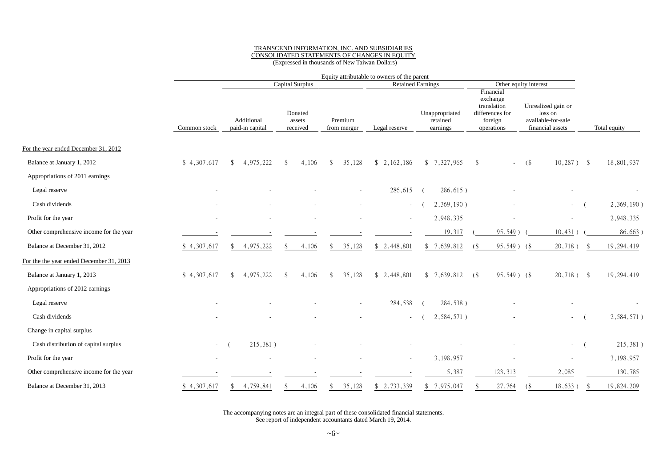#### TRANSCEND INFORMATION, INC. AND SUBSIDIARIES CONSOLIDATED STATEMENTS OF CHANGES IN EQUITY (Expressed in thousands of New Taiwan Dollars)

|                                          |              | Equity attributable to owners of the parent |                               |     |                               |              |                          |                          |  |                                        |    |                                                                                  |        |                                                                         |              |
|------------------------------------------|--------------|---------------------------------------------|-------------------------------|-----|-------------------------------|--------------|--------------------------|--------------------------|--|----------------------------------------|----|----------------------------------------------------------------------------------|--------|-------------------------------------------------------------------------|--------------|
|                                          |              |                                             |                               |     | Capital Surplus               |              |                          | <b>Retained Earnings</b> |  | Other equity interest                  |    |                                                                                  |        |                                                                         |              |
|                                          | Common stock |                                             | Additional<br>paid-in capital |     | Donated<br>assets<br>received |              | Premium<br>from merger   | Legal reserve            |  | Unappropriated<br>retained<br>earnings |    | Financial<br>exchange<br>translation<br>differences for<br>foreign<br>operations |        | Unrealized gain or<br>loss on<br>available-for-sale<br>financial assets | Total equity |
| For the year ended December 31, 2012     |              |                                             |                               |     |                               |              |                          |                          |  |                                        |    |                                                                                  |        |                                                                         |              |
| Balance at January 1, 2012               | \$4,307,617  | \$                                          | 4,975,222                     | \$  | 4,106                         | -\$          | 35,128                   | \$2,162,186              |  | \$7,327,965                            | \$ | $\sim 100$                                                                       | $($ \$ | $10,287$ ) \$                                                           | 18,801,937   |
| Appropriations of 2011 earnings          |              |                                             |                               |     |                               |              |                          |                          |  |                                        |    |                                                                                  |        |                                                                         |              |
| Legal reserve                            |              |                                             |                               |     |                               |              | $\overline{\phantom{a}}$ | 286,615                  |  | $286,615$ )                            |    |                                                                                  |        |                                                                         |              |
| Cash dividends                           |              |                                             |                               |     |                               |              |                          | $\overline{\phantom{a}}$ |  | 2,369,190)                             |    |                                                                                  |        | $\sim$                                                                  | 2,369,190)   |
| Profit for the year                      |              |                                             |                               |     |                               |              |                          | $\overline{\phantom{a}}$ |  | 2,948,335                              |    |                                                                                  |        |                                                                         | 2,948,335    |
| Other comprehensive income for the year  |              |                                             |                               |     |                               |              |                          |                          |  | 19,317                                 |    | 95,549)                                                                          |        | 10,431)                                                                 | 86,663)      |
| Balance at December 31, 2012             | \$4,307,617  |                                             | 4,975,222                     |     | 4,106                         |              | 35,128                   | \$2,448,801              |  | 7,639,812                              | (  | 95,549)                                                                          | $($ \$ | 20,718)                                                                 | 19,294,419   |
| For the the year ended December 31, 2013 |              |                                             |                               |     |                               |              |                          |                          |  |                                        |    |                                                                                  |        |                                                                         |              |
| Balance at January 1, 2013               | \$4,307,617  | \$                                          | 4,975,222                     | \$  | 4,106                         | £.           | 35,128                   | \$2,448,801              |  | \$7,639,812                            | 6  | $95,549$ ) (\$                                                                   |        | $20,718$ ) \$                                                           | 19,294,419   |
| Appropriations of 2012 earnings          |              |                                             |                               |     |                               |              |                          |                          |  |                                        |    |                                                                                  |        |                                                                         |              |
| Legal reserve                            |              |                                             |                               |     |                               |              |                          | 284,538                  |  | 284,538)                               |    |                                                                                  |        |                                                                         |              |
| Cash dividends                           |              |                                             |                               |     |                               |              |                          | ÷.                       |  | 2,584,571)                             |    |                                                                                  |        |                                                                         | 2,584,571)   |
| Change in capital surplus                |              |                                             |                               |     |                               |              |                          |                          |  |                                        |    |                                                                                  |        |                                                                         |              |
| Cash distribution of capital surplus     | $\sim$       |                                             | 215,381)                      |     |                               |              |                          |                          |  |                                        |    |                                                                                  |        | ÷.                                                                      | 215,381)     |
| Profit for the year                      |              |                                             |                               |     |                               |              |                          | $\overline{\phantom{a}}$ |  | 3,198,957                              |    |                                                                                  |        |                                                                         | 3, 198, 957  |
| Other comprehensive income for the year  |              |                                             |                               |     |                               |              |                          |                          |  | 5,387                                  |    | 123,313                                                                          |        | 2,085                                                                   | 130,785      |
| Balance at December 31, 2013             | \$4,307,617  | \$.                                         | 4,759,841                     | \$. | 4,106                         | $\mathbb{S}$ | 35,128                   | \$2,733,339              |  | \$7,975,047                            |    | 27,764                                                                           | (      | 18,633)                                                                 | 19,824,209   |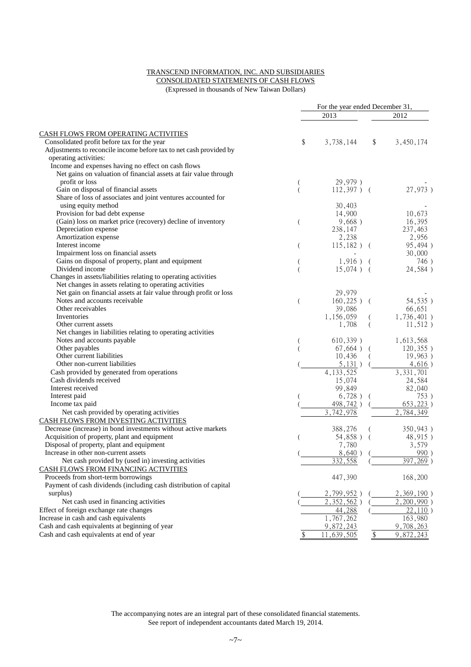#### TRANSCEND INFORMATION, INC. AND SUBSIDIARIES

CONSOLIDATED STATEMENTS OF CASH FLOWS

(Expressed in thousands of New Taiwan Dollars)

|                                                                       |    | For the year ended December 31, |                 |                                       |
|-----------------------------------------------------------------------|----|---------------------------------|-----------------|---------------------------------------|
|                                                                       |    | 2013                            |                 | 2012                                  |
| <b>CASH FLOWS FROM OPERATING ACTIVITIES</b>                           |    |                                 |                 |                                       |
| Consolidated profit before tax for the year                           | \$ | 3,738,144                       | \$              | 3,450,174                             |
| Adjustments to reconcile income before tax to net cash provided by    |    |                                 |                 |                                       |
| operating activities:                                                 |    |                                 |                 |                                       |
| Income and expenses having no effect on cash flows                    |    |                                 |                 |                                       |
| Net gains on valuation of financial assets at fair value through      |    |                                 |                 |                                       |
| profit or loss                                                        |    | 29,979)                         |                 |                                       |
| Gain on disposal of financial assets                                  |    | $112,397$ ) (                   |                 | 27,973)                               |
| Share of loss of associates and joint ventures accounted for          |    |                                 |                 |                                       |
| using equity method                                                   |    | 30,403                          |                 |                                       |
| Provision for bad debt expense                                        |    | 14,900                          |                 | 10,673                                |
| (Gain) loss on market price (recovery) decline of inventory           | (  | 9,668)                          |                 | 16,395                                |
| Depreciation expense                                                  |    | 238,147                         |                 | 237,463                               |
| Amortization expense                                                  |    | 2,238                           |                 | 2,956                                 |
| Interest income                                                       |    | $115,182$ ) (                   |                 | 95,494)                               |
| Impairment loss on financial assets                                   | (  |                                 |                 | 30,000                                |
| Gains on disposal of property, plant and equipment                    |    | $1,916$ )                       |                 | 746)                                  |
| Dividend income                                                       |    | $15,074$ ) (                    |                 | 24,584)                               |
| Changes in assets/liabilities relating to operating activities        |    |                                 |                 |                                       |
| Net changes in assets relating to operating activities                |    |                                 |                 |                                       |
| Net gain on financial assets at fair value through profit or loss     |    | 29,979                          |                 |                                       |
| Notes and accounts receivable                                         | (  | $160,225$ ) (                   |                 | 54,535)                               |
| Other receivables                                                     |    | 39,086                          |                 | 66,651                                |
| Inventories                                                           |    | 1,156,059                       |                 | $1,736,401$ )                         |
| Other current assets                                                  |    | 1,708                           |                 |                                       |
| Net changes in liabilities relating to operating activities           |    |                                 | (               | $11,512$ )                            |
|                                                                       |    |                                 |                 |                                       |
| Notes and accounts payable<br>Other payables                          |    | 610,339)<br>67,664)             |                 | 1,613,568<br>$120,355$ )              |
| Other current liabilities                                             |    |                                 |                 |                                       |
| Other non-current liabilities                                         |    | 10,436                          |                 | 19,963)                               |
|                                                                       |    | 5,131)<br>4, 133, 525           |                 | 4,616)<br>3, 331, 701                 |
| Cash provided by generated from operations<br>Cash dividends received |    |                                 |                 |                                       |
| Interest received                                                     |    | 15,074                          |                 | 24,584                                |
|                                                                       |    | 99,849                          |                 | 82,040                                |
| Interest paid                                                         |    | 6,728)                          |                 | 753)                                  |
| Income tax paid                                                       |    | 498,742)                        |                 | 653,223)<br>$\overline{2}$ , 784, 349 |
| Net cash provided by operating activities                             |    | 742,978                         |                 |                                       |
| <b>CASH FLOWS FROM INVESTING ACTIVITIES</b>                           |    |                                 |                 |                                       |
| Decrease (increase) in bond investments without active markets        |    | 388,276                         |                 | 350,943)                              |
| Acquisition of property, plant and equipment                          |    | 54,858)                         |                 | 48,915)                               |
| Disposal of property, plant and equipment                             |    | 7,780                           |                 | 3,579                                 |
| Increase in other non-current assets                                  |    | 8,640)                          |                 | 990)                                  |
| Net cash provided by (used in) investing activities                   |    | 332,558                         |                 | 397, 269)                             |
| CASH FLOWS FROM FINANCING ACTIVITIES                                  |    |                                 |                 |                                       |
| Proceeds from short-term borrowings                                   |    | 447,390                         |                 | 168,200                               |
| Payment of cash dividends (including cash distribution of capital     |    |                                 |                 |                                       |
| surplus)                                                              |    | 2,799,952                       |                 | 2,369,190)                            |
| Net cash used in financing activities                                 |    | 2,352,562)                      |                 | 2,200,990                             |
| Effect of foreign exchange rate changes                               |    | 44,288                          |                 | 22,110                                |
| Increase in cash and cash equivalents                                 |    | 1,767,262                       |                 | 163,980                               |
| Cash and cash equivalents at beginning of year                        |    | 9,872,243                       |                 | 9,708,263                             |
| Cash and cash equivalents at end of year                              | \$ | ,639,505<br>11                  | $\overline{\$}$ | 9,872,243                             |
|                                                                       |    |                                 |                 |                                       |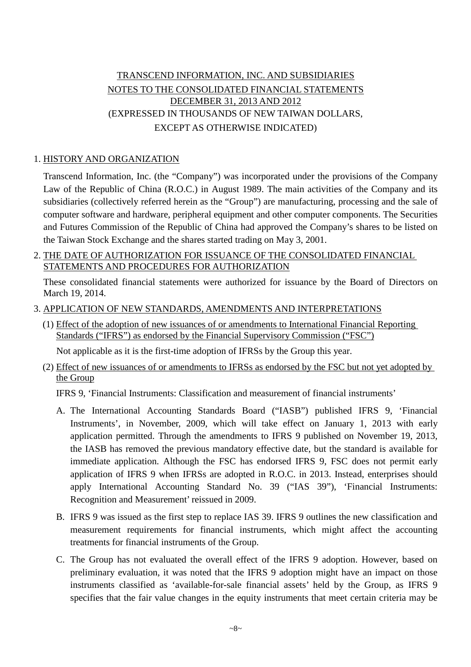## TRANSCEND INFORMATION, INC. AND SUBSIDIARIES NOTES TO THE CONSOLIDATED FINANCIAL STATEMENTS DECEMBER 31, 2013 AND 2012 (EXPRESSED IN THOUSANDS OF NEW TAIWAN DOLLARS, EXCEPT AS OTHERWISE INDICATED)

## 1. HISTORY AND ORGANIZATION

Transcend Information, Inc. (the "Company") was incorporated under the provisions of the Company Law of the Republic of China (R.O.C.) in August 1989. The main activities of the Company and its subsidiaries (collectively referred herein as the "Group") are manufacturing, processing and the sale of computer software and hardware, peripheral equipment and other computer components. The Securities and Futures Commission of the Republic of China had approved the Company's shares to be listed on the Taiwan Stock Exchange and the shares started trading on May 3, 2001.

### 2. THE DATE OF AUTHORIZATION FOR ISSUANCE OF THE CONSOLIDATED FINANCIAL STATEMENTS AND PROCEDURES FOR AUTHORIZATION

These consolidated financial statements were authorized for issuance by the Board of Directors on March 19, 2014.

### 3. APPLICATION OF NEW STANDARDS, AMENDMENTS AND INTERPRETATIONS

(1) Effect of the adoption of new issuances of or amendments to International Financial Reporting Standards ("IFRS") as endorsed by the Financial Supervisory Commission ("FSC")

Not applicable as it is the first-time adoption of IFRSs by the Group this year.

(2) Effect of new issuances of or amendments to IFRSs as endorsed by the FSC but not yet adopted by the Group

IFRS 9, 'Financial Instruments: Classification and measurement of financial instruments'

- A. The International Accounting Standards Board ("IASB") published IFRS 9, 'Financial Instruments', in November, 2009, which will take effect on January 1, 2013 with early application permitted. Through the amendments to IFRS 9 published on November 19, 2013, the IASB has removed the previous mandatory effective date, but the standard is available for immediate application. Although the FSC has endorsed IFRS 9, FSC does not permit early application of IFRS 9 when IFRSs are adopted in R.O.C. in 2013. Instead, enterprises should apply International Accounting Standard No. 39 ("IAS 39"), 'Financial Instruments: Recognition and Measurement' reissued in 2009.
- B. IFRS 9 was issued as the first step to replace IAS 39. IFRS 9 outlines the new classification and measurement requirements for financial instruments, which might affect the accounting treatments for financial instruments of the Group.
- C. The Group has not evaluated the overall effect of the IFRS 9 adoption. However, based on preliminary evaluation, it was noted that the IFRS 9 adoption might have an impact on those instruments classified as 'available-for-sale financial assets' held by the Group, as IFRS 9 specifies that the fair value changes in the equity instruments that meet certain criteria may be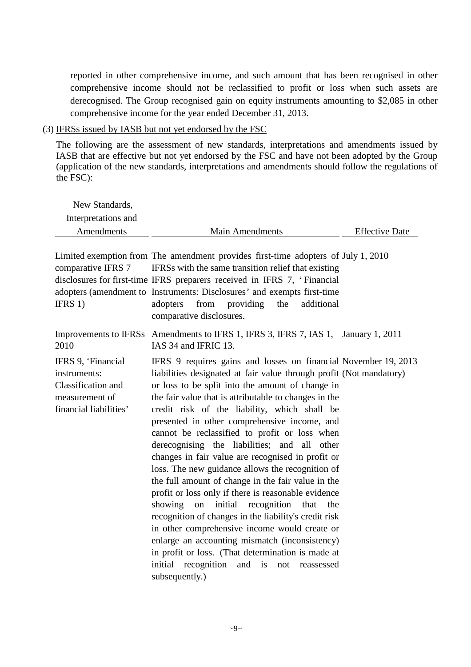reported in other comprehensive income, and such amount that has been recognised in other comprehensive income should not be reclassified to profit or loss when such assets are derecognised. The Group recognised gain on equity instruments amounting to \$2,085 in other comprehensive income for the year ended December 31, 2013.

(3) IFRSs issued by IASB but not yet endorsed by the FSC

The following are the assessment of new standards, interpretations and amendments issued by IASB that are effective but not yet endorsed by the FSC and have not been adopted by the Group (application of the new standards, interpretations and amendments should follow the regulations of the FSC):

| New Standards,<br>Interpretations and                                                                |                                                                                                                                                                                                                                                                                                                                                                                                                                                                                                                                                                                                                                                                                                                                                                                                                                                                                                                                                                                                                            |                       |
|------------------------------------------------------------------------------------------------------|----------------------------------------------------------------------------------------------------------------------------------------------------------------------------------------------------------------------------------------------------------------------------------------------------------------------------------------------------------------------------------------------------------------------------------------------------------------------------------------------------------------------------------------------------------------------------------------------------------------------------------------------------------------------------------------------------------------------------------------------------------------------------------------------------------------------------------------------------------------------------------------------------------------------------------------------------------------------------------------------------------------------------|-----------------------|
| Amendments                                                                                           | <b>Main Amendments</b>                                                                                                                                                                                                                                                                                                                                                                                                                                                                                                                                                                                                                                                                                                                                                                                                                                                                                                                                                                                                     | <b>Effective Date</b> |
| comparative IFRS 7<br>IFRS $1)$                                                                      | Limited exemption from The amendment provides first-time adopters of July 1, 2010<br>IFRSs with the same transition relief that existing<br>disclosures for first-time IFRS preparers received in IFRS 7, 'Financial<br>adopters (amendment to Instruments: Disclosures' and exempts first-time<br>from<br>additional<br>adopters<br>providing<br>the<br>comparative disclosures.                                                                                                                                                                                                                                                                                                                                                                                                                                                                                                                                                                                                                                          |                       |
| 2010                                                                                                 | Improvements to IFRSs Amendments to IFRS 1, IFRS 3, IFRS 7, IAS 1, January 1, 2011<br>IAS 34 and IFRIC 13.                                                                                                                                                                                                                                                                                                                                                                                                                                                                                                                                                                                                                                                                                                                                                                                                                                                                                                                 |                       |
| IFRS 9, 'Financial<br>instruments:<br>Classification and<br>measurement of<br>financial liabilities' | IFRS 9 requires gains and losses on financial November 19, 2013<br>liabilities designated at fair value through profit (Not mandatory)<br>or loss to be split into the amount of change in<br>the fair value that is attributable to changes in the<br>credit risk of the liability, which shall be<br>presented in other comprehensive income, and<br>cannot be reclassified to profit or loss when<br>derecognising the liabilities; and all other<br>changes in fair value are recognised in profit or<br>loss. The new guidance allows the recognition of<br>the full amount of change in the fair value in the<br>profit or loss only if there is reasonable evidence<br>initial<br>recognition that<br>showing<br>on<br>the<br>recognition of changes in the liability's credit risk<br>in other comprehensive income would create or<br>enlarge an accounting mismatch (inconsistency)<br>in profit or loss. (That determination is made at<br>recognition<br>and is not<br>initial<br>reassessed<br>subsequently.) |                       |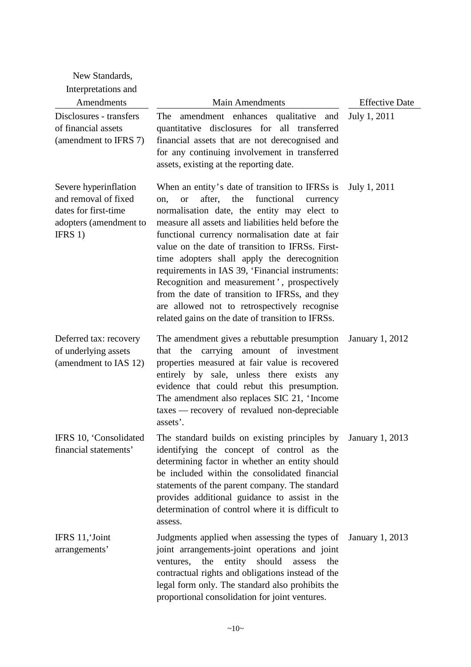| New Standards,<br>Interpretations and                                                                      |                                                                                                                                                                                                                                                                                                                                                                                                                                                                                                                                                                                                                                |                        |
|------------------------------------------------------------------------------------------------------------|--------------------------------------------------------------------------------------------------------------------------------------------------------------------------------------------------------------------------------------------------------------------------------------------------------------------------------------------------------------------------------------------------------------------------------------------------------------------------------------------------------------------------------------------------------------------------------------------------------------------------------|------------------------|
| Amendments                                                                                                 | <b>Main Amendments</b>                                                                                                                                                                                                                                                                                                                                                                                                                                                                                                                                                                                                         | <b>Effective Date</b>  |
| Disclosures - transfers<br>of financial assets<br>(amendment to IFRS 7)                                    | amendment enhances qualitative and<br>The<br>quantitative disclosures for all transferred<br>financial assets that are not derecognised and<br>for any continuing involvement in transferred<br>assets, existing at the reporting date.                                                                                                                                                                                                                                                                                                                                                                                        | July 1, 2011           |
| Severe hyperinflation<br>and removal of fixed<br>dates for first-time<br>adopters (amendment to<br>IFRS 1) | When an entity's date of transition to IFRSs is<br>after, the<br>functional<br><b>or</b><br>currency<br>on,<br>normalisation date, the entity may elect to<br>measure all assets and liabilities held before the<br>functional currency normalisation date at fair<br>value on the date of transition to IFRSs. First-<br>time adopters shall apply the derecognition<br>requirements in IAS 39, 'Financial instruments:<br>Recognition and measurement', prospectively<br>from the date of transition to IFRSs, and they<br>are allowed not to retrospectively recognise<br>related gains on the date of transition to IFRSs. | July 1, 2011           |
| Deferred tax: recovery<br>of underlying assets<br>(amendment to IAS 12)                                    | The amendment gives a rebuttable presumption<br>carrying amount of investment<br>the<br>that<br>properties measured at fair value is recovered<br>entirely by sale, unless there exists any<br>evidence that could rebut this presumption.<br>The amendment also replaces SIC 21, 'Income<br>taxes — recovery of revalued non-depreciable<br>assets'                                                                                                                                                                                                                                                                           | <b>January 1, 2012</b> |
| IFRS 10, 'Consolidated<br>financial statements'                                                            | The standard builds on existing principles by<br>identifying the concept of control as the<br>determining factor in whether an entity should<br>be included within the consolidated financial<br>statements of the parent company. The standard<br>provides additional guidance to assist in the<br>determination of control where it is difficult to<br>assess.                                                                                                                                                                                                                                                               | January 1, 2013        |
| IFRS 11, Joint<br>arrangements'                                                                            | Judgments applied when assessing the types of<br>joint arrangements-joint operations and joint<br>the<br>entity<br>should<br>ventures,<br>assess<br>the<br>contractual rights and obligations instead of the<br>legal form only. The standard also prohibits the<br>proportional consolidation for joint ventures.                                                                                                                                                                                                                                                                                                             | <b>January 1, 2013</b> |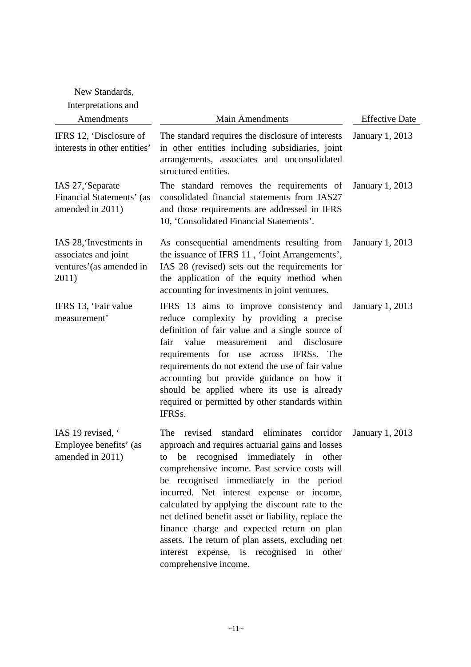| New Standards,                                                                      |                                                                                                                                                                                                                                                                                                                                                                                                                                                                                                                                                                                |                        |
|-------------------------------------------------------------------------------------|--------------------------------------------------------------------------------------------------------------------------------------------------------------------------------------------------------------------------------------------------------------------------------------------------------------------------------------------------------------------------------------------------------------------------------------------------------------------------------------------------------------------------------------------------------------------------------|------------------------|
| Interpretations and<br>Amendments                                                   | <b>Main Amendments</b>                                                                                                                                                                                                                                                                                                                                                                                                                                                                                                                                                         | <b>Effective Date</b>  |
|                                                                                     |                                                                                                                                                                                                                                                                                                                                                                                                                                                                                                                                                                                |                        |
| IFRS 12, 'Disclosure of<br>interests in other entities'                             | The standard requires the disclosure of interests<br>in other entities including subsidiaries, joint<br>arrangements, associates and unconsolidated<br>structured entities.                                                                                                                                                                                                                                                                                                                                                                                                    | January 1, 2013        |
| IAS 27, Separate<br>Financial Statements' (as<br>amended in 2011)                   | The standard removes the requirements of<br>consolidated financial statements from IAS27<br>and those requirements are addressed in IFRS<br>10, 'Consolidated Financial Statements'.                                                                                                                                                                                                                                                                                                                                                                                           | <b>January 1, 2013</b> |
| IAS 28, Investments in<br>associates and joint<br>ventures' (as amended in<br>2011) | As consequential amendments resulting from<br>the issuance of IFRS 11, 'Joint Arrangements',<br>IAS 28 (revised) sets out the requirements for<br>the application of the equity method when<br>accounting for investments in joint ventures.                                                                                                                                                                                                                                                                                                                                   | January 1, 2013        |
| IFRS 13, 'Fair value<br>measurement'                                                | IFRS 13 aims to improve consistency and<br>reduce complexity by providing a precise<br>definition of fair value and a single source of<br>fair<br>and<br>value<br>measurement<br>disclosure<br>requirements for use across IFRSs. The<br>requirements do not extend the use of fair value<br>accounting but provide guidance on how it<br>should be applied where its use is already<br>required or permitted by other standards within<br>IFRS <sub>s</sub> .                                                                                                                 | <b>January 1, 2013</b> |
| IAS 19 revised, '<br>Employee benefits' (as<br>amended in 2011)                     | revised standard<br>eliminates<br>The<br>corridor<br>approach and requires actuarial gains and losses<br>recognised immediately in other<br>be<br>to<br>comprehensive income. Past service costs will<br>be recognised immediately in the period<br>incurred. Net interest expense or income,<br>calculated by applying the discount rate to the<br>net defined benefit asset or liability, replace the<br>finance charge and expected return on plan<br>assets. The return of plan assets, excluding net<br>interest expense, is recognised in other<br>comprehensive income. | <b>January 1, 2013</b> |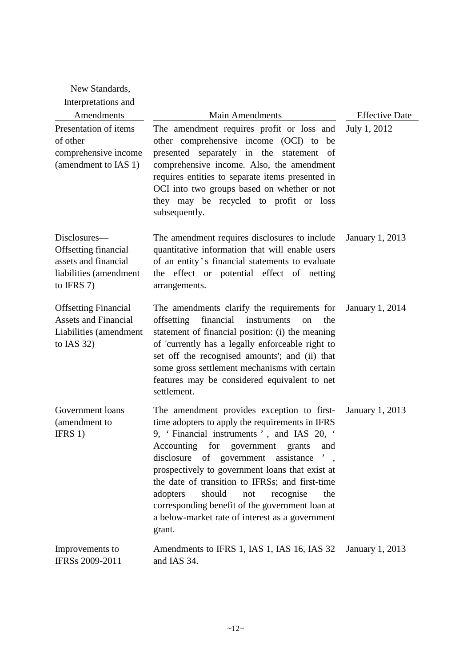| New Standards,                                                                                              |                                                                                                                                                                                                                                                                                                                                                                                                                                                                                                              |                        |
|-------------------------------------------------------------------------------------------------------------|--------------------------------------------------------------------------------------------------------------------------------------------------------------------------------------------------------------------------------------------------------------------------------------------------------------------------------------------------------------------------------------------------------------------------------------------------------------------------------------------------------------|------------------------|
| Interpretations and                                                                                         |                                                                                                                                                                                                                                                                                                                                                                                                                                                                                                              |                        |
| Amendments                                                                                                  | <b>Main Amendments</b>                                                                                                                                                                                                                                                                                                                                                                                                                                                                                       | <b>Effective Date</b>  |
| Presentation of items<br>of other<br>comprehensive income<br>(amendment to IAS 1)                           | The amendment requires profit or loss and<br>other comprehensive income (OCI) to be<br>presented separately in the statement of<br>comprehensive income. Also, the amendment<br>requires entities to separate items presented in<br>OCI into two groups based on whether or not<br>they may be recycled to profit or loss<br>subsequently.                                                                                                                                                                   | July 1, 2012           |
| Disclosures—<br><b>Offsetting financial</b><br>assets and financial<br>liabilities (amendment<br>to IFRS 7) | The amendment requires disclosures to include<br>quantitative information that will enable users<br>of an entity's financial statements to evaluate<br>the effect or potential effect of netting<br>arrangements.                                                                                                                                                                                                                                                                                            | January 1, 2013        |
| <b>Offsetting Financial</b><br><b>Assets and Financial</b><br>Liabilities (amendment<br>to IAS $32)$        | The amendments clarify the requirements for<br>financial<br>offsetting<br>instruments<br>the<br>on<br>statement of financial position: (i) the meaning<br>of 'currently has a legally enforceable right to<br>set off the recognised amounts'; and (ii) that<br>some gross settlement mechanisms with certain<br>features may be considered equivalent to net<br>settlement.                                                                                                                                 | January 1, 2014        |
| Government loans<br>(amendment to<br>IFRS 1)                                                                | The amendment provides exception to first-<br>time adopters to apply the requirements in IFRS<br>9, 'Financial instruments', and IAS 20, '<br>Accounting for government<br>and<br>grants<br>disclosure of government<br>assistance ',<br>prospectively to government loans that exist at<br>the date of transition to IFRSs; and first-time<br>adopters<br>should<br>recognise<br>not<br>the<br>corresponding benefit of the government loan at<br>a below-market rate of interest as a government<br>grant. | <b>January 1, 2013</b> |
| Improvements to<br>IFRSs 2009-2011                                                                          | Amendments to IFRS 1, IAS 1, IAS 16, IAS 32<br>and IAS 34.                                                                                                                                                                                                                                                                                                                                                                                                                                                   | January 1, 2013        |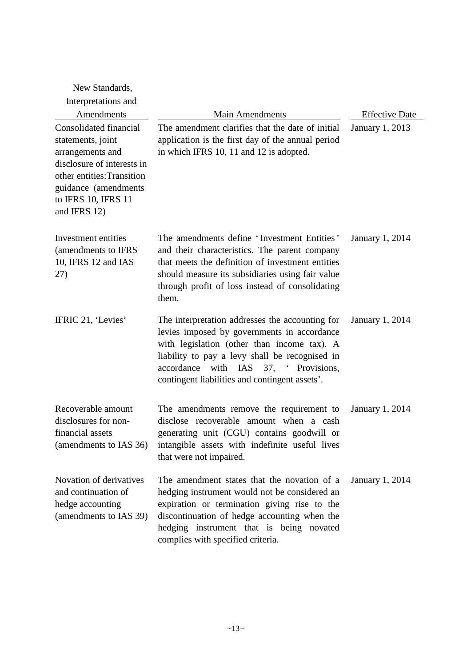| New Standards,                                                                                                                                                                             |                                                                                                                                                                                                                                                                                               |                        |
|--------------------------------------------------------------------------------------------------------------------------------------------------------------------------------------------|-----------------------------------------------------------------------------------------------------------------------------------------------------------------------------------------------------------------------------------------------------------------------------------------------|------------------------|
| Interpretations and                                                                                                                                                                        |                                                                                                                                                                                                                                                                                               |                        |
| Amendments                                                                                                                                                                                 | <b>Main Amendments</b>                                                                                                                                                                                                                                                                        | <b>Effective Date</b>  |
| Consolidated financial<br>statements, joint<br>arrangements and<br>disclosure of interests in<br>other entities: Transition<br>guidance (amendments<br>to IFRS 10, IFRS 11<br>and IFRS 12) | The amendment clarifies that the date of initial<br>application is the first day of the annual period<br>in which IFRS 10, 11 and 12 is adopted.                                                                                                                                              | <b>January 1, 2013</b> |
| Investment entities<br>(amendments to IFRS<br>10, IFRS 12 and IAS<br>27)                                                                                                                   | The amendments define 'Investment Entities'<br>and their characteristics. The parent company<br>that meets the definition of investment entities<br>should measure its subsidiaries using fair value<br>through profit of loss instead of consolidating<br>them.                              | <b>January 1, 2014</b> |
| IFRIC 21, 'Levies'                                                                                                                                                                         | The interpretation addresses the accounting for<br>levies imposed by governments in accordance<br>with legislation (other than income tax). A<br>liability to pay a levy shall be recognised in<br>with IAS 37, ' Provisions,<br>accordance<br>contingent liabilities and contingent assets'. | <b>January 1, 2014</b> |
| Recoverable amount<br>disclosures for non-<br>financial assets<br>(amendments to IAS 36)                                                                                                   | The amendments remove the requirement to<br>disclose recoverable amount when a cash<br>generating unit (CGU) contains goodwill or<br>intangible assets with indefinite useful lives<br>that were not impaired.                                                                                | <b>January 1, 2014</b> |
| Novation of derivatives<br>and continuation of<br>hedge accounting<br>(amendments to IAS 39)                                                                                               | The amendment states that the novation of a<br>hedging instrument would not be considered an<br>expiration or termination giving rise to the<br>discontinuation of hedge accounting when the<br>hedging instrument that is being novated<br>complies with specified criteria.                 | January 1, 2014        |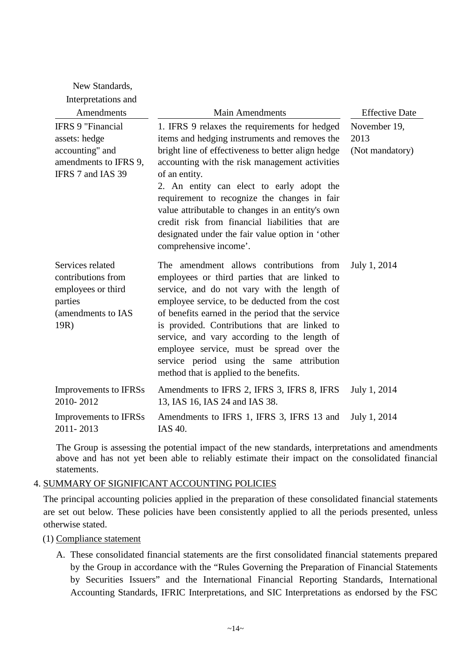| New Standards,                                                                                             |                                                                                                                                                                                                                                                                                                                                                                                                                                                                                                           |                                         |
|------------------------------------------------------------------------------------------------------------|-----------------------------------------------------------------------------------------------------------------------------------------------------------------------------------------------------------------------------------------------------------------------------------------------------------------------------------------------------------------------------------------------------------------------------------------------------------------------------------------------------------|-----------------------------------------|
| Interpretations and                                                                                        |                                                                                                                                                                                                                                                                                                                                                                                                                                                                                                           |                                         |
| Amendments                                                                                                 | <b>Main Amendments</b>                                                                                                                                                                                                                                                                                                                                                                                                                                                                                    | <b>Effective Date</b>                   |
| <b>IFRS 9 "Financial</b><br>assets: hedge<br>accounting" and<br>amendments to IFRS 9,<br>IFRS 7 and IAS 39 | 1. IFRS 9 relaxes the requirements for hedged<br>items and hedging instruments and removes the<br>bright line of effectiveness to better align hedge<br>accounting with the risk management activities<br>of an entity.<br>2. An entity can elect to early adopt the<br>requirement to recognize the changes in fair<br>value attributable to changes in an entity's own<br>credit risk from financial liabilities that are<br>designated under the fair value option in 'other<br>comprehensive income'. | November 19,<br>2013<br>(Not mandatory) |
| Services related<br>contributions from<br>employees or third<br>parties<br>(amendments to IAS<br>19R)      | The amendment allows contributions from<br>employees or third parties that are linked to<br>service, and do not vary with the length of<br>employee service, to be deducted from the cost<br>of benefits earned in the period that the service<br>is provided. Contributions that are linked to<br>service, and vary according to the length of<br>employee service, must be spread over the<br>service period using the same attribution<br>method that is applied to the benefits.                      | July 1, 2014                            |
| Improvements to IFRSs<br>2010-2012                                                                         | Amendments to IFRS 2, IFRS 3, IFRS 8, IFRS<br>13, IAS 16, IAS 24 and IAS 38.                                                                                                                                                                                                                                                                                                                                                                                                                              | July 1, 2014                            |
| Improvements to IFRSs<br>2011-2013                                                                         | Amendments to IFRS 1, IFRS 3, IFRS 13 and<br><b>IAS 40.</b>                                                                                                                                                                                                                                                                                                                                                                                                                                               | July 1, 2014                            |

The Group is assessing the potential impact of the new standards, interpretations and amendments above and has not yet been able to reliably estimate their impact on the consolidated financial statements.

### 4. SUMMARY OF SIGNIFICANT ACCOUNTING POLICIES

The principal accounting policies applied in the preparation of these consolidated financial statements are set out below. These policies have been consistently applied to all the periods presented, unless otherwise stated.

### (1) Compliance statement

A. These consolidated financial statements are the first consolidated financial statements prepared by the Group in accordance with the "Rules Governing the Preparation of Financial Statements by Securities Issuers" and the International Financial Reporting Standards, International Accounting Standards, IFRIC Interpretations, and SIC Interpretations as endorsed by the FSC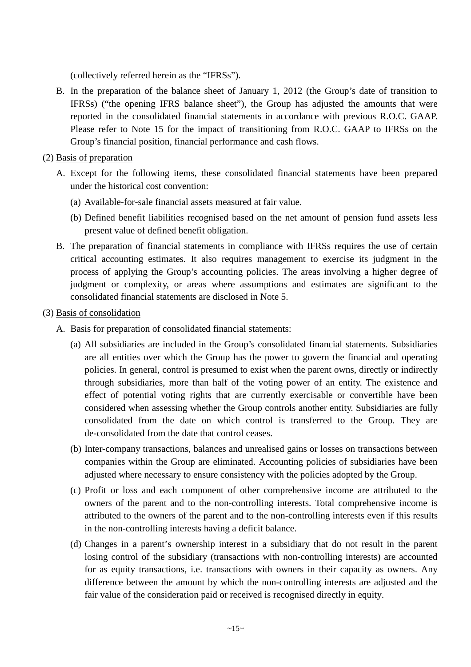(collectively referred herein as the "IFRSs").

- B. In the preparation of the balance sheet of January 1, 2012 (the Group's date of transition to IFRSs) ("the opening IFRS balance sheet"), the Group has adjusted the amounts that were reported in the consolidated financial statements in accordance with previous R.O.C. GAAP. Please refer to Note 15 for the impact of transitioning from R.O.C. GAAP to IFRSs on the Group's financial position, financial performance and cash flows.
- (2) Basis of preparation
	- A. Except for the following items, these consolidated financial statements have been prepared under the historical cost convention:
		- (a) Available-for-sale financial assets measured at fair value.
		- (b) Defined benefit liabilities recognised based on the net amount of pension fund assets less present value of defined benefit obligation.
	- B. The preparation of financial statements in compliance with IFRSs requires the use of certain critical accounting estimates. It also requires management to exercise its judgment in the process of applying the Group's accounting policies. The areas involving a higher degree of judgment or complexity, or areas where assumptions and estimates are significant to the consolidated financial statements are disclosed in Note 5.
- (3) Basis of consolidation
	- A. Basis for preparation of consolidated financial statements:
		- (a) All subsidiaries are included in the Group's consolidated financial statements. Subsidiaries are all entities over which the Group has the power to govern the financial and operating policies. In general, control is presumed to exist when the parent owns, directly or indirectly through subsidiaries, more than half of the voting power of an entity. The existence and effect of potential voting rights that are currently exercisable or convertible have been considered when assessing whether the Group controls another entity. Subsidiaries are fully consolidated from the date on which control is transferred to the Group. They are de-consolidated from the date that control ceases.
		- (b) Inter-company transactions, balances and unrealised gains or losses on transactions between companies within the Group are eliminated. Accounting policies of subsidiaries have been adjusted where necessary to ensure consistency with the policies adopted by the Group.
		- (c) Profit or loss and each component of other comprehensive income are attributed to the owners of the parent and to the non-controlling interests. Total comprehensive income is attributed to the owners of the parent and to the non-controlling interests even if this results in the non-controlling interests having a deficit balance.
		- (d) Changes in a parent's ownership interest in a subsidiary that do not result in the parent losing control of the subsidiary (transactions with non-controlling interests) are accounted for as equity transactions, i.e. transactions with owners in their capacity as owners. Any difference between the amount by which the non-controlling interests are adjusted and the fair value of the consideration paid or received is recognised directly in equity.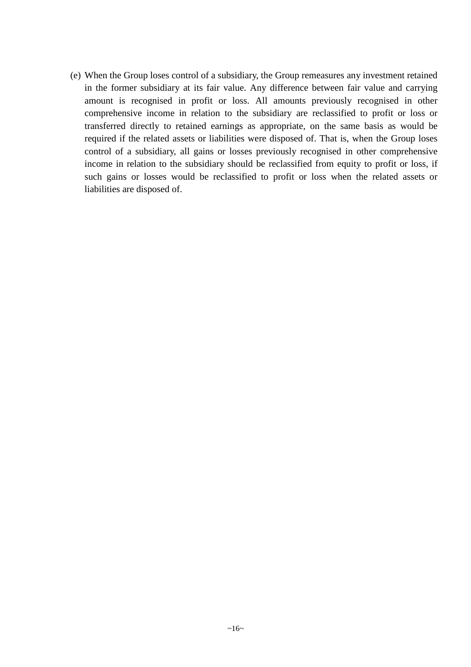(e) When the Group loses control of a subsidiary, the Group remeasures any investment retained in the former subsidiary at its fair value. Any difference between fair value and carrying amount is recognised in profit or loss. All amounts previously recognised in other comprehensive income in relation to the subsidiary are reclassified to profit or loss or transferred directly to retained earnings as appropriate, on the same basis as would be required if the related assets or liabilities were disposed of. That is, when the Group loses control of a subsidiary, all gains or losses previously recognised in other comprehensive income in relation to the subsidiary should be reclassified from equity to profit or loss, if such gains or losses would be reclassified to profit or loss when the related assets or liabilities are disposed of.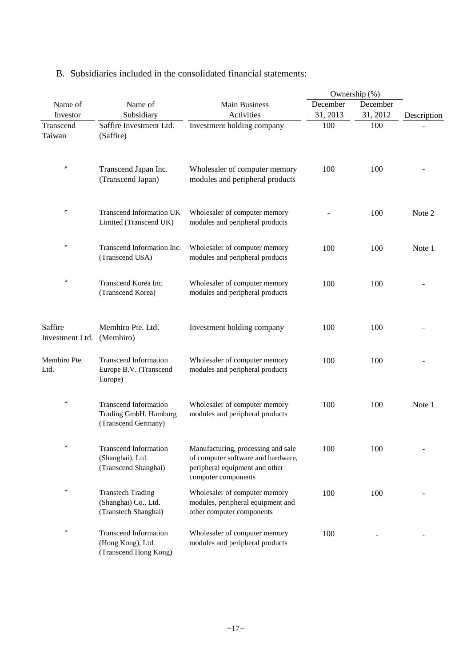|                            |                                                                              |                                                                                                                                   |          | Ownership (%) |             |
|----------------------------|------------------------------------------------------------------------------|-----------------------------------------------------------------------------------------------------------------------------------|----------|---------------|-------------|
| Name of                    | Name of                                                                      | <b>Main Business</b>                                                                                                              | December | December      |             |
| Investor                   | Subsidiary                                                                   | Activities                                                                                                                        | 31, 2013 | 31, 2012      | Description |
| Transcend<br>Taiwan        | Saffire Investment Ltd.<br>(Saffire)                                         | Investment holding company                                                                                                        | 100      | 100           |             |
| $\prime\prime$             | Transcend Japan Inc.<br>(Transcend Japan)                                    | Wholesaler of computer memory<br>modules and peripheral products                                                                  | 100      | 100           |             |
| $\prime\prime$             | <b>Transcend Information UK</b><br>Limited (Transcend UK)                    | Wholesaler of computer memory<br>modules and peripheral products                                                                  |          | 100           | Note 2      |
| n                          | Transcend Information Inc.<br>(Transcend USA)                                | Wholesaler of computer memory<br>modules and peripheral products                                                                  | 100      | 100           | Note 1      |
| n                          | Transcend Korea Inc.<br>(Transcend Korea)                                    | Wholesaler of computer memory<br>modules and peripheral products                                                                  | 100      | 100           |             |
| Saffire<br>Investment Ltd. | Memhiro Pte. Ltd.<br>(Memhiro)                                               | Investment holding company                                                                                                        | 100      | 100           |             |
| Memhiro Pte.<br>Ltd.       | <b>Transcend Information</b><br>Europe B.V. (Transcend<br>Europe)            | Wholesaler of computer memory<br>modules and peripheral products                                                                  | 100      | 100           |             |
| n                          | <b>Transcend Information</b><br>Trading GmbH, Hamburg<br>(Transcend Germany) | Wholesaler of computer memory<br>modules and peripheral products                                                                  | 100      | 100           | Note 1      |
| n                          | <b>Transcend Information</b><br>(Shanghai), Ltd.<br>(Transcend Shanghai)     | Manufacturing, processing and sale<br>of computer software and hardware,<br>peripheral equipment and other<br>computer components | 100      | 100           |             |
| n                          | <b>Transtech Trading</b><br>(Shanghai) Co., Ltd.<br>(Transtech Shanghai)     | Wholesaler of computer memory<br>modules, peripheral equipment and<br>other computer components                                   | 100      | 100           |             |
| n                          | <b>Transcend Information</b><br>(Hong Kong), Ltd.<br>(Transcend Hong Kong)   | Wholesaler of computer memory<br>modules and peripheral products                                                                  | 100      |               |             |

### B. Subsidiaries included in the consolidated financial statements: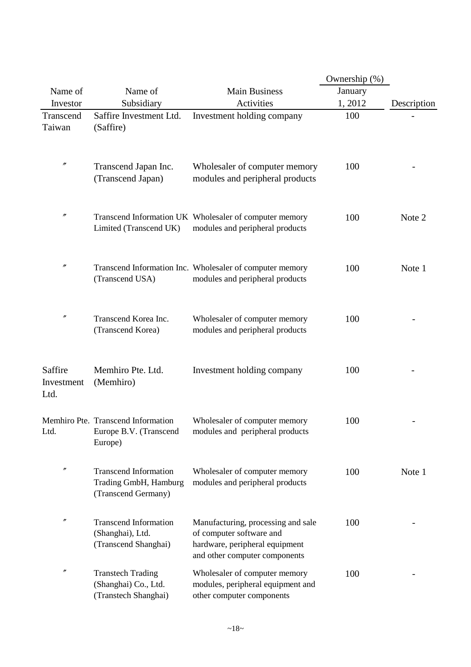|                               |                                                                              |                                                                                                                                   | Ownership (%) |             |
|-------------------------------|------------------------------------------------------------------------------|-----------------------------------------------------------------------------------------------------------------------------------|---------------|-------------|
| Name of                       | Name of                                                                      | <b>Main Business</b>                                                                                                              | January       |             |
| Investor                      | Subsidiary                                                                   | Activities                                                                                                                        | 1,2012        | Description |
| Transcend                     | Saffire Investment Ltd.                                                      | Investment holding company                                                                                                        | 100           |             |
| Taiwan                        | (Saffire)                                                                    |                                                                                                                                   |               |             |
|                               |                                                                              |                                                                                                                                   |               |             |
| $\prime\prime$                | Transcend Japan Inc.<br>(Transcend Japan)                                    | Wholesaler of computer memory<br>modules and peripheral products                                                                  | 100           |             |
| $\prime\prime$                | Limited (Transcend UK)                                                       | Transcend Information UK Wholesaler of computer memory<br>modules and peripheral products                                         | 100           | Note 2      |
| n                             | (Transcend USA)                                                              | Transcend Information Inc. Wholesaler of computer memory<br>modules and peripheral products                                       | 100           | Note 1      |
| $^{\prime\prime}$             | Transcend Korea Inc.<br>(Transcend Korea)                                    | Wholesaler of computer memory<br>modules and peripheral products                                                                  | 100           |             |
| Saffire<br>Investment<br>Ltd. | Memhiro Pte. Ltd.<br>(Memhiro)                                               | Investment holding company                                                                                                        | 100           |             |
| Ltd.                          | Memhiro Pte. Transcend Information<br>Europe B.V. (Transcend<br>Europe)      | Wholesaler of computer memory<br>modules and peripheral products                                                                  | 100           |             |
| $\prime\prime$                | <b>Transcend Information</b><br>Trading GmbH, Hamburg<br>(Transcend Germany) | Wholesaler of computer memory<br>modules and peripheral products                                                                  | 100           | Note 1      |
| $^{\prime\prime}$             | <b>Transcend Information</b><br>(Shanghai), Ltd.<br>(Transcend Shanghai)     | Manufacturing, processing and sale<br>of computer software and<br>hardware, peripheral equipment<br>and other computer components | 100           |             |
| n                             | <b>Transtech Trading</b><br>(Shanghai) Co., Ltd.<br>(Transtech Shanghai)     | Wholesaler of computer memory<br>modules, peripheral equipment and<br>other computer components                                   | 100           |             |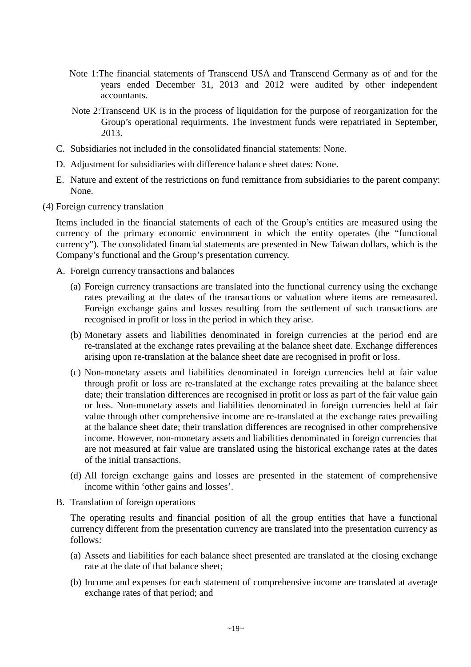- Note 1:The financial statements of Transcend USA and Transcend Germany as of and for the years ended December 31, 2013 and 2012 were audited by other independent accountants.
- Note 2:Transcend UK is in the process of liquidation for the purpose of reorganization for the Group's operational requirments. The investment funds were repatriated in September, 2013.
- C. Subsidiaries not included in the consolidated financial statements: None.
- D. Adjustment for subsidiaries with difference balance sheet dates: None.
- E. Nature and extent of the restrictions on fund remittance from subsidiaries to the parent company: None.
- (4) Foreign currency translation

Items included in the financial statements of each of the Group's entities are measured using the currency of the primary economic environment in which the entity operates (the "functional currency"). The consolidated financial statements are presented in New Taiwan dollars, which is the Company's functional and the Group's presentation currency.

- A. Foreign currency transactions and balances
	- (a) Foreign currency transactions are translated into the functional currency using the exchange rates prevailing at the dates of the transactions or valuation where items are remeasured. Foreign exchange gains and losses resulting from the settlement of such transactions are recognised in profit or loss in the period in which they arise.
	- (b) Monetary assets and liabilities denominated in foreign currencies at the period end are re-translated at the exchange rates prevailing at the balance sheet date. Exchange differences arising upon re-translation at the balance sheet date are recognised in profit or loss.
	- (c) Non-monetary assets and liabilities denominated in foreign currencies held at fair value through profit or loss are re-translated at the exchange rates prevailing at the balance sheet date; their translation differences are recognised in profit or loss as part of the fair value gain or loss. Non-monetary assets and liabilities denominated in foreign currencies held at fair value through other comprehensive income are re-translated at the exchange rates prevailing at the balance sheet date; their translation differences are recognised in other comprehensive income. However, non-monetary assets and liabilities denominated in foreign currencies that are not measured at fair value are translated using the historical exchange rates at the dates of the initial transactions.
	- (d) All foreign exchange gains and losses are presented in the statement of comprehensive income within 'other gains and losses'.
- B. Translation of foreign operations

The operating results and financial position of all the group entities that have a functional currency different from the presentation currency are translated into the presentation currency as follows:

- (a) Assets and liabilities for each balance sheet presented are translated at the closing exchange rate at the date of that balance sheet;
- (b) Income and expenses for each statement of comprehensive income are translated at average exchange rates of that period; and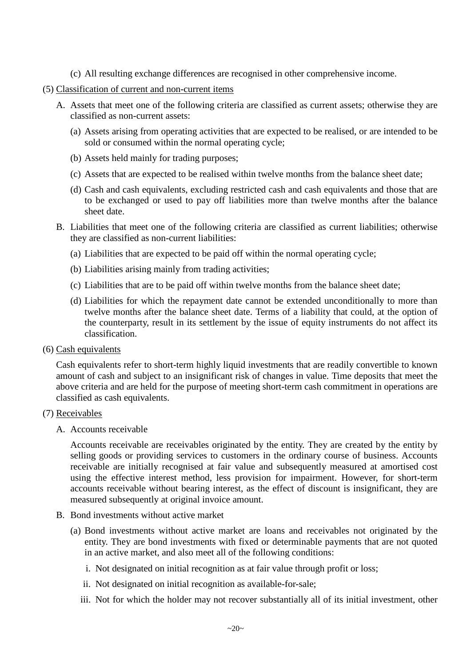- (c) All resulting exchange differences are recognised in other comprehensive income.
- (5) Classification of current and non-current items
	- A. Assets that meet one of the following criteria are classified as current assets; otherwise they are classified as non-current assets:
		- (a) Assets arising from operating activities that are expected to be realised, or are intended to be sold or consumed within the normal operating cycle;
		- (b) Assets held mainly for trading purposes;
		- (c) Assets that are expected to be realised within twelve months from the balance sheet date;
		- (d) Cash and cash equivalents, excluding restricted cash and cash equivalents and those that are to be exchanged or used to pay off liabilities more than twelve months after the balance sheet date.
	- B. Liabilities that meet one of the following criteria are classified as current liabilities; otherwise they are classified as non-current liabilities:
		- (a) Liabilities that are expected to be paid off within the normal operating cycle;
		- (b) Liabilities arising mainly from trading activities;
		- (c) Liabilities that are to be paid off within twelve months from the balance sheet date;
		- (d) Liabilities for which the repayment date cannot be extended unconditionally to more than twelve months after the balance sheet date. Terms of a liability that could, at the option of the counterparty, result in its settlement by the issue of equity instruments do not affect its classification.
- (6) Cash equivalents

Cash equivalents refer to short-term highly liquid investments that are readily convertible to known amount of cash and subject to an insignificant risk of changes in value. Time deposits that meet the above criteria and are held for the purpose of meeting short-term cash commitment in operations are classified as cash equivalents.

### (7) Receivables

A. Accounts receivable

Accounts receivable are receivables originated by the entity. They are created by the entity by selling goods or providing services to customers in the ordinary course of business. Accounts receivable are initially recognised at fair value and subsequently measured at amortised cost using the effective interest method, less provision for impairment. However, for short-term accounts receivable without bearing interest, as the effect of discount is insignificant, they are measured subsequently at original invoice amount.

- B. Bond investments without active market
	- (a) Bond investments without active market are loans and receivables not originated by the entity. They are bond investments with fixed or determinable payments that are not quoted in an active market, and also meet all of the following conditions:
		- i. Not designated on initial recognition as at fair value through profit or loss;
		- ii. Not designated on initial recognition as available-for-sale;
		- iii. Not for which the holder may not recover substantially all of its initial investment, other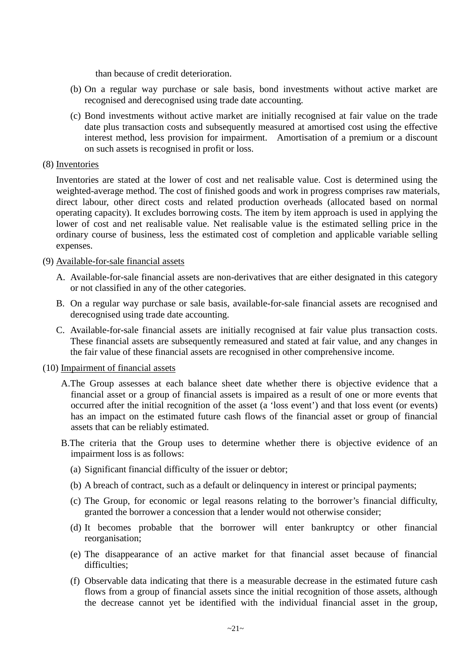than because of credit deterioration.

- (b) On a regular way purchase or sale basis, bond investments without active market are recognised and derecognised using trade date accounting.
- (c) Bond investments without active market are initially recognised at fair value on the trade date plus transaction costs and subsequently measured at amortised cost using the effective interest method, less provision for impairment. Amortisation of a premium or a discount on such assets is recognised in profit or loss.

### (8) Inventories

Inventories are stated at the lower of cost and net realisable value. Cost is determined using the weighted-average method. The cost of finished goods and work in progress comprises raw materials, direct labour, other direct costs and related production overheads (allocated based on normal operating capacity). It excludes borrowing costs. The item by item approach is used in applying the lower of cost and net realisable value. Net realisable value is the estimated selling price in the ordinary course of business, less the estimated cost of completion and applicable variable selling expenses.

#### (9) Available-for-sale financial assets

- A. Available-for-sale financial assets are non-derivatives that are either designated in this category or not classified in any of the other categories.
- B. On a regular way purchase or sale basis, available-for-sale financial assets are recognised and derecognised using trade date accounting.
- C. Available-for-sale financial assets are initially recognised at fair value plus transaction costs. These financial assets are subsequently remeasured and stated at fair value, and any changes in the fair value of these financial assets are recognised in other comprehensive income.

#### (10) Impairment of financial assets

- A.The Group assesses at each balance sheet date whether there is objective evidence that a financial asset or a group of financial assets is impaired as a result of one or more events that occurred after the initial recognition of the asset (a 'loss event') and that loss event (or events) has an impact on the estimated future cash flows of the financial asset or group of financial assets that can be reliably estimated.
- B.The criteria that the Group uses to determine whether there is objective evidence of an impairment loss is as follows:
	- (a) Significant financial difficulty of the issuer or debtor;
	- (b) A breach of contract, such as a default or delinquency in interest or principal payments;
	- (c) The Group, for economic or legal reasons relating to the borrower's financial difficulty, granted the borrower a concession that a lender would not otherwise consider;
	- (d) It becomes probable that the borrower will enter bankruptcy or other financial reorganisation;
	- (e) The disappearance of an active market for that financial asset because of financial difficulties;
	- (f) Observable data indicating that there is a measurable decrease in the estimated future cash flows from a group of financial assets since the initial recognition of those assets, although the decrease cannot yet be identified with the individual financial asset in the group,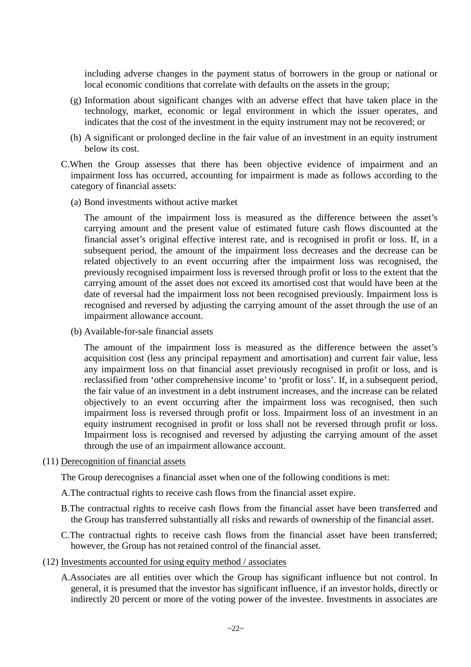including adverse changes in the payment status of borrowers in the group or national or local economic conditions that correlate with defaults on the assets in the group;

- (g) Information about significant changes with an adverse effect that have taken place in the technology, market, economic or legal environment in which the issuer operates, and indicates that the cost of the investment in the equity instrument may not be recovered; or
- (h) A significant or prolonged decline in the fair value of an investment in an equity instrument below its cost.
- C.When the Group assesses that there has been objective evidence of impairment and an impairment loss has occurred, accounting for impairment is made as follows according to the category of financial assets:
	- (a) Bond investments without active market

The amount of the impairment loss is measured as the difference between the asset's carrying amount and the present value of estimated future cash flows discounted at the financial asset's original effective interest rate, and is recognised in profit or loss. If, in a subsequent period, the amount of the impairment loss decreases and the decrease can be related objectively to an event occurring after the impairment loss was recognised, the previously recognised impairment loss is reversed through profit or loss to the extent that the carrying amount of the asset does not exceed its amortised cost that would have been at the date of reversal had the impairment loss not been recognised previously. Impairment loss is recognised and reversed by adjusting the carrying amount of the asset through the use of an impairment allowance account.

(b) Available-for-sale financial assets

The amount of the impairment loss is measured as the difference between the asset's acquisition cost (less any principal repayment and amortisation) and current fair value, less any impairment loss on that financial asset previously recognised in profit or loss, and is reclassified from 'other comprehensive income' to 'profit or loss'. If, in a subsequent period, the fair value of an investment in a debt instrument increases, and the increase can be related objectively to an event occurring after the impairment loss was recognised, then such impairment loss is reversed through profit or loss. Impairment loss of an investment in an equity instrument recognised in profit or loss shall not be reversed through profit or loss. Impairment loss is recognised and reversed by adjusting the carrying amount of the asset through the use of an impairment allowance account.

(11) Derecognition of financial assets

The Group derecognises a financial asset when one of the following conditions is met:

- A.The contractual rights to receive cash flows from the financial asset expire.
- B.The contractual rights to receive cash flows from the financial asset have been transferred and the Group has transferred substantially all risks and rewards of ownership of the financial asset.
- C.The contractual rights to receive cash flows from the financial asset have been transferred; however, the Group has not retained control of the financial asset.
- (12) Investments accounted for using equity method / associates
	- A.Associates are all entities over which the Group has significant influence but not control. In general, it is presumed that the investor has significant influence, if an investor holds, directly or indirectly 20 percent or more of the voting power of the investee. Investments in associates are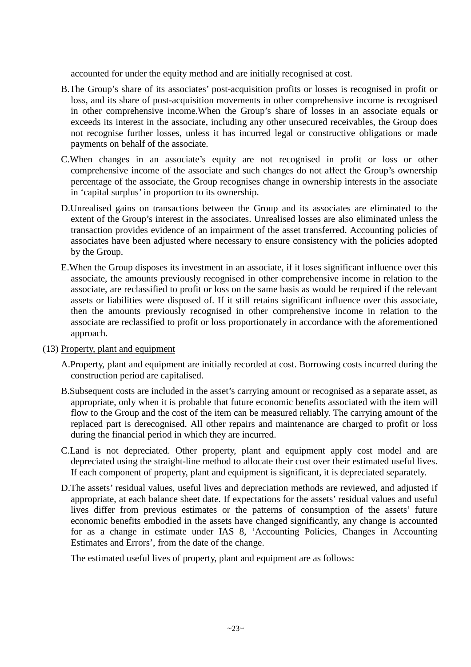accounted for under the equity method and are initially recognised at cost.

- B.The Group's share of its associates' post-acquisition profits or losses is recognised in profit or loss, and its share of post-acquisition movements in other comprehensive income is recognised in other comprehensive income.When the Group's share of losses in an associate equals or exceeds its interest in the associate, including any other unsecured receivables, the Group does not recognise further losses, unless it has incurred legal or constructive obligations or made payments on behalf of the associate.
- C.When changes in an associate's equity are not recognised in profit or loss or other comprehensive income of the associate and such changes do not affect the Group's ownership percentage of the associate, the Group recognises change in ownership interests in the associate in 'capital surplus' in proportion to its ownership.
- D.Unrealised gains on transactions between the Group and its associates are eliminated to the extent of the Group's interest in the associates. Unrealised losses are also eliminated unless the transaction provides evidence of an impairment of the asset transferred. Accounting policies of associates have been adjusted where necessary to ensure consistency with the policies adopted by the Group.
- E.When the Group disposes its investment in an associate, if it loses significant influence over this associate, the amounts previously recognised in other comprehensive income in relation to the associate, are reclassified to profit or loss on the same basis as would be required if the relevant assets or liabilities were disposed of. If it still retains significant influence over this associate, then the amounts previously recognised in other comprehensive income in relation to the associate are reclassified to profit or loss proportionately in accordance with the aforementioned approach.
- (13) Property, plant and equipment
	- A.Property, plant and equipment are initially recorded at cost. Borrowing costs incurred during the construction period are capitalised.
	- B.Subsequent costs are included in the asset's carrying amount or recognised as a separate asset, as appropriate, only when it is probable that future economic benefits associated with the item will flow to the Group and the cost of the item can be measured reliably. The carrying amount of the replaced part is derecognised. All other repairs and maintenance are charged to profit or loss during the financial period in which they are incurred.
	- C.Land is not depreciated. Other property, plant and equipment apply cost model and are depreciated using the straight-line method to allocate their cost over their estimated useful lives. If each component of property, plant and equipment is significant, it is depreciated separately.
	- D.The assets' residual values, useful lives and depreciation methods are reviewed, and adjusted if appropriate, at each balance sheet date. If expectations for the assets' residual values and useful lives differ from previous estimates or the patterns of consumption of the assets' future economic benefits embodied in the assets have changed significantly, any change is accounted for as a change in estimate under IAS 8, 'Accounting Policies, Changes in Accounting Estimates and Errors', from the date of the change.

The estimated useful lives of property, plant and equipment are as follows: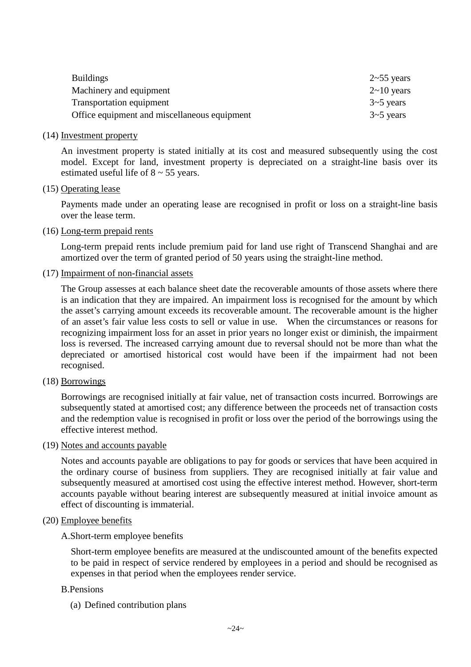| <b>Buildings</b>                             | $2 \sim 55$ years |
|----------------------------------------------|-------------------|
| Machinery and equipment                      | $2 \sim 10$ years |
| <b>Transportation equipment</b>              | $3 \sim 5$ years  |
| Office equipment and miscellaneous equipment | $3 \sim 5$ years  |

#### (14) Investment property

An investment property is stated initially at its cost and measured subsequently using the cost model. Except for land, investment property is depreciated on a straight-line basis over its estimated useful life of  $8 \sim 55$  years.

#### (15) Operating lease

Payments made under an operating lease are recognised in profit or loss on a straight-line basis over the lease term.

#### (16) Long-term prepaid rents

Long-term prepaid rents include premium paid for land use right of Transcend Shanghai and are amortized over the term of granted period of 50 years using the straight-line method.

#### (17) Impairment of non-financial assets

The Group assesses at each balance sheet date the recoverable amounts of those assets where there is an indication that they are impaired. An impairment loss is recognised for the amount by which the asset's carrying amount exceeds its recoverable amount. The recoverable amount is the higher of an asset's fair value less costs to sell or value in use. When the circumstances or reasons for recognizing impairment loss for an asset in prior years no longer exist or diminish, the impairment loss is reversed. The increased carrying amount due to reversal should not be more than what the depreciated or amortised historical cost would have been if the impairment had not been recognised.

#### (18) Borrowings

Borrowings are recognised initially at fair value, net of transaction costs incurred. Borrowings are subsequently stated at amortised cost; any difference between the proceeds net of transaction costs and the redemption value is recognised in profit or loss over the period of the borrowings using the effective interest method.

#### (19) Notes and accounts payable

Notes and accounts payable are obligations to pay for goods or services that have been acquired in the ordinary course of business from suppliers. They are recognised initially at fair value and subsequently measured at amortised cost using the effective interest method. However, short-term accounts payable without bearing interest are subsequently measured at initial invoice amount as effect of discounting is immaterial.

#### (20) Employee benefits

### A.Short-term employee benefits

Short-term employee benefits are measured at the undiscounted amount of the benefits expected to be paid in respect of service rendered by employees in a period and should be recognised as expenses in that period when the employees render service.

#### B.Pensions

(a) Defined contribution plans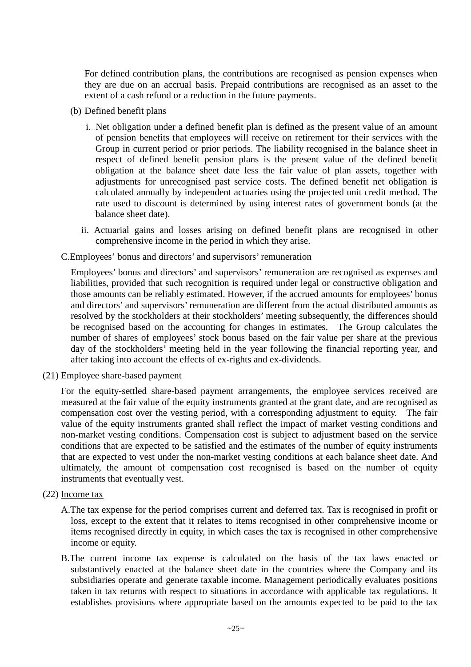For defined contribution plans, the contributions are recognised as pension expenses when they are due on an accrual basis. Prepaid contributions are recognised as an asset to the extent of a cash refund or a reduction in the future payments.

- (b) Defined benefit plans
	- i...Net obligation under a defined benefit plan is defined as the present value of an amount of pension benefits that employees will receive on retirement for their services with the Group in current period or prior periods. The liability recognised in the balance sheet in respect of defined benefit pension plans is the present value of the defined benefit obligation at the balance sheet date less the fair value of plan assets, together with adjustments for unrecognised past service costs. The defined benefit net obligation is calculated annually by independent actuaries using the projected unit credit method. The rate used to discount is determined by using interest rates of government bonds (at the balance sheet date).
	- ii. Actuarial gains and losses arising on defined benefit plans are recognised in other comprehensive income in the period in which they arise.

### C.Employees' bonus and directors' and supervisors' remuneration

Employees' bonus and directors' and supervisors' remuneration are recognised as expenses and liabilities, provided that such recognition is required under legal or constructive obligation and those amounts can be reliably estimated. However, if the accrued amounts for employees' bonus and directors' and supervisors' remuneration are different from the actual distributed amounts as resolved by the stockholders at their stockholders' meeting subsequently, the differences should be recognised based on the accounting for changes in estimates. The Group calculates the number of shares of employees' stock bonus based on the fair value per share at the previous day of the stockholders' meeting held in the year following the financial reporting year, and after taking into account the effects of ex-rights and ex-dividends.

(21) Employee share-based payment

For the equity-settled share-based payment arrangements, the employee services received are measured at the fair value of the equity instruments granted at the grant date, and are recognised as compensation cost over the vesting period, with a corresponding adjustment to equity. The fair value of the equity instruments granted shall reflect the impact of market vesting conditions and non-market vesting conditions. Compensation cost is subject to adjustment based on the service conditions that are expected to be satisfied and the estimates of the number of equity instruments that are expected to vest under the non-market vesting conditions at each balance sheet date. And ultimately, the amount of compensation cost recognised is based on the number of equity instruments that eventually vest.

### (22) Income tax

- A.The tax expense for the period comprises current and deferred tax. Tax is recognised in profit or loss, except to the extent that it relates to items recognised in other comprehensive income or items recognised directly in equity, in which cases the tax is recognised in other comprehensive income or equity.
- B.The current income tax expense is calculated on the basis of the tax laws enacted or substantively enacted at the balance sheet date in the countries where the Company and its subsidiaries operate and generate taxable income. Management periodically evaluates positions taken in tax returns with respect to situations in accordance with applicable tax regulations. It establishes provisions where appropriate based on the amounts expected to be paid to the tax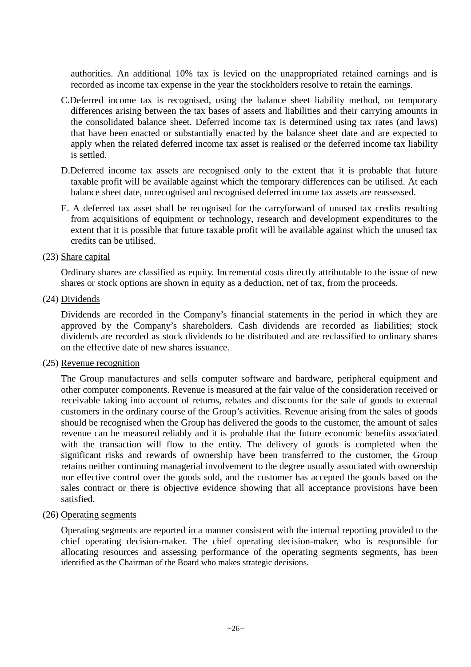authorities. An additional 10% tax is levied on the unappropriated retained earnings and is recorded as income tax expense in the year the stockholders resolve to retain the earnings.

- C.Deferred income tax is recognised, using the balance sheet liability method, on temporary differences arising between the tax bases of assets and liabilities and their carrying amounts in the consolidated balance sheet. Deferred income tax is determined using tax rates (and laws) that have been enacted or substantially enacted by the balance sheet date and are expected to apply when the related deferred income tax asset is realised or the deferred income tax liability is settled.
- D.Deferred income tax assets are recognised only to the extent that it is probable that future taxable profit will be available against which the temporary differences can be utilised. At each balance sheet date, unrecognised and recognised deferred income tax assets are reassessed.
- E. A deferred tax asset shall be recognised for the carryforward of unused tax credits resulting from acquisitions of equipment or technology, research and development expenditures to the extent that it is possible that future taxable profit will be available against which the unused tax credits can be utilised.

### (23) Share capital

Ordinary shares are classified as equity. Incremental costs directly attributable to the issue of new shares or stock options are shown in equity as a deduction, net of tax, from the proceeds.

(24) Dividends

Dividends are recorded in the Company's financial statements in the period in which they are approved by the Company's shareholders. Cash dividends are recorded as liabilities; stock dividends are recorded as stock dividends to be distributed and are reclassified to ordinary shares on the effective date of new shares issuance.

(25) Revenue recognition

The Group manufactures and sells computer software and hardware, peripheral equipment and other computer components. Revenue is measured at the fair value of the consideration received or receivable taking into account of returns, rebates and discounts for the sale of goods to external customers in the ordinary course of the Group's activities. Revenue arising from the sales of goods should be recognised when the Group has delivered the goods to the customer, the amount of sales revenue can be measured reliably and it is probable that the future economic benefits associated with the transaction will flow to the entity. The delivery of goods is completed when the significant risks and rewards of ownership have been transferred to the customer, the Group retains neither continuing managerial involvement to the degree usually associated with ownership nor effective control over the goods sold, and the customer has accepted the goods based on the sales contract or there is objective evidence showing that all acceptance provisions have been satisfied.

(26) Operating segments

Operating segments are reported in a manner consistent with the internal reporting provided to the chief operating decision-maker. The chief operating decision-maker, who is responsible for allocating resources and assessing performance of the operating segments segments, has been identified as the Chairman of the Board who makes strategic decisions.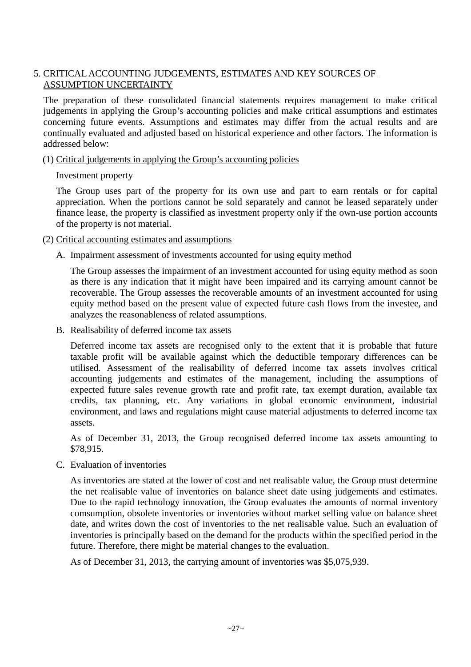### 5. CRITICAL ACCOUNTING JUDGEMENTS, ESTIMATES AND KEY SOURCES OF ASSUMPTION UNCERTAINTY

The preparation of these consolidated financial statements requires management to make critical judgements in applying the Group's accounting policies and make critical assumptions and estimates concerning future events. Assumptions and estimates may differ from the actual results and are continually evaluated and adjusted based on historical experience and other factors. The information is addressed below:

### (1) Critical judgements in applying the Group's accounting policies

Investment property

The Group uses part of the property for its own use and part to earn rentals or for capital appreciation. When the portions cannot be sold separately and cannot be leased separately under finance lease, the property is classified as investment property only if the own-use portion accounts of the property is not material.

(2) Critical accounting estimates and assumptions

A. Impairment assessment of investments accounted for using equity method

The Group assesses the impairment of an investment accounted for using equity method as soon as there is any indication that it might have been impaired and its carrying amount cannot be recoverable. The Group assesses the recoverable amounts of an investment accounted for using equity method based on the present value of expected future cash flows from the investee, and analyzes the reasonableness of related assumptions.

B. Realisability of deferred income tax assets

Deferred income tax assets are recognised only to the extent that it is probable that future taxable profit will be available against which the deductible temporary differences can be utilised. Assessment of the realisability of deferred income tax assets involves critical accounting judgements and estimates of the management, including the assumptions of expected future sales revenue growth rate and profit rate, tax exempt duration, available tax credits, tax planning, etc. Any variations in global economic environment, industrial environment, and laws and regulations might cause material adjustments to deferred income tax assets.

As of December 31, 2013, the Group recognised deferred income tax assets amounting to \$78,915.

C. Evaluation of inventories

As inventories are stated at the lower of cost and net realisable value, the Group must determine the net realisable value of inventories on balance sheet date using judgements and estimates. Due to the rapid technology innovation, the Group evaluates the amounts of normal inventory comsumption, obsolete inventories or inventories without market selling value on balance sheet date, and writes down the cost of inventories to the net realisable value. Such an evaluation of inventories is principally based on the demand for the products within the specified period in the future. Therefore, there might be material changes to the evaluation.

As of December 31, 2013, the carrying amount of inventories was \$5,075,939.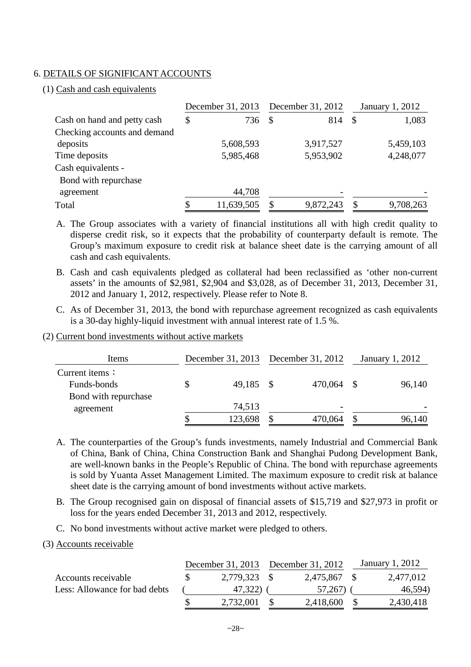### 6. DETAILS OF SIGNIFICANT ACCOUNTS

(1) Cash and cash equivalents

|                              |    |            | December 31, 2013 December 31, 2012 |           | January 1, 2012 |           |
|------------------------------|----|------------|-------------------------------------|-----------|-----------------|-----------|
| Cash on hand and petty cash  | \$ | 736        | \$                                  | 814       | $\mathcal{S}$   | 1,083     |
| Checking accounts and demand |    |            |                                     |           |                 |           |
| deposits                     |    | 5,608,593  |                                     | 3,917,527 |                 | 5,459,103 |
| Time deposits                |    | 5,985,468  |                                     | 5,953,902 |                 | 4,248,077 |
| Cash equivalents -           |    |            |                                     |           |                 |           |
| Bond with repurchase         |    |            |                                     |           |                 |           |
| agreement                    |    | 44,708     |                                     |           |                 |           |
| Total                        |    | 11,639,505 |                                     | 9,872,243 | \$              | 9,708,263 |

A. The Group associates with a variety of financial institutions all with high credit quality to disperse credit risk, so it expects that the probability of counterparty default is remote. The Group's maximum exposure to credit risk at balance sheet date is the carrying amount of all cash and cash equivalents.

- B. Cash and cash equivalents pledged as collateral had been reclassified as 'other non-current assets' in the amounts of \$2,981, \$2,904 and \$3,028, as of December 31, 2013, December 31, 2012 and January 1, 2012, respectively. Please refer to Note 8.
- C. As of December 31, 2013, the bond with repurchase agreement recognized as cash equivalents is a 30-day highly-liquid investment with annual interest rate of 1.5 %.
- (2) Current bond investments without active markets

| Items                  | December 31, 2013 December 31, 2012 |         |      | January 1, 2012 |
|------------------------|-------------------------------------|---------|------|-----------------|
| Current items $\colon$ |                                     |         |      |                 |
| Funds-bonds            | \$<br>49,185                        | 470,064 | - \$ | 96,140          |
| Bond with repurchase   |                                     |         |      |                 |
| agreement              | 74,513                              |         |      |                 |
|                        | \$<br>123,698                       | 470,064 |      | 96,140          |

- A. The counterparties of the Group's funds investments, namely Industrial and Commercial Bank of China, Bank of China, China Construction Bank and Shanghai Pudong Development Bank, are well-known banks in the People's Republic of China. The bond with repurchase agreements is sold by Yuanta Asset Management Limited. The maximum exposure to credit risk at balance sheet date is the carrying amount of bond investments without active markets.
- B. The Group recognised gain on disposal of financial assets of \$15,719 and \$27,973 in profit or loss for the years ended December 31, 2013 and 2012, respectively.
- C. No bond investments without active market were pledged to others.

### (3) Accounts receivable

|                               |              | December 31, 2013 December 31, 2012 |              | January 1, 2012 |           |
|-------------------------------|--------------|-------------------------------------|--------------|-----------------|-----------|
| Accounts receivable           | 2,779,323 \$ |                                     | 2,475,867 \$ |                 | 2,477,012 |
| Less: Allowance for bad debts | 47,322)      |                                     | 57,267)      |                 | 46,594)   |
|                               | 2,732,001    |                                     | 2,418,600    |                 | 2,430,418 |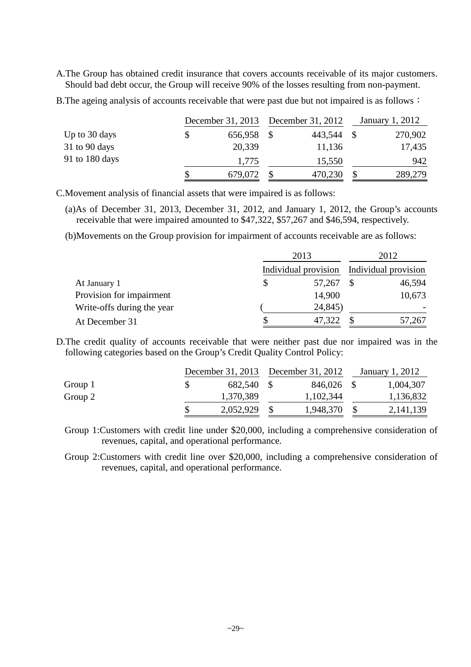A.The Group has obtained credit insurance that covers accounts receivable of its major customers. Should bad debt occur, the Group will receive 90% of the losses resulting from non-payment.

B. The ageing analysis of accounts receivable that were past due but not impaired is as follows:

|                 | December 31, 2013 December 31, 2012 |  |         |  | January 1, 2012 |  |
|-----------------|-------------------------------------|--|---------|--|-----------------|--|
| Up to 30 days   | 656,958                             |  | 443,544 |  | 270,902         |  |
| $31$ to 90 days | 20,339                              |  | 11,136  |  | 17,435          |  |
| 91 to 180 days  | 1,775                               |  | 15,550  |  | 942             |  |
|                 | 679,072                             |  | 470,230 |  | 289,279         |  |

C.Movement analysis of financial assets that were impaired is as follows:

(a)As of December 31, 2013, December 31, 2012, and January 1, 2012, the Group's accounts receivable that were impaired amounted to \$47,322, \$57,267 and \$46,594, respectively.

(b)Movements on the Group provision for impairment of accounts receivable are as follows:

|                            | 2013         |  | 2012                                      |  |
|----------------------------|--------------|--|-------------------------------------------|--|
|                            |              |  | Individual provision Individual provision |  |
| At January 1               | \$<br>57,267 |  | 46,594                                    |  |
| Provision for impairment   | 14,900       |  | 10,673                                    |  |
| Write-offs during the year | 24,845)      |  |                                           |  |
| At December 31             | \$<br>47,322 |  | 57,267                                    |  |

D.The credit quality of accounts receivable that were neither past due nor impaired was in the following categories based on the Group's Credit Quality Control Policy:

|         |  |           | December 31, 2013 December 31, 2012 |           | January 1, 2012 |
|---------|--|-----------|-------------------------------------|-----------|-----------------|
| Group 1 |  | 682,540   |                                     | 846,026   | 1,004,307       |
| Group 2 |  | 1,370,389 |                                     | 1,102,344 | 1,136,832       |
|         |  | 2,052,929 |                                     | 1,948,370 | 2, 141, 139     |

Group 1:Customers with credit line under \$20,000, including a comprehensive consideration of revenues, capital, and operational performance.

Group 2:Customers with credit line over \$20,000, including a comprehensive consideration of revenues, capital, and operational performance.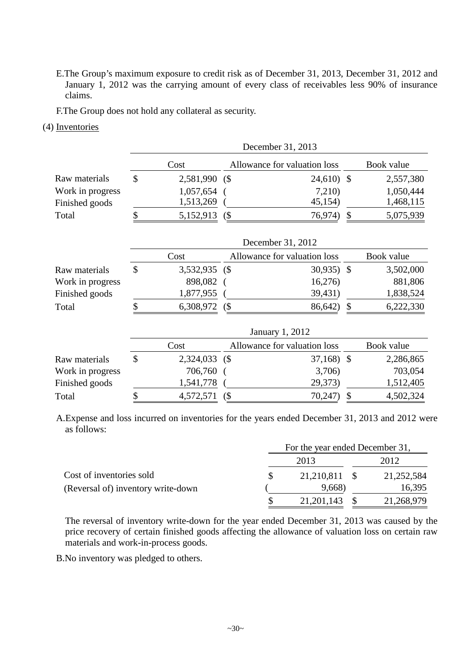E.The Group's maximum exposure to credit risk as of December 31, 2013, December 31, 2012 and January 1, 2012 was the carrying amount of every class of receivables less 90% of insurance claims.

F.The Group does not hold any collateral as security.

### (4) Inventories

|                  | December 31, 2013 |               |   |                              |               |            |  |  |  |
|------------------|-------------------|---------------|---|------------------------------|---------------|------------|--|--|--|
|                  |                   | Cost          |   | Allowance for valuation loss |               | Book value |  |  |  |
| Raw materials    | $\mathcal{S}$     | 2,581,990 (\$ |   | $24,610$ \$                  |               | 2,557,380  |  |  |  |
| Work in progress |                   | 1,057,654     |   | 7,210)                       |               | 1,050,444  |  |  |  |
| Finished goods   |                   | 1,513,269     |   | 45,154)                      |               | 1,468,115  |  |  |  |
| Total            | \$                | 5,152,913     | ( | 76,974)                      | \$            | 5,075,939  |  |  |  |
|                  |                   |               |   | December 31, 2012            |               |            |  |  |  |
|                  |                   | Cost          |   | Allowance for valuation loss |               | Book value |  |  |  |
| Raw materials    | $\mathcal{S}$     | 3,532,935     | ( | 30,935                       | $\mathcal{S}$ | 3,502,000  |  |  |  |
| Work in progress |                   | 898,082       |   | 16,276                       |               | 881,806    |  |  |  |
| Finished goods   |                   | 1,877,955     |   | 39,431)                      |               | 1,838,524  |  |  |  |
| Total            | \$                | 6,308,972     | ( | 86,642)                      | $\mathcal{S}$ | 6,222,330  |  |  |  |
|                  |                   |               |   | January 1, 2012              |               |            |  |  |  |
|                  |                   | Cost          |   | Allowance for valuation loss |               | Book value |  |  |  |
| Raw materials    | \$                | 2,324,033     | ( | $37,168$ \$                  |               | 2,286,865  |  |  |  |
| Work in progress |                   | 706,760       |   | 3,706)                       |               | 703,054    |  |  |  |
| Finished goods   |                   | 1,541,778     |   | 29,373)                      |               | 1,512,405  |  |  |  |
| Total            | \$                | 4,572,571     | ( | 70,247)                      | \$            | 4,502,324  |  |  |  |

A.Expense and loss incurred on inventories for the years ended December 31, 2013 and 2012 were as follows:

|                                    |              | For the year ended December 31, |            |  |
|------------------------------------|--------------|---------------------------------|------------|--|
|                                    | 2013         |                                 | 2012       |  |
| Cost of inventories sold           | 21,210,811   |                                 | 21,252,584 |  |
| (Reversal of) inventory write-down | 9,668)       |                                 | 16,395     |  |
|                                    | 21, 201, 143 |                                 | 21,268,979 |  |

The reversal of inventory write-down for the year ended December 31, 2013 was caused by the price recovery of certain finished goods affecting the allowance of valuation loss on certain raw materials and work-in-process goods.

B.No inventory was pledged to others.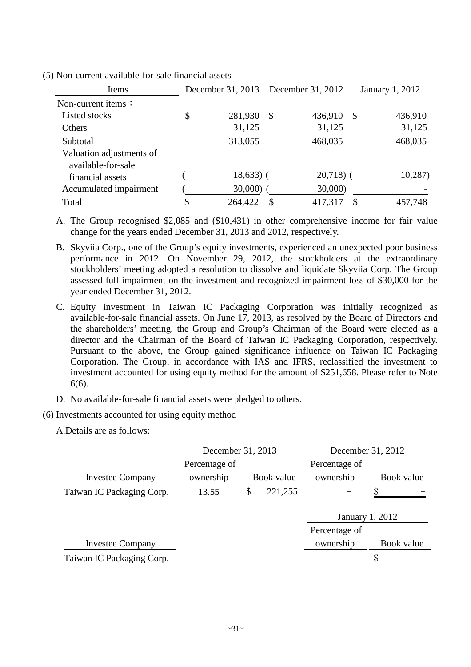| Items                                          | December 31, 2013 |    | December 31, 2012 |               | January 1, 2012 |
|------------------------------------------------|-------------------|----|-------------------|---------------|-----------------|
| Non-current items:                             |                   |    |                   |               |                 |
| Listed stocks                                  | \$<br>281,930     | \$ | 436,910           | $\mathcal{S}$ | 436,910         |
| Others                                         | 31,125            |    | 31,125            |               | 31,125          |
| Subtotal                                       | 313,055           |    | 468,035           |               | 468,035         |
| Valuation adjustments of<br>available-for-sale |                   |    |                   |               |                 |
| financial assets                               | $18,633$ ) (      |    | $20,718$ (        |               | 10,287          |
| Accumulated impairment                         | $30,000$ )        |    | 30,000            |               |                 |
| Total                                          | 264,422           | S  | 417,317           | \$.           | 457,748         |

(5) Non-current available-for-sale financial assets

A. The Group recognised \$2,085 and (\$10,431) in other comprehensive income for fair value change for the years ended December 31, 2013 and 2012, respectively.

B. Skyviia Corp., one of the Group's equity investments, experienced an unexpected poor business performance in 2012. On November 29, 2012, the stockholders at the extraordinary stockholders' meeting adopted a resolution to dissolve and liquidate Skyviia Corp. The Group assessed full impairment on the investment and recognized impairment loss of \$30,000 for the year ended December 31, 2012.

C. Equity investment in Taiwan IC Packaging Corporation was initially recognized as available-for-sale financial assets. On June 17, 2013, as resolved by the Board of Directors and the shareholders' meeting, the Group and Group's Chairman of the Board were elected as a director and the Chairman of the Board of Taiwan IC Packaging Corporation, respectively. Pursuant to the above, the Group gained significance influence on Taiwan IC Packaging Corporation. The Group, in accordance with IAS and IFRS, reclassified the investment to investment accounted for using equity method for the amount of \$251,658. Please refer to Note 6(6).

D. No available-for-sale financial assets were pledged to others.

### (6) Investments accounted for using equity method

A.Details are as follows:

|                           | December 31, 2013 |  |            | December 31, 2012 |            |
|---------------------------|-------------------|--|------------|-------------------|------------|
|                           | Percentage of     |  |            | Percentage of     |            |
| <b>Investee Company</b>   | ownership         |  | Book value | ownership         | Book value |
| Taiwan IC Packaging Corp. | 13.55             |  | 221,255    |                   |            |
|                           |                   |  |            |                   |            |
|                           |                   |  |            | January 1, 2012   |            |
|                           |                   |  |            | Percentage of     |            |
| <b>Investee Company</b>   |                   |  |            | ownership         | Book value |
| Taiwan IC Packaging Corp. |                   |  |            |                   |            |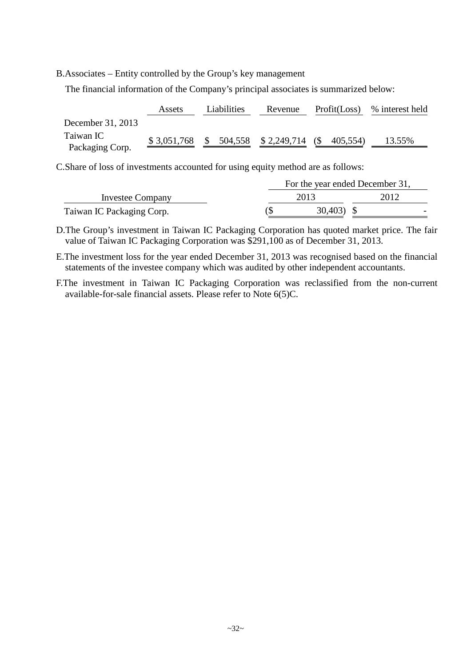B.Associates – Entity controlled by the Group's key management

The financial information of the Company's principal associates is summarized below:

|                              | Assets      | Liabilities | Revenue             | Profit(Loss)    | % interest held |
|------------------------------|-------------|-------------|---------------------|-----------------|-----------------|
| December 31, 2013            |             |             |                     |                 |                 |
| Taiwan IC<br>Packaging Corp. | \$3,051,768 |             | 504,558 \$2,249,714 | (\$<br>405,554) | 13.55%          |

C.Share of loss of investments accounted for using equity method are as follows:

|                           |             | For the year ended December 31, |
|---------------------------|-------------|---------------------------------|
| Investee Company          | 2013        | 2012                            |
| Taiwan IC Packaging Corp. | $30,403$ \$ |                                 |

D.The Group's investment in Taiwan IC Packaging Corporation has quoted market price. The fair value of Taiwan IC Packaging Corporation was \$291,100 as of December 31, 2013.

E.The investment loss for the year ended December 31, 2013 was recognised based on the financial statements of the investee company which was audited by other independent accountants.

F.The investment in Taiwan IC Packaging Corporation was reclassified from the non-current available-for-sale financial assets. Please refer to Note 6(5)C.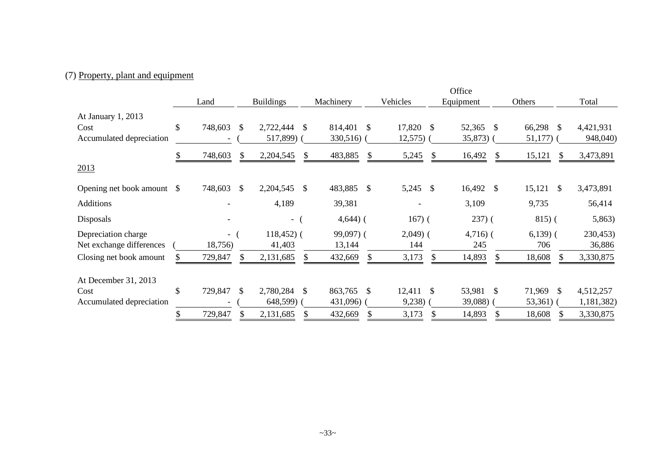## (7) Property, plant and equipment

|                                                        |               |               |                       |               |                        |               |                      |               | Office                  |                      |              |                       |
|--------------------------------------------------------|---------------|---------------|-----------------------|---------------|------------------------|---------------|----------------------|---------------|-------------------------|----------------------|--------------|-----------------------|
|                                                        | Land          |               | <b>Buildings</b>      |               | Machinery              |               | Vehicles             |               | Equipment               | Others               |              | Total                 |
| At January 1, 2013<br>Cost<br>Accumulated depreciation | \$<br>748,603 | -S            | 2,722,444<br>517,899) | <sup>\$</sup> | 814,401<br>$330,516$ ) | -S            | 17,820 \$<br>12,575) |               | 52,365<br>-S<br>35,873) | 66,298 \$<br>51,177) |              | 4,421,931<br>948,040) |
|                                                        | 748,603       | \$            | 2,204,545             | <sup>S</sup>  | 483,885                | \$            | 5,245                | <sup>\$</sup> | 16,492<br><sup>S</sup>  | 15,121               | <sup>S</sup> | 3,473,891             |
| 2013                                                   |               |               |                       |               |                        |               |                      |               |                         |                      |              |                       |
| Opening net book amount \$                             | 748,603       | <sup>\$</sup> | 2,204,545             | <sup>\$</sup> | 483,885 \$             |               | 5,245 \$             |               | 16,492<br>-S            | 15,121               | \$           | 3,473,891             |
| <b>Additions</b>                                       |               |               | 4,189                 |               | 39,381                 |               |                      |               | 3,109                   | 9,735                |              | 56,414                |
| Disposals                                              |               |               | - (                   |               | $4,644$ ) (            |               | $167)$ (             |               | $237)$ (                | 815(                 |              | 5,863)                |
| Depreciation charge                                    | $\sim$ $-$    |               | $118,452$ ) (         |               | $99,097$ ) (           |               | $2,049$ (            |               | $4,716$ ) (             | $6,139$ (            |              | 230,453)              |
| Net exchange differences                               | 18,756)       |               | 41,403                |               | 13,144                 |               | 144                  |               | 245                     | 706                  |              | 36,886                |
| Closing net book amount                                | 729,847       |               | 2,131,685             |               | 432,669                |               | 3,173                |               | 14,893                  | 18,608               |              | 3,330,875             |
| At December 31, 2013                                   |               |               |                       |               |                        |               |                      |               |                         |                      |              |                       |
| Cost                                                   | \$<br>729,847 | -S            | 2,780,284             | <sup>\$</sup> | 863,765                | <sup>\$</sup> | 12,411               | -S            | 53,981<br><sup>\$</sup> | 71,969               | -\$          | 4,512,257             |
| Accumulated depreciation                               |               |               | 648,599) (            |               | 431,096) (             |               | 9,238)               |               | 39,088)                 | 53,361)              |              | 1,181,382)            |
|                                                        | 729,847       |               | 2,131,685             |               | 432,669                | S             | 3,173                |               | 14,893                  | 18,608               |              | 3,330,875             |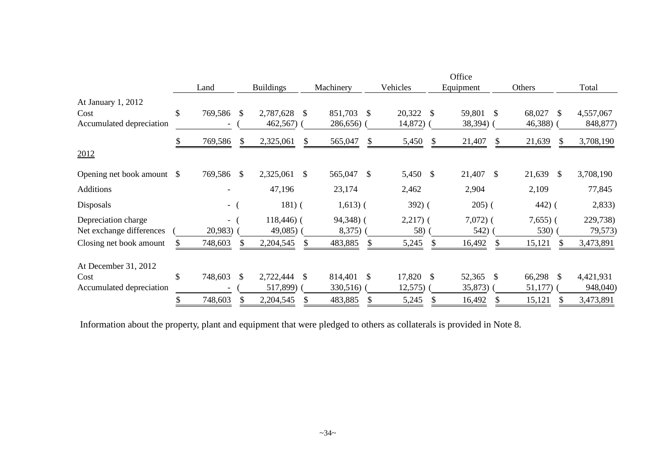|                                                 |               |                                     |               |                        |      |                     |    |                   |    | Office             |              |                     |                     |
|-------------------------------------------------|---------------|-------------------------------------|---------------|------------------------|------|---------------------|----|-------------------|----|--------------------|--------------|---------------------|---------------------|
|                                                 |               | Land                                |               | <b>Buildings</b>       |      | Machinery           |    | Vehicles          |    | Equipment          |              | Others              | Total               |
| At January 1, 2012<br>Cost                      | \$            | 769,586 \$                          |               | 2,787,628              | - \$ | 851,703             | -S | 20,322            | -S | 59,801 \$          |              | 68,027<br>-S        | 4,557,067           |
| Accumulated depreciation                        |               |                                     |               | $462,567$ )            |      | 286,656)            |    | 14,872)           |    | 38,394)            |              | 46,388)             | 848,877)            |
|                                                 | S.            | 769,586                             | \$            | 2,325,061              |      | 565,047             | S  | 5,450             | \$ | 21,407             | S            | 21,639<br>\$        | 3,708,190           |
| 2012                                            |               |                                     |               |                        |      |                     |    |                   |    |                    |              |                     |                     |
| Opening net book amount                         | <sup>\$</sup> | 769,586 \$                          |               | 2,325,061              | -S   | 565,047 \$          |    | 5,450             | \$ | 21,407 \$          |              | 21,639<br>- \$      | 3,708,190           |
| <b>Additions</b>                                |               |                                     |               | 47,196                 |      | 23,174              |    | 2,462             |    | 2,904              |              | 2,109               | 77,845              |
| Disposals                                       |               | $\sim$                              |               | $181)$ (               |      | $1,613)$ (          |    | $392)$ (          |    | $205)$ (           |              | $442)$ (            | 2,833)              |
| Depreciation charge<br>Net exchange differences |               | $\overline{\phantom{0}}$<br>20,983) |               | $118,446$ (<br>49,085) |      | 94,348) (<br>8,375) |    | $2,217)$ (<br>58) |    | $7,072)$ (<br>542) |              | $7,655$ ) (<br>530) | 229,738)<br>79,573) |
| Closing net book amount                         |               | 748,603                             | \$            | 2,204,545              |      | 483,885             |    | 5,245             |    | 16,492             | <sup>S</sup> | 15,121              | 3,473,891           |
| At December 31, 2012                            |               |                                     |               |                        |      |                     |    |                   |    |                    |              |                     |                     |
| Cost                                            | \$            | 748,603                             | <sup>\$</sup> | 2,722,444              | -S   | 814,401             | -S | 17,820            | -S | 52,365 \$          |              | 66,298 \$           | 4,421,931           |
| Accumulated depreciation                        |               |                                     |               | 517,899) (             |      | 330,516)            |    | $12,575$ (        |    | 35,873             |              | $51,177$ )          | 948,040)            |
|                                                 |               | 748,603                             |               | 2,204,545              |      | 483,885             |    | 5,245             |    | 16,492             | \$           | 15,121              | 3,473,891           |

Information about the property, plant and equipment that were pledged to others as collaterals is provided in Note 8.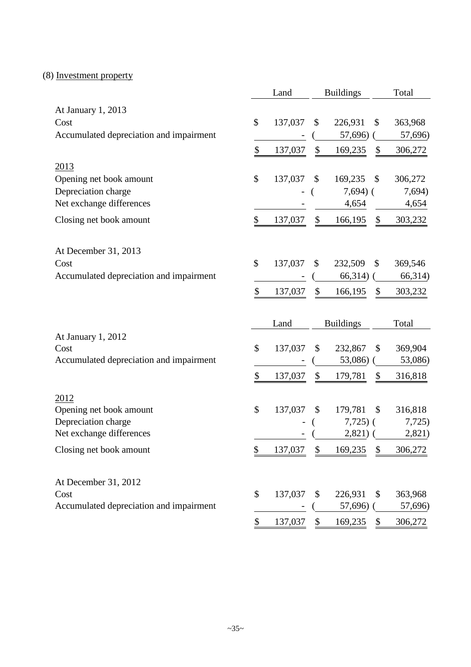## (8) Investment property

|                                                 | Land          |                           | <b>Buildings</b>   | Total                    |
|-------------------------------------------------|---------------|---------------------------|--------------------|--------------------------|
| At January 1, 2013                              |               |                           |                    |                          |
| Cost                                            | \$<br>137,037 | \$                        | 226,931            | \$<br>363,968            |
| Accumulated depreciation and impairment         |               |                           | 57,696)            | 57,696)                  |
|                                                 | \$<br>137,037 | $\boldsymbol{\mathsf{S}}$ | 169,235            | \$<br>306,272            |
| 2013                                            |               |                           |                    |                          |
| Opening net book amount                         | \$<br>137,037 | \$                        | 169,235            | \$<br>306,272            |
| Depreciation charge                             |               |                           | $7,694$ ) (        | 7,694)                   |
| Net exchange differences                        |               |                           | 4,654              | 4,654                    |
| Closing net book amount                         | \$<br>137,037 | \$                        | 166,195            | \$<br>303,232            |
| At December 31, 2013                            |               |                           |                    |                          |
| Cost                                            | \$<br>137,037 | \$                        | 232,509            | \$<br>369,546            |
| Accumulated depreciation and impairment         |               |                           | 66,314)            | 66,314)                  |
|                                                 | \$<br>137,037 | \$                        | 166,195            | \$<br>303,232            |
|                                                 |               |                           |                    |                          |
|                                                 | Land          |                           | <b>Buildings</b>   | Total                    |
| At January 1, 2012                              |               |                           |                    |                          |
| Cost                                            | \$<br>137,037 | \$                        | 232,867            | \$<br>369,904            |
| Accumulated depreciation and impairment         |               |                           | 53,086)            | 53,086)                  |
|                                                 | \$<br>137,037 | \$                        | 179,781            | \$<br>316,818            |
|                                                 |               |                           |                    |                          |
| 2012<br>Opening net book amount                 | \$<br>137,037 | \$                        | 179,781            | \$<br>316,818            |
| Depreciation charge                             |               |                           | $7,725$ ) (        | 7,725)                   |
| Net exchange differences                        |               |                           | 2,821)             | 2,821)                   |
| Closing net book amount                         | \$<br>137,037 | \$                        | 169,235            | \$<br>306,272            |
|                                                 |               |                           |                    |                          |
| At December 31, 2012                            |               |                           |                    |                          |
| Cost<br>Accumulated depreciation and impairment | \$<br>137,037 | \$                        | 226,931<br>57,696) | \$<br>363,968<br>57,696) |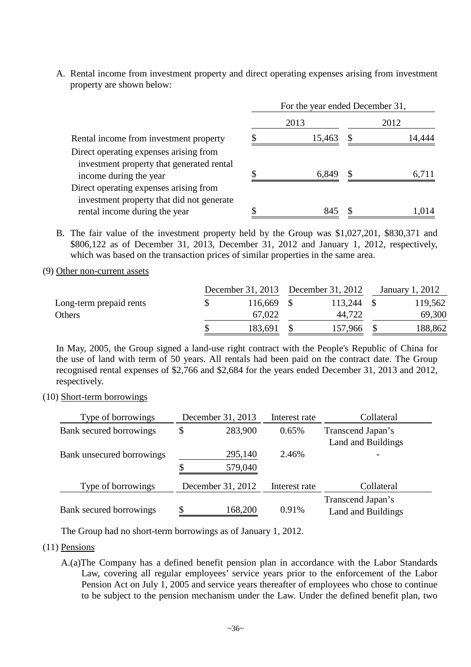A. Rental income from investment property and direct operating expenses arising from investment property are shown below:

|                                                                                     | For the year ended December 31, |        |      |        |  |  |
|-------------------------------------------------------------------------------------|---------------------------------|--------|------|--------|--|--|
|                                                                                     |                                 | 2013   | 2012 |        |  |  |
| Rental income from investment property                                              |                                 | 15,463 | S    | 14,444 |  |  |
| Direct operating expenses arising from<br>investment property that generated rental |                                 |        |      |        |  |  |
| income during the year                                                              |                                 | 6,849  |      | 6,711  |  |  |
| Direct operating expenses arising from<br>investment property that did not generate |                                 |        |      |        |  |  |
| rental income during the year                                                       |                                 |        |      | .014   |  |  |

- B. The fair value of the investment property held by the Group was \$1,027,201, \$830,371 and \$806,122 as of December 31, 2013, December 31, 2012 and January 1, 2012, respectively, which was based on the transaction prices of similar properties in the same area.
- (9) Other non-current assets

|                         | December 31, 2013 December 31, 2012 |         | January 1, 2012 |
|-------------------------|-------------------------------------|---------|-----------------|
| Long-term prepaid rents | 116,669                             | 113,244 | 119,562         |
| Others                  | 67,022                              | 44,722  | 69,300          |
|                         | 183,691                             | 157,966 | 188,862         |

In May, 2005, the Group signed a land-use right contract with the People's Republic of China for the use of land with term of 50 years. All rentals had been paid on the contract date. The Group recognised rental expenses of \$2,766 and \$2,684 for the years ended December 31, 2013 and 2012, respectively.

(10) Short-term borrowings

| Type of borrowings        | December 31, 2013  | Interest rate | Collateral                                     |
|---------------------------|--------------------|---------------|------------------------------------------------|
| Bank secured borrowings   | 283,900<br>\$      | 0.65%         | Transcend Japan's<br>Land and Buildings        |
| Bank unsecured borrowings | 295,140<br>579,040 | 2.46%         |                                                |
| Type of borrowings        | December 31, 2012  | Interest rate | Collateral                                     |
| Bank secured borrowings   | 168,200            | 0.91%         | Transcend Japan's<br><b>Land and Buildings</b> |

The Group had no short-term borrowings as of January 1, 2012.

- (11) Pensions
	- A.(a)The Company has a defined benefit pension plan in accordance with the Labor Standards Law, covering all regular employees' service years prior to the enforcement of the Labor Pension Act on July 1, 2005 and service years thereafter of employees who chose to continue to be subject to the pension mechanism under the Law. Under the defined benefit plan, two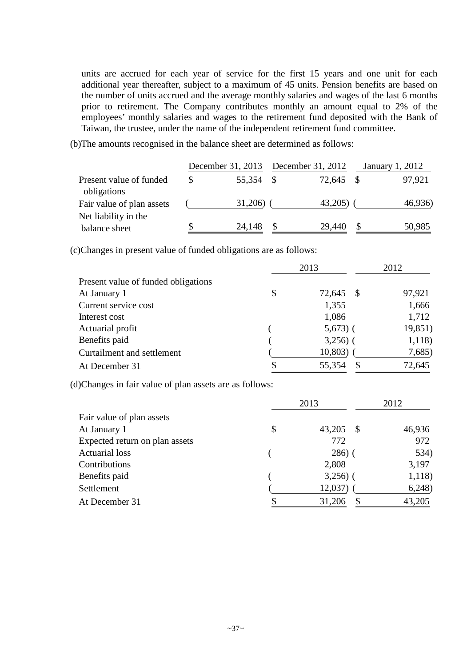units are accrued for each year of service for the first 15 years and one unit for each additional year thereafter, subject to a maximum of 45 units. Pension benefits are based on the number of units accrued and the average monthly salaries and wages of the last 6 months prior to retirement. The Company contributes monthly an amount equal to 2% of the employees' monthly salaries and wages to the retirement fund deposited with the Bank of Taiwan, the trustee, under the name of the independent retirement fund committee.

(b)The amounts recognised in the balance sheet are determined as follows:

|                                        |              | December 31, 2013 December 31, 2012 |  |           |  | January 1, 2012 |  |
|----------------------------------------|--------------|-------------------------------------|--|-----------|--|-----------------|--|
| Present value of funded<br>obligations | <sup>S</sup> | 55,354 \$                           |  | 72,645 \$ |  | 97,921          |  |
| Fair value of plan assets              |              | 31,206                              |  | 43,205)   |  | 46,936)         |  |
| Net liability in the<br>balance sheet  |              | 24,148                              |  | 29,440    |  | 50,985          |  |

(c)Changes in present value of funded obligations are as follows:

|                                     |                           | 2013         | 2012    |
|-------------------------------------|---------------------------|--------------|---------|
| Present value of funded obligations |                           |              |         |
| At January 1                        | \$                        | 72,645<br>-S | 97,921  |
| Current service cost                |                           | 1,355        | 1,666   |
| Interest cost                       |                           | 1,086        | 1,712   |
| Actuarial profit                    |                           | $5,673$ ) (  | 19,851) |
| Benefits paid                       |                           | $3,256$ ) (  | 1,118)  |
| Curtailment and settlement          |                           | 10,803)      | 7,685)  |
| At December 31                      | $\boldsymbol{\mathsf{S}}$ | 55,354       | 72,645  |

(d)Changes in fair value of plan assets are as follows:

|                                | 2013               | 2012   |
|--------------------------------|--------------------|--------|
| Fair value of plan assets      |                    |        |
| At January 1                   | \$<br>43,205<br>-S | 46,936 |
| Expected return on plan assets | 772                | 972    |
| <b>Actuarial loss</b>          | $286)$ (           | 534)   |
| Contributions                  | 2,808              | 3,197  |
| Benefits paid                  | $3,256$ ) (        | 1,118) |
| Settlement                     | 12,037)            | 6,248  |
| At December 31                 | 31,206<br>S        | 43,205 |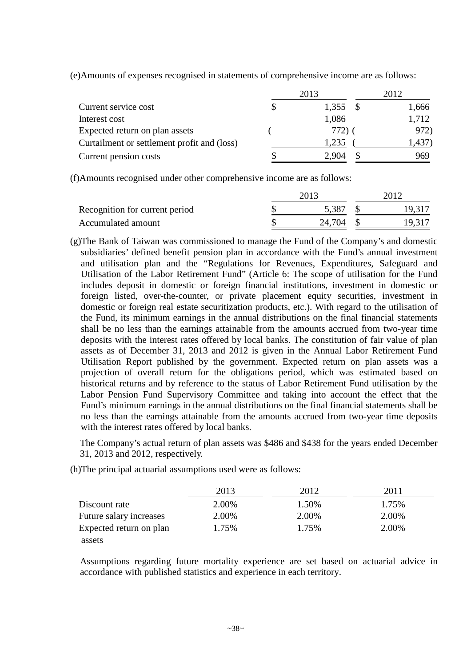(e)Amounts of expenses recognised in statements of comprehensive income are as follows:

|                                             | 2013  | 2012  |
|---------------------------------------------|-------|-------|
| Current service cost                        | 1,355 | 1,666 |
| Interest cost                               | 1,086 | 1,712 |
| Expected return on plan assets              | 772)  | 972)  |
| Curtailment or settlement profit and (loss) | 1,235 |       |
| Current pension costs                       | 2.904 | 969   |

(f)Amounts recognised under other comprehensive income are as follows:

| Recognition for current period |  | 5,387  |  | 19.317 |
|--------------------------------|--|--------|--|--------|
| Accumulated amount             |  | 24.704 |  | 19,317 |

(g)The Bank of Taiwan was commissioned to manage the Fund of the Company's and domestic subsidiaries' defined benefit pension plan in accordance with the Fund's annual investment and utilisation plan and the "Regulations for Revenues, Expenditures, Safeguard and Utilisation of the Labor Retirement Fund" (Article 6: The scope of utilisation for the Fund includes deposit in domestic or foreign financial institutions, investment in domestic or foreign listed, over-the-counter, or private placement equity securities, investment in domestic or foreign real estate securitization products, etc.). With regard to the utilisation of the Fund, its minimum earnings in the annual distributions on the final financial statements shall be no less than the earnings attainable from the amounts accrued from two-year time deposits with the interest rates offered by local banks. The constitution of fair value of plan assets as of December 31, 2013 and 2012 is given in the Annual Labor Retirement Fund Utilisation Report published by the government. Expected return on plan assets was a projection of overall return for the obligations period, which was estimated based on historical returns and by reference to the status of Labor Retirement Fund utilisation by the Labor Pension Fund Supervisory Committee and taking into account the effect that the Fund's minimum earnings in the annual distributions on the final financial statements shall be no less than the earnings attainable from the amounts accrued from two-year time deposits with the interest rates offered by local banks.

The Company's actual return of plan assets was \$486 and \$438 for the years ended December 31, 2013 and 2012, respectively.

|                         | 2013  | 2012  | 2011  |
|-------------------------|-------|-------|-------|
| Discount rate           | 2.00% | 1.50% | 1.75% |
| Future salary increases | 2.00% | 2.00% | 2.00% |
| Expected return on plan | 1.75% | 1.75% | 2.00% |
| assets                  |       |       |       |

(h)The principal actuarial assumptions used were as follows:

Assumptions regarding future mortality experience are set based on actuarial advice in accordance with published statistics and experience in each territory.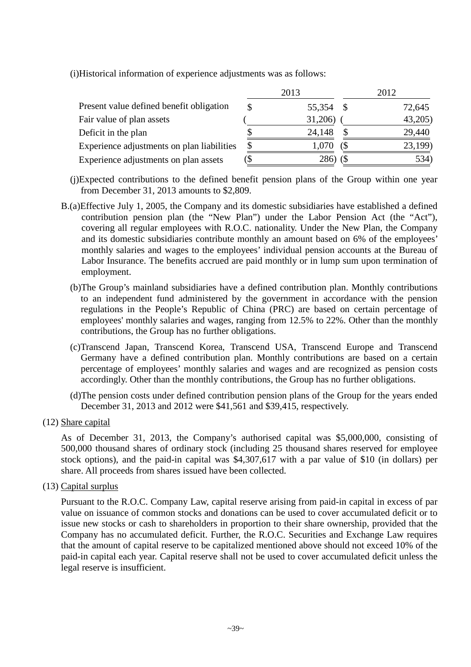|                                            |    | 2013    |     | 2012    |
|--------------------------------------------|----|---------|-----|---------|
| Present value defined benefit obligation   | S  | 55,354  |     | 72,645  |
| Fair value of plan assets                  |    | 31,206) |     | 43,205) |
| Deficit in the plan                        |    | 24,148  |     | 29,440  |
| Experience adjustments on plan liabilities | \$ | 1,070   | (\$ | 23,199) |
| Experience adjustments on plan assets      | S  | 286)    |     | 534)    |

(i)Historical information of experience adjustments was as follows:

- (j)Expected contributions to the defined benefit pension plans of the Group within one year from December 31, 2013 amounts to \$2,809.
- B.(a)Effective July 1, 2005, the Company and its domestic subsidiaries have established a defined contribution pension plan (the "New Plan") under the Labor Pension Act (the "Act"), covering all regular employees with R.O.C. nationality. Under the New Plan, the Company and its domestic subsidiaries contribute monthly an amount based on 6% of the employees' monthly salaries and wages to the employees' individual pension accounts at the Bureau of Labor Insurance. The benefits accrued are paid monthly or in lump sum upon termination of employment.
	- (b)The Group's mainland subsidiaries have a defined contribution plan. Monthly contributions to an independent fund administered by the government in accordance with the pension regulations in the People's Republic of China (PRC) are based on certain percentage of employees' monthly salaries and wages, ranging from 12.5% to 22%. Other than the monthly contributions, the Group has no further obligations.
	- (c)Transcend Japan, Transcend Korea, Transcend USA, Transcend Europe and Transcend Germany have a defined contribution plan. Monthly contributions are based on a certain percentage of employees' monthly salaries and wages and are recognized as pension costs accordingly. Other than the monthly contributions, the Group has no further obligations.
	- (d)The pension costs under defined contribution pension plans of the Group for the years ended December 31, 2013 and 2012 were \$41,561 and \$39,415, respectively.
- (12) Share capital

As of December 31, 2013, the Company's authorised capital was \$5,000,000, consisting of 500,000 thousand shares of ordinary stock (including 25 thousand shares reserved for employee stock options), and the paid-in capital was \$4,307,617 with a par value of \$10 (in dollars) per share. All proceeds from shares issued have been collected.

(13) Capital surplus

Pursuant to the R.O.C. Company Law, capital reserve arising from paid-in capital in excess of par value on issuance of common stocks and donations can be used to cover accumulated deficit or to issue new stocks or cash to shareholders in proportion to their share ownership, provided that the Company has no accumulated deficit. Further, the R.O.C. Securities and Exchange Law requires that the amount of capital reserve to be capitalized mentioned above should not exceed 10% of the paid-in capital each year. Capital reserve shall not be used to cover accumulated deficit unless the legal reserve is insufficient.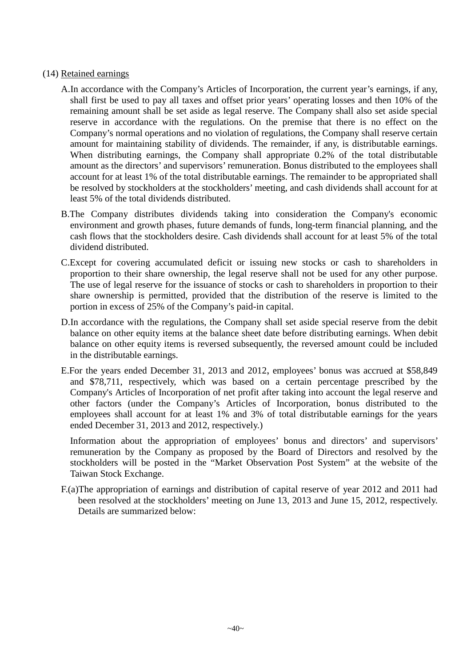### (14) Retained earnings

- A.In accordance with the Company's Articles of Incorporation, the current year's earnings, if any, shall first be used to pay all taxes and offset prior years' operating losses and then 10% of the remaining amount shall be set aside as legal reserve. The Company shall also set aside special reserve in accordance with the regulations. On the premise that there is no effect on the Company's normal operations and no violation of regulations, the Company shall reserve certain amount for maintaining stability of dividends. The remainder, if any, is distributable earnings. When distributing earnings, the Company shall appropriate 0.2% of the total distributable amount as the directors' and supervisors' remuneration. Bonus distributed to the employees shall account for at least 1% of the total distributable earnings. The remainder to be appropriated shall be resolved by stockholders at the stockholders' meeting, and cash dividends shall account for at least 5% of the total dividends distributed.
- B.The Company distributes dividends taking into consideration the Company's economic environment and growth phases, future demands of funds, long-term financial planning, and the cash flows that the stockholders desire. Cash dividends shall account for at least 5% of the total dividend distributed.
- C.Except for covering accumulated deficit or issuing new stocks or cash to shareholders in proportion to their share ownership, the legal reserve shall not be used for any other purpose. The use of legal reserve for the issuance of stocks or cash to shareholders in proportion to their share ownership is permitted, provided that the distribution of the reserve is limited to the portion in excess of 25% of the Company's paid-in capital.
- D.In accordance with the regulations, the Company shall set aside special reserve from the debit balance on other equity items at the balance sheet date before distributing earnings. When debit balance on other equity items is reversed subsequently, the reversed amount could be included in the distributable earnings.
- E.For the years ended December 31, 2013 and 2012, employees' bonus was accrued at \$58,849 and \$78,711, respectively, which was based on a certain percentage prescribed by the Company's Articles of Incorporation of net profit after taking into account the legal reserve and other factors (under the Company's Articles of Incorporation, bonus distributed to the employees shall account for at least 1% and 3% of total distributable earnings for the years ended December 31, 2013 and 2012, respectively.)

Information about the appropriation of employees' bonus and directors' and supervisors' remuneration by the Company as proposed by the Board of Directors and resolved by the stockholders will be posted in the "Market Observation Post System" at the website of the Taiwan Stock Exchange.

F.(a)The appropriation of earnings and distribution of capital reserve of year 2012 and 2011 had been resolved at the stockholders' meeting on June 13, 2013 and June 15, 2012, respectively. Details are summarized below: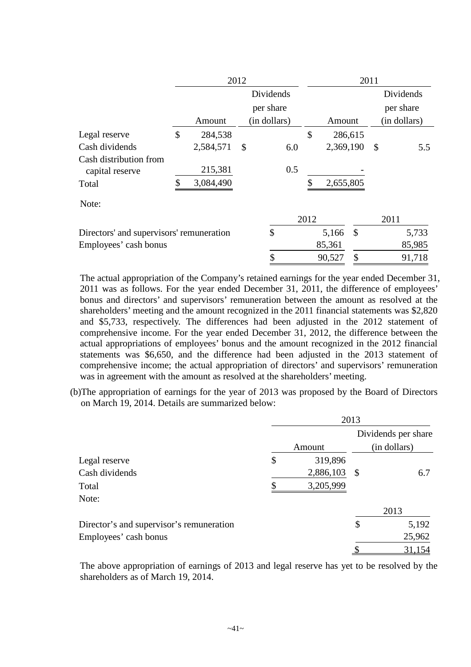|                                           | 2012 |           |                           | 2011         |               |           |               |    |              |
|-------------------------------------------|------|-----------|---------------------------|--------------|---------------|-----------|---------------|----|--------------|
|                                           |      |           | Dividends                 |              |               |           |               |    | Dividends    |
|                                           |      |           |                           | per share    |               |           |               |    | per share    |
|                                           |      | Amount    |                           | (in dollars) |               | Amount    |               |    | (in dollars) |
| Legal reserve                             | \$   | 284,538   |                           |              | $\mathcal{S}$ |           | 286,615       |    |              |
| Cash dividends                            |      | 2,584,571 | $\boldsymbol{\mathsf{S}}$ | 6.0          |               | 2,369,190 |               | \$ | 5.5          |
| Cash distribution from<br>capital reserve |      | 215,381   |                           | 0.5          |               |           |               |    |              |
| Total                                     |      | 3,084,490 |                           |              |               | 2,655,805 |               |    |              |
| Note:                                     |      |           |                           |              |               |           |               |    |              |
|                                           |      |           |                           |              | 2012          |           |               |    | 2011         |
| Directors' and supervisors' remuneration  |      |           |                           | \$           |               | 5,166     | $\mathcal{S}$ |    | 5,733        |
| Employees' cash bonus                     |      |           |                           |              |               | 85,361    |               |    | 85,985       |
|                                           |      |           |                           | \$           |               | 90,527    | \$            |    | 91,718       |

The actual appropriation of the Company's retained earnings for the year ended December 31, 2011 was as follows. For the year ended December 31, 2011, the difference of employees' bonus and directors' and supervisors' remuneration between the amount as resolved at the shareholders' meeting and the amount recognized in the 2011 financial statements was \$2,820 and \$5,733, respectively. The differences had been adjusted in the 2012 statement of comprehensive income. For the year ended December 31, 2012, the difference between the actual appropriations of employees' bonus and the amount recognized in the 2012 financial statements was \$6,650, and the difference had been adjusted in the 2013 statement of comprehensive income; the actual appropriation of directors' and supervisors' remuneration was in agreement with the amount as resolved at the shareholders' meeting.

(b)The appropriation of earnings for the year of 2013 was proposed by the Board of Directors on March 19, 2014. Details are summarized below:

|                                          | 2013 |           |               |                     |  |  |
|------------------------------------------|------|-----------|---------------|---------------------|--|--|
|                                          |      |           |               | Dividends per share |  |  |
|                                          |      | Amount    |               | (in dollars)        |  |  |
| Legal reserve                            | \$   | 319,896   |               |                     |  |  |
| Cash dividends                           |      | 2,886,103 | $\mathcal{S}$ | 6.7                 |  |  |
| Total                                    |      | 3,205,999 |               |                     |  |  |
| Note:                                    |      |           |               |                     |  |  |
|                                          |      |           |               | 2013                |  |  |
| Director's and supervisor's remuneration |      |           | \$            | 5,192               |  |  |
| Employees' cash bonus                    |      |           |               | 25,962              |  |  |
|                                          |      |           |               | 31,154              |  |  |

The above appropriation of earnings of 2013 and legal reserve has yet to be resolved by the shareholders as of March 19, 2014.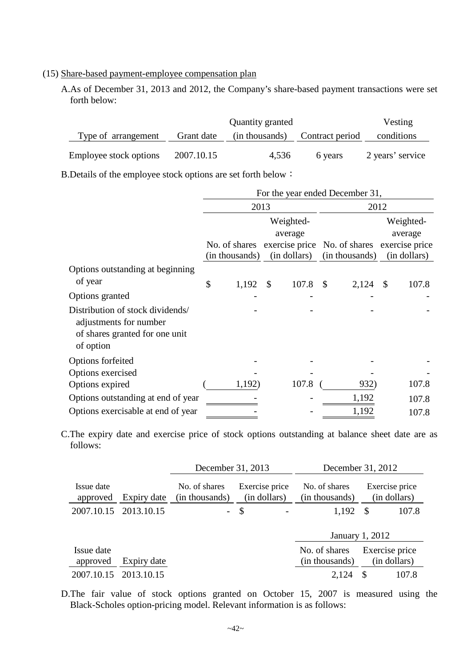#### (15) Share-based payment-employee compensation plan

A.As of December 31, 2013 and 2012, the Company's share-based payment transactions were set forth below:

|                                                               |            | Quantity granted |                                 | Vesting          |
|---------------------------------------------------------------|------------|------------------|---------------------------------|------------------|
| Type of arrangement                                           | Grant date | (in thousands)   | Contract period                 | conditions       |
| Employee stock options                                        | 2007.10.15 | 4,536            | 6 years                         | 2 years' service |
| B. Details of the employee stock options are set forth below: |            |                  |                                 |                  |
|                                                               |            |                  | For the year ended December 31, |                  |

|                                                                                                           |    |                |               |                      | For the year ended December 31,                                             |                      |              |  |
|-----------------------------------------------------------------------------------------------------------|----|----------------|---------------|----------------------|-----------------------------------------------------------------------------|----------------------|--------------|--|
|                                                                                                           |    | 2013           |               |                      | 2012                                                                        |                      |              |  |
|                                                                                                           |    |                |               | Weighted-<br>average |                                                                             | Weighted-<br>average |              |  |
|                                                                                                           |    | (in thousands) |               | (in dollars)         | No. of shares exercise price No. of shares exercise price<br>(in thousands) |                      | (in dollars) |  |
| Options outstanding at beginning                                                                          |    |                |               |                      |                                                                             |                      |              |  |
| of year                                                                                                   | \$ | 1,192          | $\mathcal{S}$ | 107.8                | \$<br>2,124                                                                 | \$                   | 107.8        |  |
| Options granted                                                                                           |    |                |               |                      |                                                                             |                      |              |  |
| Distribution of stock dividends/<br>adjustments for number<br>of shares granted for one unit<br>of option |    |                |               |                      |                                                                             |                      |              |  |
| Options forfeited                                                                                         |    |                |               |                      |                                                                             |                      |              |  |
| Options exercised                                                                                         |    |                |               |                      |                                                                             |                      |              |  |
| Options expired                                                                                           |    | 1,192)         |               | 107.8                | 932)                                                                        |                      | 107.8        |  |
| Options outstanding at end of year                                                                        |    |                |               |                      | 1,192                                                                       |                      | 107.8        |  |
| Options exercisable at end of year                                                                        |    |                |               |                      | 1,192                                                                       |                      | 107.8        |  |

C.The expiry date and exercise price of stock options outstanding at balance sheet date are as follows:

|                        |             | December 31, 2013               |                                |                                 | December 31, 2012              |  |  |
|------------------------|-------------|---------------------------------|--------------------------------|---------------------------------|--------------------------------|--|--|
| Issue date<br>approved | Expiry date | No. of shares<br>(in thousands) | Exercise price<br>(in dollars) | No. of shares<br>(in thousands) | Exercise price<br>(in dollars) |  |  |
| 2007.10.15 2013.10.15  |             |                                 | $\mathcal{S}$                  | 1,192                           | 107.8<br>-S                    |  |  |
|                        |             |                                 |                                |                                 | January 1, 2012                |  |  |
| Issue date             |             |                                 |                                | No. of shares                   | Exercise price                 |  |  |
| approved               | Expiry date |                                 |                                | (in thousands)                  | (in dollars)                   |  |  |
| 2007.10.15             | 2013.10.15  |                                 |                                | 2,124                           | <sup>\$</sup><br>107.8         |  |  |

D.The fair value of stock options granted on October 15, 2007 is measured using the Black-Scholes option-pricing model. Relevant information is as follows: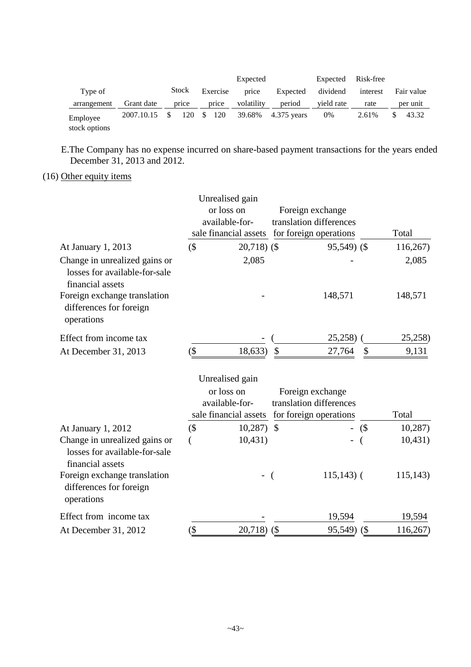|                           |            |       |               |          | Expected   |               | Expected   | Risk-free |            |
|---------------------------|------------|-------|---------------|----------|------------|---------------|------------|-----------|------------|
| Type of                   |            | Stock |               | Exercise | price      | Expected      | dividend   | interest  | Fair value |
| arrangement               | Grant date | price |               | price    | volatility | period        | vield rate | rate      | per unit   |
| Employee<br>stock options | 2007.10.15 | 120   | <sup>\$</sup> | 120      | 39.68%     | $4.375$ years | 0%         | 2.61%     | 43.32      |

E.The Company has no expense incurred on share-based payment transactions for the years ended December 31, 2013 and 2012.

# (16) Other equity items

|                                                                                    |         | Unrealised gain                                                          |                |                                                                       |        |          |
|------------------------------------------------------------------------------------|---------|--------------------------------------------------------------------------|----------------|-----------------------------------------------------------------------|--------|----------|
|                                                                                    |         | or loss on                                                               |                | Foreign exchange                                                      |        |          |
|                                                                                    |         | available-for-                                                           |                | translation differences                                               |        |          |
|                                                                                    |         | sale financial assets                                                    |                | for foreign operations                                                |        | Total    |
| At January 1, 2013                                                                 | $($ \$  | $20,718$ ) (\$                                                           |                | 95,549) (\$                                                           |        | 116,267) |
| Change in unrealized gains or<br>losses for available-for-sale<br>financial assets |         | 2,085                                                                    |                |                                                                       |        | 2,085    |
| Foreign exchange translation<br>differences for foreign<br>operations              |         |                                                                          |                | 148,571                                                               |        | 148,571  |
| Effect from income tax                                                             |         |                                                                          |                | 25,258)                                                               |        | 25,258)  |
| At December 31, 2013                                                               | (       | 18,633)                                                                  | \$             | 27,764                                                                | \$     | 9,131    |
|                                                                                    |         | Unrealised gain<br>or loss on<br>available-for-<br>sale financial assets |                | Foreign exchange<br>translation differences<br>for foreign operations |        | Total    |
| At January 1, 2012                                                                 | $($ \$  | 10,287                                                                   | $\mathbb{S}$   |                                                                       | $($ \$ | 10,287)  |
| Change in unrealized gains or<br>losses for available-for-sale<br>financial assets |         | 10,431)                                                                  |                |                                                                       |        | 10,431)  |
| Foreign exchange translation<br>differences for foreign<br>operations              |         | $\overline{\phantom{0}}$                                                 | $\overline{(}$ | $115,143$ (                                                           |        | 115,143) |
| Effect from income tax                                                             |         |                                                                          |                | 19,594                                                                |        | 19,594   |
| At December 31, 2012                                                               | $(\$\,$ | 20,718)                                                                  | (              | 95,549)                                                               | (      | 116,267) |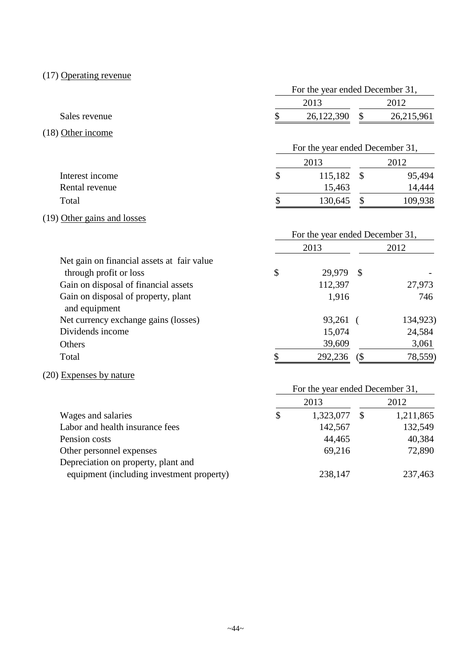# (17) Operating revenue

|                                            |                                 | For the year ended December 31, |            |  |
|--------------------------------------------|---------------------------------|---------------------------------|------------|--|
|                                            | 2013                            |                                 | 2012       |  |
| Sales revenue                              | 26,122,390                      | \$                              | 26,215,961 |  |
| $(18)$ Other income                        |                                 |                                 |            |  |
|                                            |                                 | For the year ended December 31, |            |  |
|                                            | 2013                            |                                 | 2012       |  |
| Interest income                            | \$<br>115,182                   | $\mathcal{S}$                   | 95,494     |  |
| Rental revenue                             | 15,463                          |                                 | 14,444     |  |
| Total                                      | \$<br>130,645                   | $\mathcal{S}$                   | 109,938    |  |
| (19) Other gains and losses                |                                 |                                 |            |  |
|                                            | For the year ended December 31, |                                 |            |  |
|                                            | 2013                            |                                 | 2012       |  |
| Net gain on financial assets at fair value |                                 |                                 |            |  |
| through profit or loss                     | \$<br>29,979                    | $\mathcal{S}$                   |            |  |
| Gain on disposal of financial assets       | 112,397                         |                                 | 27,973     |  |
| Gain on disposal of property, plant        | 1,916                           |                                 | 746        |  |
| and equipment                              |                                 |                                 |            |  |
| Net currency exchange gains (losses)       | 93,261                          | $\sqrt{ }$                      | 134,923)   |  |
| Dividends income                           | 15,074                          |                                 | 24,584     |  |
| Others                                     | 39,609                          |                                 | 3,061      |  |

# (20) Expenses by nature

|                                           | For the year ended December 31, |    |           |  |  |
|-------------------------------------------|---------------------------------|----|-----------|--|--|
|                                           | 2013                            |    | 2012      |  |  |
| Wages and salaries                        | \$<br>1,323,077                 | -S | 1,211,865 |  |  |
| Labor and health insurance fees           | 142,567                         |    | 132,549   |  |  |
| Pension costs                             | 44,465                          |    | 40,384    |  |  |
| Other personnel expenses                  | 69,216                          |    | 72,890    |  |  |
| Depreciation on property, plant and       |                                 |    |           |  |  |
| equipment (including investment property) | 238,147                         |    | 237,463   |  |  |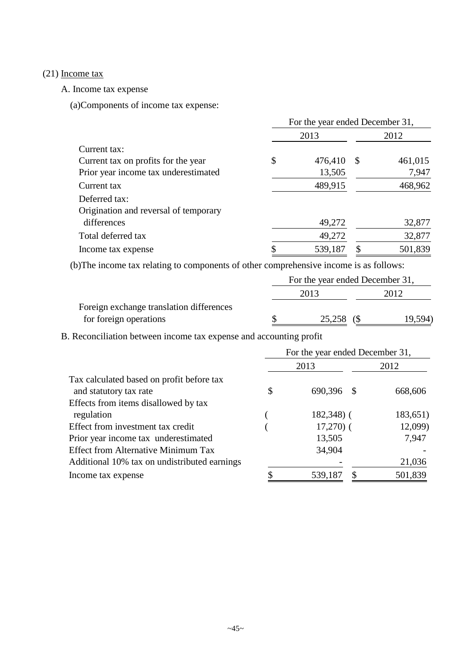# (21) Income tax

A. Income tax expense

(a)Components of income tax expense:

|                                       | For the year ended December 31, |         |               |         |  |  |  |  |
|---------------------------------------|---------------------------------|---------|---------------|---------|--|--|--|--|
|                                       |                                 | 2013    |               | 2012    |  |  |  |  |
| Current tax:                          |                                 |         |               |         |  |  |  |  |
| Current tax on profits for the year   | \$                              | 476,410 | <sup>\$</sup> | 461,015 |  |  |  |  |
| Prior year income tax underestimated  |                                 | 13,505  |               | 7,947   |  |  |  |  |
| Current tax                           |                                 | 489,915 |               | 468,962 |  |  |  |  |
| Deferred tax:                         |                                 |         |               |         |  |  |  |  |
| Origination and reversal of temporary |                                 |         |               |         |  |  |  |  |
| differences                           |                                 | 49,272  |               | 32,877  |  |  |  |  |
| Total deferred tax                    |                                 | 49,272  |               | 32,877  |  |  |  |  |
| Income tax expense                    | Φ                               | 539,187 |               | 501,839 |  |  |  |  |

(b)The income tax relating to components of other comprehensive income is as follows:

| 2013   |  |                                          |
|--------|--|------------------------------------------|
|        |  |                                          |
| 25,258 |  | 19,594)                                  |
|        |  | For the year ended December 31,<br>2012. |

B. Reconciliation between income tax expense and accounting profit

|                                              | For the year ended December 31, |               |          |  |  |  |  |  |  |
|----------------------------------------------|---------------------------------|---------------|----------|--|--|--|--|--|--|
|                                              |                                 | 2013          | 2012     |  |  |  |  |  |  |
| Tax calculated based on profit before tax    |                                 |               |          |  |  |  |  |  |  |
| and statutory tax rate                       | \$                              | 690,396<br>-8 | 668,606  |  |  |  |  |  |  |
| Effects from items disallowed by tax         |                                 |               |          |  |  |  |  |  |  |
| regulation                                   |                                 | $182,348$ ) ( | 183,651) |  |  |  |  |  |  |
| Effect from investment tax credit            |                                 | $17,270$ (    | 12,099)  |  |  |  |  |  |  |
| Prior year income tax underestimated         |                                 | 13,505        | 7,947    |  |  |  |  |  |  |
| <b>Effect from Alternative Minimum Tax</b>   |                                 | 34,904        |          |  |  |  |  |  |  |
| Additional 10% tax on undistributed earnings |                                 |               | 21,036   |  |  |  |  |  |  |
| Income tax expense                           |                                 | 539,187       | 501,839  |  |  |  |  |  |  |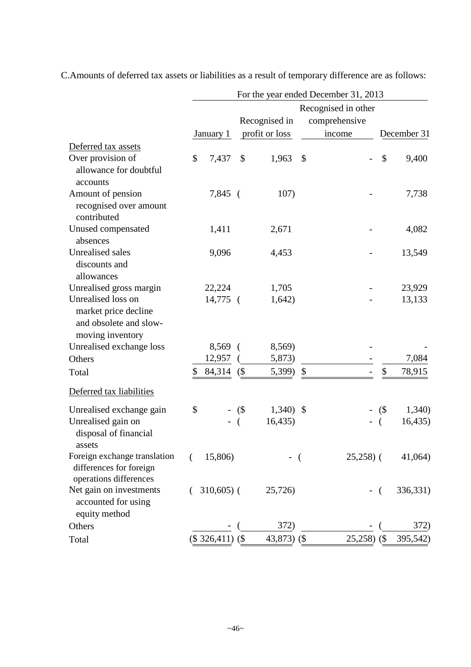|                                             |    |                   |          |                | For the year ended December 31, 2013 |            |             |
|---------------------------------------------|----|-------------------|----------|----------------|--------------------------------------|------------|-------------|
|                                             |    |                   |          |                | Recognised in other                  |            |             |
|                                             |    |                   |          | Recognised in  | comprehensive                        |            |             |
|                                             |    | January 1         |          | profit or loss | income                               |            | December 31 |
| Deferred tax assets                         |    |                   |          |                |                                      |            |             |
| Over provision of                           | \$ | 7,437             | \$       | 1,963          | \$                                   | \$         | 9,400       |
| allowance for doubtful                      |    |                   |          |                |                                      |            |             |
| accounts                                    |    |                   |          |                |                                      |            |             |
| Amount of pension<br>recognised over amount |    | $7,845$ (         |          | 107)           |                                      |            | 7,738       |
| contributed                                 |    |                   |          |                |                                      |            |             |
| Unused compensated                          |    | 1,411             |          | 2,671          |                                      |            | 4,082       |
| absences                                    |    |                   |          |                |                                      |            |             |
| <b>Unrealised sales</b>                     |    | 9,096             |          | 4,453          |                                      |            | 13,549      |
| discounts and                               |    |                   |          |                |                                      |            |             |
| allowances                                  |    |                   |          |                |                                      |            |             |
| Unrealised gross margin                     |    | 22,224            |          | 1,705          |                                      |            | 23,929      |
| Unrealised loss on                          |    | 14,775 (          |          | 1,642)         |                                      |            | 13,133      |
| market price decline                        |    |                   |          |                |                                      |            |             |
| and obsolete and slow-                      |    |                   |          |                |                                      |            |             |
| moving inventory                            |    |                   |          |                |                                      |            |             |
| Unrealised exchange loss                    |    | $8,569$ (         |          | 8,569)         |                                      |            |             |
| Others                                      |    | 12,957            |          | 5,873)         |                                      |            | 7,084       |
| Total                                       | \$ | 84,314            | (        | 5,399)         | \$                                   | \$         | 78,915      |
| Deferred tax liabilities                    |    |                   |          |                |                                      |            |             |
| Unrealised exchange gain                    | \$ |                   | $-$ (\$) | $1,340$ \$     |                                      | $($ \$     | 1,340       |
| Unrealised gain on                          |    |                   |          | 16,435         |                                      | €          | 16,435)     |
| disposal of financial                       |    |                   |          |                |                                      |            |             |
| assets                                      |    |                   |          |                |                                      |            |             |
| Foreign exchange translation                | (  | 15,806)           |          |                | $25,258$ ) (                         |            | 41,064)     |
| differences for foreign                     |    |                   |          |                |                                      |            |             |
| operations differences                      |    |                   |          |                |                                      |            |             |
| Net gain on investments                     |    | $310,605$ (       |          | 25,726)        |                                      | $\sqrt{2}$ | 336,331)    |
| accounted for using<br>equity method        |    |                   |          |                |                                      |            |             |
| Others                                      |    |                   |          | 372)           |                                      |            | 372)        |
| Total                                       |    | $($326,411)$ $($$ |          | 43,873) $($$   | 25,258)                              | $($ \$     | 395,542)    |
|                                             |    |                   |          |                |                                      |            |             |

C.Amounts of deferred tax assets or liabilities as a result of temporary difference are as follows: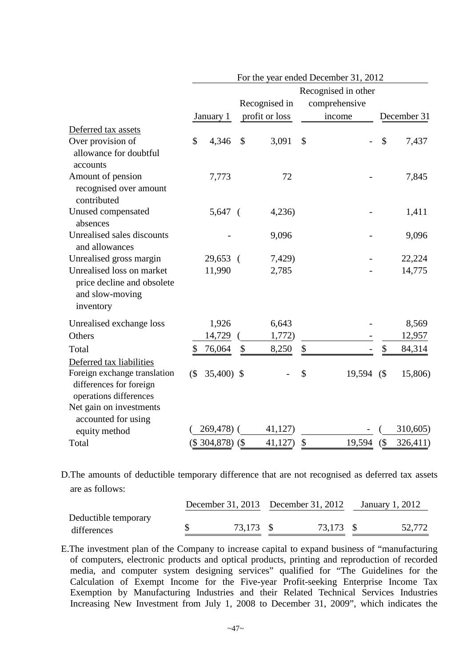|                                                                                                               |               |                   |                | For the year ended December 31, 2012 |               |             |
|---------------------------------------------------------------------------------------------------------------|---------------|-------------------|----------------|--------------------------------------|---------------|-------------|
|                                                                                                               |               |                   |                | Recognised in other                  |               |             |
|                                                                                                               |               |                   | Recognised in  | comprehensive                        |               |             |
|                                                                                                               |               | January 1         | profit or loss | income                               |               | December 31 |
| Deferred tax assets                                                                                           |               |                   |                |                                      |               |             |
| Over provision of<br>allowance for doubtful<br>accounts                                                       | $\mathcal{S}$ | 4,346             | \$<br>3,091    | \$                                   | $\mathcal{S}$ | 7,437       |
| Amount of pension<br>recognised over amount<br>contributed                                                    |               | 7,773             | 72             |                                      |               | 7,845       |
| Unused compensated<br>absences                                                                                |               | $5,647$ (         | 4,236          |                                      |               | 1,411       |
| Unrealised sales discounts<br>and allowances                                                                  |               |                   | 9,096          |                                      |               | 9,096       |
| Unrealised gross margin                                                                                       |               | 29,653 (          | 7,429)         |                                      |               | 22,224      |
| Unrealised loss on market<br>price decline and obsolete<br>and slow-moving<br>inventory                       |               | 11,990            | 2,785          |                                      |               | 14,775      |
| Unrealised exchange loss                                                                                      |               | 1,926             | 6,643          |                                      |               | 8,569       |
| Others                                                                                                        |               | 14,729            | 1,772)         |                                      |               | 12,957      |
| Total                                                                                                         | \$            | 76,064            | \$<br>8,250    | \$                                   | \$            | 84,314      |
| Deferred tax liabilities<br>Foreign exchange translation<br>differences for foreign<br>operations differences | $($ \$        | 35,400) \$        |                | \$<br>19,594                         | (             | 15,806)     |
| Net gain on investments<br>accounted for using                                                                |               | 269,478) (        | 41,127         |                                      |               | 310,605)    |
| equity method                                                                                                 |               |                   |                |                                      |               |             |
| Total                                                                                                         |               | $($304,878)$ $($$ | 41,127         | \$<br>19,594                         | $($ \$        | 326,411)    |

D.The amounts of deductible temporary difference that are not recognised as deferred tax assets are as follows:

|                      | December 31, 2013 December 31, 2012 |  |           | January 1, 2012 |        |
|----------------------|-------------------------------------|--|-----------|-----------------|--------|
| Deductible temporary |                                     |  |           |                 |        |
| differences          | 73,173 \$                           |  | 73,173 \$ |                 | 52,772 |

E.The investment plan of the Company to increase capital to expand business of "manufacturing of computers, electronic products and optical products, printing and reproduction of recorded media, and computer system designing services" qualified for "The Guidelines for the Calculation of Exempt Income for the Five-year Profit-seeking Enterprise Income Tax Exemption by Manufacturing Industries and their Related Technical Services Industries Increasing New Investment from July 1, 2008 to December 31, 2009", which indicates the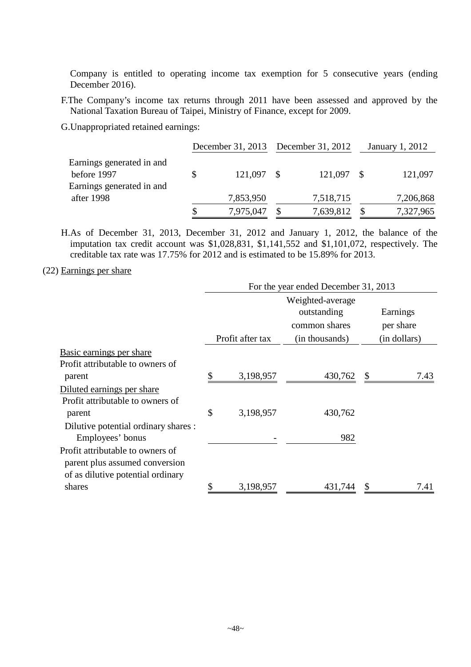Company is entitled to operating income tax exemption for 5 consecutive years (ending December 2016).

F.The Company's income tax returns through 2011 have been assessed and approved by the National Taxation Bureau of Taipei, Ministry of Finance, except for 2009.

G.Unappropriated retained earnings:

|                           | December 31, 2013 December 31, 2012 |  |            | January 1, 2012 |           |
|---------------------------|-------------------------------------|--|------------|-----------------|-----------|
| Earnings generated in and |                                     |  |            |                 |           |
| before 1997               | 121,097 \$                          |  | 121,097 \$ |                 | 121,097   |
| Earnings generated in and |                                     |  |            |                 |           |
| after 1998                | 7,853,950                           |  | 7,518,715  |                 | 7,206,868 |
|                           | 7,975,047                           |  | 7,639,812  |                 | 7,327,965 |

H.As of December 31, 2013, December 31, 2012 and January 1, 2012, the balance of the imputation tax credit account was \$1,028,831, \$1,141,552 and \$1,101,072, respectively. The creditable tax rate was 17.75% for 2012 and is estimated to be 15.89% for 2013.

### (22) Earnings per share

|                                      | For the year ended December 31, 2013 |                  |                  |  |              |  |  |
|--------------------------------------|--------------------------------------|------------------|------------------|--|--------------|--|--|
|                                      |                                      |                  | Weighted-average |  |              |  |  |
|                                      |                                      |                  | outstanding      |  | Earnings     |  |  |
|                                      |                                      |                  | common shares    |  | per share    |  |  |
|                                      |                                      | Profit after tax | (in thousands)   |  | (in dollars) |  |  |
| Basic earnings per share             |                                      |                  |                  |  |              |  |  |
| Profit attributable to owners of     |                                      |                  |                  |  |              |  |  |
| parent                               | \$                                   | 3,198,957        | 430,762          |  | 7.43         |  |  |
| Diluted earnings per share           |                                      |                  |                  |  |              |  |  |
| Profit attributable to owners of     |                                      |                  |                  |  |              |  |  |
| parent                               | \$                                   | 3,198,957        | 430,762          |  |              |  |  |
| Dilutive potential ordinary shares : |                                      |                  |                  |  |              |  |  |
| Employees' bonus                     |                                      |                  | 982              |  |              |  |  |
| Profit attributable to owners of     |                                      |                  |                  |  |              |  |  |
| parent plus assumed conversion       |                                      |                  |                  |  |              |  |  |
| of as dilutive potential ordinary    |                                      |                  |                  |  |              |  |  |
| shares                               | \$                                   | 3,198,957        | 431,744          |  | 7.41         |  |  |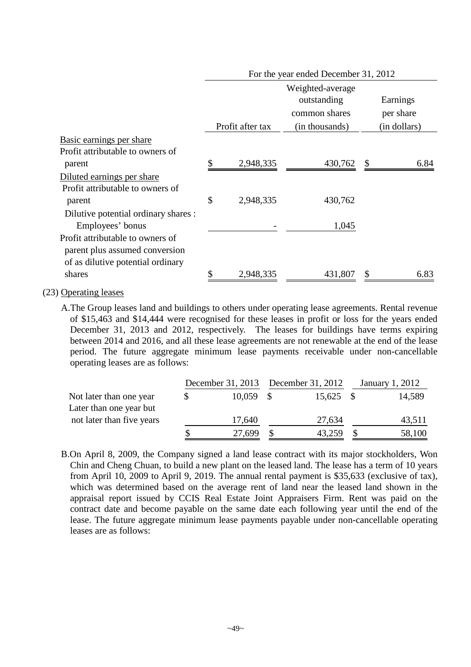|                                      |                  | For the year ended December 31, 2012 |                           |              |
|--------------------------------------|------------------|--------------------------------------|---------------------------|--------------|
|                                      |                  | Weighted-average<br>outstanding      |                           | Earnings     |
|                                      |                  | common shares                        |                           | per share    |
|                                      | Profit after tax | (in thousands)                       |                           | (in dollars) |
| Basic earnings per share             |                  |                                      |                           |              |
| Profit attributable to owners of     |                  |                                      |                           |              |
| parent                               | \$<br>2,948,335  | 430,762                              | $\boldsymbol{\mathsf{S}}$ | 6.84         |
| Diluted earnings per share           |                  |                                      |                           |              |
| Profit attributable to owners of     |                  |                                      |                           |              |
| parent                               | \$<br>2,948,335  | 430,762                              |                           |              |
| Dilutive potential ordinary shares : |                  |                                      |                           |              |
| Employees' bonus                     |                  | 1,045                                |                           |              |
| Profit attributable to owners of     |                  |                                      |                           |              |
| parent plus assumed conversion       |                  |                                      |                           |              |
| of as dilutive potential ordinary    |                  |                                      |                           |              |
| shares                               | \$<br>2,948,335  | 431,807                              |                           | 6.83         |

### (23) Operating leases

A.The Group leases land and buildings to others under operating lease agreements. Rental revenue of \$15,463 and \$14,444 were recognised for these leases in profit or loss for the years ended December 31, 2013 and 2012, respectively. The leases for buildings have terms expiring between 2014 and 2016, and all these lease agreements are not renewable at the end of the lease period. The future aggregate minimum lease payments receivable under non-cancellable operating leases are as follows:

|                           |   | December 31, 2013 December 31, 2012 |             | January 1, 2012 |
|---------------------------|---|-------------------------------------|-------------|-----------------|
| Not later than one year   | S | $10,059$ \$                         | $15,625$ \$ | 14,589          |
| Later than one year but   |   |                                     |             |                 |
| not later than five years |   | 17,640                              | 27,634      | 43,511          |
|                           |   | 27,699                              | 43,259      | 58,100          |

B.On April 8, 2009, the Company signed a land lease contract with its major stockholders, Won Chin and Cheng Chuan, to build a new plant on the leased land. The lease has a term of 10 years from April 10, 2009 to April 9, 2019. The annual rental payment is \$35,633 (exclusive of tax), which was determined based on the average rent of land near the leased land shown in the appraisal report issued by CCIS Real Estate Joint Appraisers Firm. Rent was paid on the contract date and become payable on the same date each following year until the end of the lease. The future aggregate minimum lease payments payable under non-cancellable operating leases are as follows: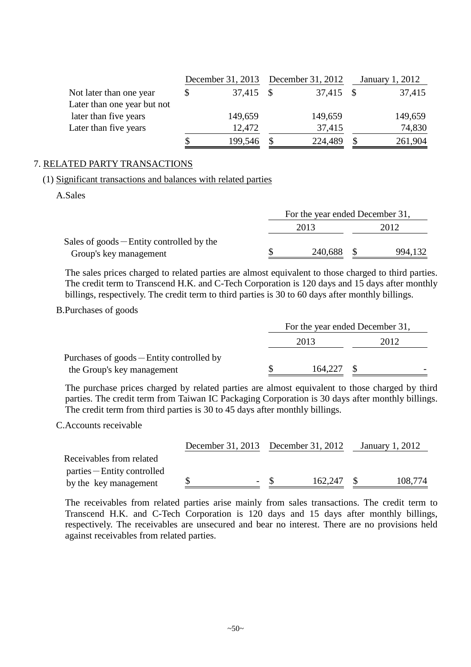|                             |   | December 31, 2013 December 31, 2012 |           |          | January 1, 2012 |
|-----------------------------|---|-------------------------------------|-----------|----------|-----------------|
| Not later than one year     | S | 37,415 \$                           | 37,415 \$ |          | 37,415          |
| Later than one year but not |   |                                     |           |          |                 |
| later than five years       |   | 149,659                             | 149,659   |          | 149,659         |
| Later than five years       |   | 12,472                              | 37,415    |          | 74,830          |
|                             |   | 199,546                             | 224,489   | <b>S</b> | 261,904         |

#### 7. RELATED PARTY TRANSACTIONS

#### (1) Significant transactions and balances with related parties

A.Sales

|                                             | For the year ended December 31, |  |         |  |  |  |
|---------------------------------------------|---------------------------------|--|---------|--|--|--|
|                                             | 2013                            |  | 2012    |  |  |  |
| Sales of $goods$ – Entity controlled by the |                                 |  |         |  |  |  |
| Group's key management                      | 240,688                         |  | 994,132 |  |  |  |

The sales prices charged to related parties are almost equivalent to those charged to third parties. The credit term to Transcend H.K. and C-Tech Corporation is 120 days and 15 days after monthly billings, respectively. The credit term to third parties is 30 to 60 days after monthly billings.

### B.Purchases of goods

|                                           | For the year ended December 31, |         |  |      |  |  |
|-------------------------------------------|---------------------------------|---------|--|------|--|--|
|                                           |                                 | 2013    |  | 2012 |  |  |
| Purchases of goods – Entity controlled by |                                 |         |  |      |  |  |
| the Group's key management                |                                 | 164,227 |  |      |  |  |

The purchase prices charged by related parties are almost equivalent to those charged by third parties. The credit term from Taiwan IC Packaging Corporation is 30 days after monthly billings. The credit term from third parties is 30 to 45 days after monthly billings.

#### C.Accounts receivable

|                             | December 31, 2013 December 31, 2012 |     |         | January 1, 2012 |         |
|-----------------------------|-------------------------------------|-----|---------|-----------------|---------|
| Receivables from related    |                                     |     |         |                 |         |
| parties – Entity controlled |                                     |     |         |                 |         |
| by the key management       |                                     | - 8 | 162,247 | -8              | 108,774 |

The receivables from related parties arise mainly from sales transactions. The credit term to Transcend H.K. and C-Tech Corporation is 120 days and 15 days after monthly billings, respectively. The receivables are unsecured and bear no interest. There are no provisions held against receivables from related parties.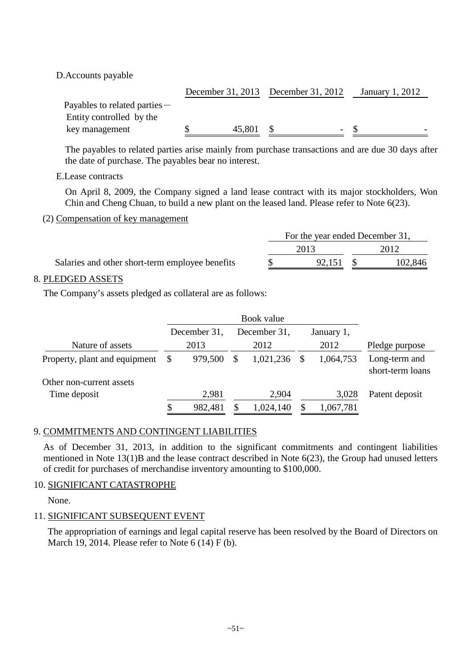D.Accounts payable

|                                 |        | December 31, 2013 December 31, 2012 | January 1, 2012 |
|---------------------------------|--------|-------------------------------------|-----------------|
| Payables to related parties $-$ |        |                                     |                 |
| Entity controlled by the        |        |                                     |                 |
| key management                  | 45,801 |                                     | $-$ S           |

The payables to related parties arise mainly from purchase transactions and are due 30 days after the date of purchase. The payables bear no interest.

E.Lease contracts

On April 8, 2009, the Company signed a land lease contract with its major stockholders, Won Chin and Cheng Chuan, to build a new plant on the leased land. Please refer to Note 6(23).

### (2) Compensation of key management

|                                                 | For the year ended December 31, |        |  |         |  |  |
|-------------------------------------------------|---------------------------------|--------|--|---------|--|--|
|                                                 |                                 | 2013   |  | 2012    |  |  |
| Salaries and other short-term employee benefits |                                 | 92.151 |  | 102,846 |  |  |

# 8. PLEDGED ASSETS

The Company's assets pledged as collateral are as follows:

|                               |    | December 31, |   | December 31, |  | January 1, |                                   |  |
|-------------------------------|----|--------------|---|--------------|--|------------|-----------------------------------|--|
| Nature of assets              |    | 2013         |   | 2012         |  | 2012       | Pledge purpose                    |  |
| Property, plant and equipment | -S | 979,500      | S | 1,021,236    |  | 1,064,753  | Long-term and<br>short-term loans |  |
| Other non-current assets      |    |              |   |              |  |            |                                   |  |
| Time deposit                  |    | 2,981        |   | 2,904        |  | 3,028      | Patent deposit                    |  |
|                               | S  | 982,481      |   | 1,024,140    |  | 1,067,781  |                                   |  |

# 9. COMMITMENTS AND CONTINGENT LIABILITIES

As of December 31, 2013, in addition to the significant commitments and contingent liabilities mentioned in Note 13(1)B and the lease contract described in Note 6(23), the Group had unused letters of credit for purchases of merchandise inventory amounting to \$100,000.

# 10. SIGNIFICANT CATASTROPHE

None.

# 11. SIGNIFICANT SUBSEQUENT EVENT

The appropriation of earnings and legal capital reserve has been resolved by the Board of Directors on March 19, 2014. Please refer to Note 6 (14) F (b).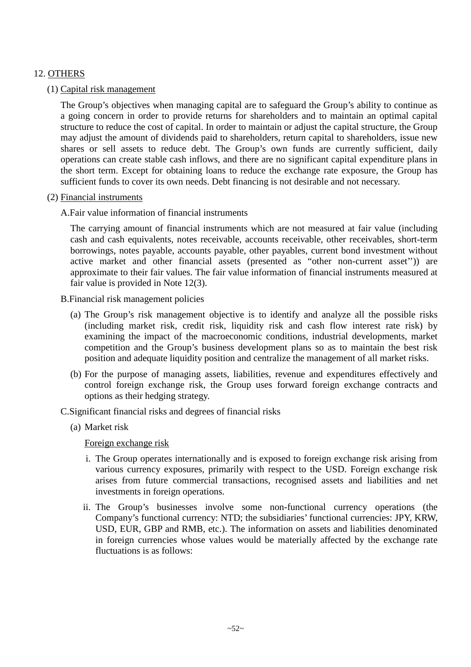# 12. OTHERS

### (1) Capital risk management

The Group's objectives when managing capital are to safeguard the Group's ability to continue as a going concern in order to provide returns for shareholders and to maintain an optimal capital structure to reduce the cost of capital. In order to maintain or adjust the capital structure, the Group may adjust the amount of dividends paid to shareholders, return capital to shareholders, issue new shares or sell assets to reduce debt. The Group's own funds are currently sufficient, daily operations can create stable cash inflows, and there are no significant capital expenditure plans in the short term. Except for obtaining loans to reduce the exchange rate exposure, the Group has sufficient funds to cover its own needs. Debt financing is not desirable and not necessary.

### (2) Financial instruments

A.Fair value information of financial instruments

The carrying amount of financial instruments which are not measured at fair value (including cash and cash equivalents, notes receivable, accounts receivable, other receivables, short-term borrowings, notes payable, accounts payable, other payables, current bond investment without active market and other financial assets (presented as "other non-current asset'')) are approximate to their fair values. The fair value information of financial instruments measured at fair value is provided in Note 12(3).

- B.Financial risk management policies
	- (a) The Group's risk management objective is to identify and analyze all the possible risks (including market risk, credit risk, liquidity risk and cash flow interest rate risk) by examining the impact of the macroeconomic conditions, industrial developments, market competition and the Group's business development plans so as to maintain the best risk position and adequate liquidity position and centralize the management of all market risks.
	- (b) For the purpose of managing assets, liabilities, revenue and expenditures effectively and control foreign exchange risk, the Group uses forward foreign exchange contracts and options as their hedging strategy.
- C.Significant financial risks and degrees of financial risks
	- (a) Market risk

Foreign exchange risk

- i. The Group operates internationally and is exposed to foreign exchange risk arising from various currency exposures, primarily with respect to the USD. Foreign exchange risk arises from future commercial transactions, recognised assets and liabilities and net investments in foreign operations.
- ii. The Group's businesses involve some non-functional currency operations (the Company's functional currency: NTD; the subsidiaries' functional currencies: JPY, KRW, USD, EUR, GBP and RMB, etc.). The information on assets and liabilities denominated in foreign currencies whose values would be materially affected by the exchange rate fluctuations is as follows: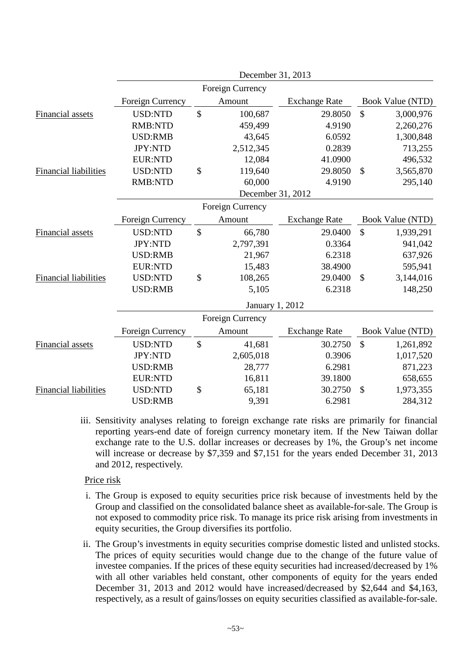|                              |                  |               | December 31, 2013      |                      |               |                  |
|------------------------------|------------------|---------------|------------------------|----------------------|---------------|------------------|
|                              |                  |               | Foreign Currency       |                      |               |                  |
|                              | Foreign Currency |               | Amount                 | <b>Exchange Rate</b> |               | Book Value (NTD) |
| Financial assets             | <b>USD:NTD</b>   | $\mathcal{S}$ | 100,687                | 29.8050              | $\mathcal{S}$ | 3,000,976        |
|                              | <b>RMB:NTD</b>   |               | 459,499                | 4.9190               |               | 2,260,276        |
|                              | <b>USD:RMB</b>   |               | 43,645                 | 6.0592               |               | 1,300,848        |
|                              | JPY:NTD          |               | 2,512,345              | 0.2839               |               | 713,255          |
|                              | <b>EUR:NTD</b>   |               | 12,084                 | 41.0900              |               | 496,532          |
| Financial liabilities        | <b>USD:NTD</b>   | \$            | 119,640                | 29.8050              | $\mathcal{S}$ | 3,565,870        |
|                              | <b>RMB:NTD</b>   |               | 60,000                 | 4.9190               |               | 295,140          |
|                              |                  |               | December 31, 2012      |                      |               |                  |
|                              |                  |               | Foreign Currency       |                      |               |                  |
|                              | Foreign Currency |               | Amount                 | <b>Exchange Rate</b> |               | Book Value (NTD) |
| <b>Financial</b> assets      | <b>USD:NTD</b>   | \$            | 66,780                 | 29.0400              | $\mathbb{S}$  | 1,939,291        |
|                              | <b>JPY:NTD</b>   |               | 2,797,391              | 0.3364               |               | 941,042          |
|                              | <b>USD:RMB</b>   |               | 21,967                 | 6.2318               |               | 637,926          |
|                              | <b>EUR:NTD</b>   |               | 15,483                 | 38.4900              |               | 595,941          |
| <b>Financial liabilities</b> | <b>USD:NTD</b>   | \$            | 108,265                | 29.0400              | \$            | 3,144,016        |
|                              | <b>USD:RMB</b>   |               | 5,105                  | 6.2318               |               | 148,250          |
|                              |                  |               | <b>January 1, 2012</b> |                      |               |                  |
|                              |                  |               | Foreign Currency       |                      |               |                  |
|                              | Foreign Currency |               | Amount                 | <b>Exchange Rate</b> |               | Book Value (NTD) |
| Financial assets             | <b>USD:NTD</b>   | \$            | 41,681                 | 30.2750              | \$            | 1,261,892        |
|                              | JPY:NTD          |               | 2,605,018              | 0.3906               |               | 1,017,520        |
|                              | <b>USD:RMB</b>   |               | 28,777                 | 6.2981               |               | 871,223          |
|                              | <b>EUR:NTD</b>   |               | 16,811                 | 39.1800              |               | 658,655          |
| <b>Financial liabilities</b> | <b>USD:NTD</b>   | \$            | 65,181                 | 30.2750              | \$            | 1,973,355        |
|                              | <b>USD:RMB</b>   |               | 9,391                  | 6.2981               |               | 284,312          |
|                              |                  |               |                        |                      |               |                  |

iii. Sensitivity analyses relating to foreign exchange rate risks are primarily for financial reporting years-end date of foreign currency monetary item. If the New Taiwan dollar exchange rate to the U.S. dollar increases or decreases by 1%, the Group's net income will increase or decrease by \$7,359 and \$7,151 for the years ended December 31, 2013 and 2012, respectively.

### Price risk

- i. The Group is exposed to equity securities price risk because of investments held by the Group and classified on the consolidated balance sheet as available-for-sale. The Group is not exposed to commodity price risk. To manage its price risk arising from investments in equity securities, the Group diversifies its portfolio.
- ii. The Group's investments in equity securities comprise domestic listed and unlisted stocks. The prices of equity securities would change due to the change of the future value of investee companies. If the prices of these equity securities had increased/decreased by 1% with all other variables held constant, other components of equity for the years ended December 31, 2013 and 2012 would have increased/decreased by \$2,644 and \$4,163, respectively, as a result of gains/losses on equity securities classified as available-for-sale.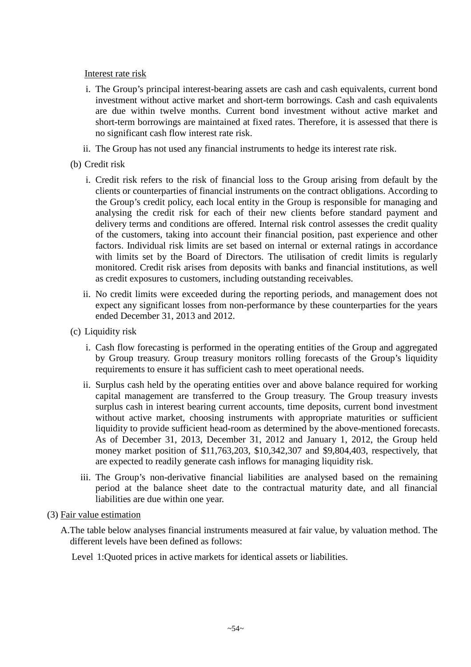### Interest rate risk

- i. The Group's principal interest-bearing assets are cash and cash equivalents, current bond investment without active market and short-term borrowings. Cash and cash equivalents are due within twelve months. Current bond investment without active market and short-term borrowings are maintained at fixed rates. Therefore, it is assessed that there is no significant cash flow interest rate risk.
- ii. The Group has not used any financial instruments to hedge its interest rate risk.

# (b) Credit risk

- i. Credit risk refers to the risk of financial loss to the Group arising from default by the clients or counterparties of financial instruments on the contract obligations. According to the Group's credit policy, each local entity in the Group is responsible for managing and analysing the credit risk for each of their new clients before standard payment and delivery terms and conditions are offered. Internal risk control assesses the credit quality of the customers, taking into account their financial position, past experience and other factors. Individual risk limits are set based on internal or external ratings in accordance with limits set by the Board of Directors. The utilisation of credit limits is regularly monitored. Credit risk arises from deposits with banks and financial institutions, as well as credit exposures to customers, including outstanding receivables.
- ii. No credit limits were exceeded during the reporting periods, and management does not expect any significant losses from non-performance by these counterparties for the years ended December 31, 2013 and 2012.
- (c) Liquidity risk
	- i. Cash flow forecasting is performed in the operating entities of the Group and aggregated by Group treasury. Group treasury monitors rolling forecasts of the Group's liquidity requirements to ensure it has sufficient cash to meet operational needs.
	- ii. Surplus cash held by the operating entities over and above balance required for working capital management are transferred to the Group treasury. The Group treasury invests surplus cash in interest bearing current accounts, time deposits, current bond investment without active market, choosing instruments with appropriate maturities or sufficient liquidity to provide sufficient head-room as determined by the above-mentioned forecasts. As of December 31, 2013, December 31, 2012 and January 1, 2012, the Group held money market position of \$11,763,203, \$10,342,307 and \$9,804,403, respectively, that are expected to readily generate cash inflows for managing liquidity risk.
	- iii. The Group's non-derivative financial liabilities are analysed based on the remaining period at the balance sheet date to the contractual maturity date, and all financial liabilities are due within one year.
- (3) Fair value estimation
	- A.The table below analyses financial instruments measured at fair value, by valuation method. The different levels have been defined as follows:

Level 1:Quoted prices in active markets for identical assets or liabilities.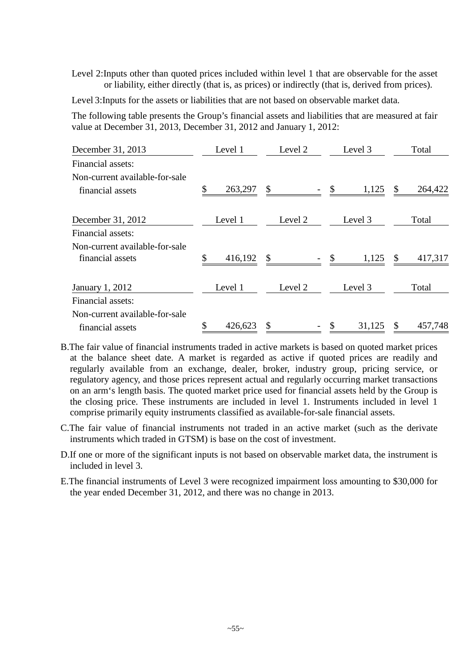Level 2:Inputs other than quoted prices included within level 1 that are observable for the asset or liability, either directly (that is, as prices) or indirectly (that is, derived from prices).

Level 3:Inputs for the assets or liabilities that are not based on observable market data.

The following table presents the Group's financial assets and liabilities that are measured at fair value at December 31, 2013, December 31, 2012 and January 1, 2012:

| December 31, 2013                                  | Level 1       |    | Level 2 | Level 3      |               | Total   |
|----------------------------------------------------|---------------|----|---------|--------------|---------------|---------|
| Financial assets:                                  |               |    |         |              |               |         |
| Non-current available-for-sale<br>financial assets | \$<br>263,297 | \$ |         | \$<br>1,125  | \$            | 264,422 |
| December 31, 2012                                  | Level 1       |    | Level 2 | Level 3      |               | Total   |
| Financial assets:                                  |               |    |         |              |               |         |
| Non-current available-for-sale<br>financial assets | \$<br>416,192 | \$ |         | 1,125        | $\mathcal{S}$ | 417,317 |
| January 1, 2012                                    | Level 1       |    | Level 2 | Level 3      |               | Total   |
| Financial assets:                                  |               |    |         |              |               |         |
| Non-current available-for-sale                     |               |    |         |              |               |         |
| financial assets                                   | \$<br>426,623 | S  |         | \$<br>31,125 | \$            | 457,748 |

- B.The fair value of financial instruments traded in active markets is based on quoted market prices at the balance sheet date. A market is regarded as active if quoted prices are readily and regularly available from an exchange, dealer, broker, industry group, pricing service, or regulatory agency, and those prices represent actual and regularly occurring market transactions on an arm's length basis. The quoted market price used for financial assets held by the Group is the closing price. These instruments are included in level 1. Instruments included in level 1 comprise primarily equity instruments classified as available-for-sale financial assets.
- C.The fair value of financial instruments not traded in an active market (such as the derivate instruments which traded in GTSM) is base on the cost of investment.
- D.If one or more of the significant inputs is not based on observable market data, the instrument is included in level 3.
- E.The financial instruments of Level 3 were recognized impairment loss amounting to \$30,000 for the year ended December 31, 2012, and there was no change in 2013.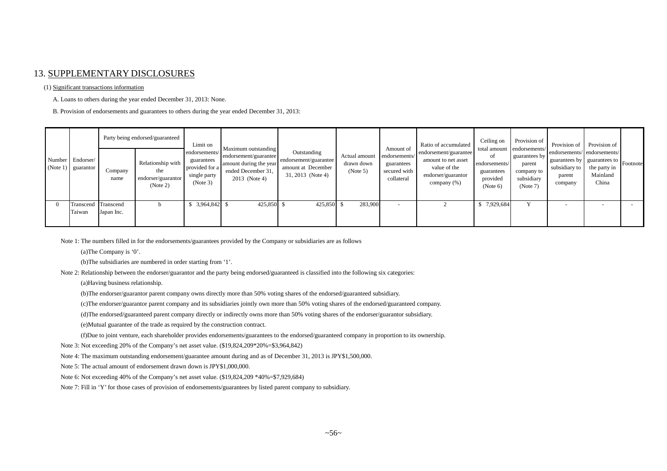#### 13. SUPPLEMENTARY DISCLOSURES

#### (1) Significant transactions information

A. Loans to others during the year ended December 31, 2013: None.

B. Provision of endorsements and guarantees to others during the year ended December 31, 2013:

|                                          |                 | Party being endorsed/guaranteed                            | Limit on                                                                  | Maximum outstanding                                                                    |                                                                                   |                                         | Amount of                                                 | Ratio of accumulated                                                                              | Ceiling on                                                | Provision of                                                                                  | Provision of Provision of                                                                                             |                   |  |
|------------------------------------------|-----------------|------------------------------------------------------------|---------------------------------------------------------------------------|----------------------------------------------------------------------------------------|-----------------------------------------------------------------------------------|-----------------------------------------|-----------------------------------------------------------|---------------------------------------------------------------------------------------------------|-----------------------------------------------------------|-----------------------------------------------------------------------------------------------|-----------------------------------------------------------------------------------------------------------------------|-------------------|--|
| Number Endorser/<br>$(Note 1)$ guarantor | Company<br>name | Relationship with<br>the<br>endorser/guarantor<br>(Note 2) | endorsements/<br>guarantees<br>provided for a<br>single party<br>(Note 3) | endorsement/guarantee<br>amount during the year<br>ended December 31,<br>2013 (Note 4) | Outstanding<br>endorsement/guarantee<br>amount at December<br>$31, 2013$ (Note 4) | Actual amount<br>drawn down<br>(Note 5) | endorsements/<br>guarantees<br>secured with<br>collateral | endorsement/guarantee<br>amount to net asset<br>value of the<br>endorser/guarantor<br>company (%) | of<br>endorsements/<br>guarantees<br>provided<br>(Note 6) | total amount endorsements/<br>guarantees by<br>parent<br>company to<br>subsidiary<br>(Note 7) | endorsements/endorsements/<br>guarantees by guarantees to Footnote<br>subsidiary to the party in<br>parent<br>company | Mainland<br>China |  |
| Transcend Transcend<br>Taiwan            | Japan Inc.      |                                                            | 3,964,842 \$                                                              | 425,850 \$                                                                             | 425,850 \$                                                                        | 283,900                                 | $\overline{\phantom{0}}$                                  |                                                                                                   | \$7,929,684                                               |                                                                                               |                                                                                                                       |                   |  |

Note 1: The numbers filled in for the endorsements/guarantees provided by the Company or subsidiaries are as follows

(a)The Company is '0'.

(b)The subsidiaries are numbered in order starting from '1'.

Note 2: Relationship between the endorser/guarantor and the party being endorsed/guaranteed is classified into the following six categories:

(a)Having business relationship.

(b)The endorser/guarantor parent company owns directly more than 50% voting shares of the endorsed/guaranteed subsidiary.

(c)The endorser/guarantor parent company and its subsidiaries jointly own more than 50% voting shares of the endorsed/guaranteed company.

(d)The endorsed/guaranteed parent company directly or indirectly owns more than 50% voting shares of the endorser/guarantor subsidiary.

(e)Mutual guarantee of the trade as required by the construction contract.

(f)Due to joint venture, each shareholder provides endorsements/guarantees to the endorsed/guaranteed company in proportion to its ownership.

Note 3: Not exceeding 20% of the Company's net asset value. (\$19,824,209\*20%=\$3,964,842)

Note 4: The maximum outstanding endorsement/guarantee amount during and as of December 31, 2013 is JPY\$1,500,000.

Note 5: The actual amount of endorsement drawn down is JPY\$1,000,000.

Note 6: Not exceeding 40% of the Company's net asset value. (\$19,824,209 \*40%=\$7,929,684)

Note 7: Fill in 'Y' for those cases of provision of endorsements/guarantees by listed parent company to subsidiary.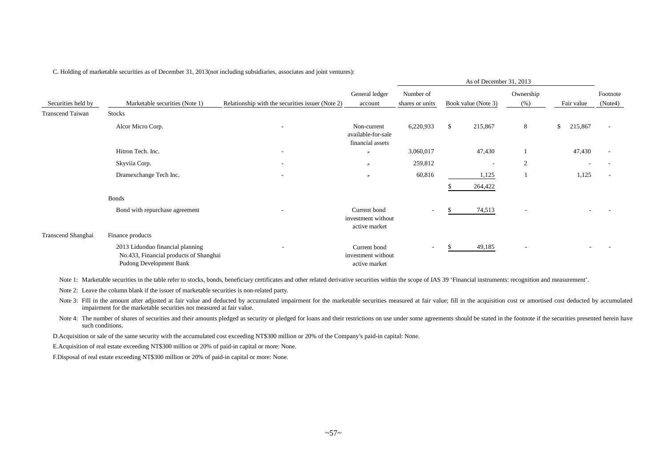|                         |                                                                                                       |                                                  |                                                       |                              | As of December 31, 2013 |                          |            |         |                          |
|-------------------------|-------------------------------------------------------------------------------------------------------|--------------------------------------------------|-------------------------------------------------------|------------------------------|-------------------------|--------------------------|------------|---------|--------------------------|
| Securities held by      | Marketable securities (Note 1)                                                                        | Relationship with the securities issuer (Note 2) | General ledger<br>account                             | Number of<br>shares or units | Book value (Note 3)     | Ownership<br>(% )        | Fair value |         | Footnote<br>(Note4)      |
| <b>Transcend Taiwan</b> | <b>Stocks</b>                                                                                         |                                                  |                                                       |                              |                         |                          |            |         |                          |
|                         | Alcor Micro Corp.                                                                                     | ٠                                                | Non-current<br>available-for-sale<br>financial assets | 6,220,933                    | \$<br>215,867           | 8                        | \$         | 215,867 | $\overline{\phantom{a}}$ |
|                         | Hitron Tech. Inc.                                                                                     | $\overline{\phantom{a}}$                         | $^{\prime\prime}$                                     | 3,060,017                    | 47,430                  |                          |            | 47,430  |                          |
|                         | Skyviia Corp.                                                                                         | ۰                                                | $\theta$                                              | 259,812                      |                         | $\overline{2}$           |            |         |                          |
|                         | Dramexchange Tech Inc.                                                                                |                                                  | $\theta$                                              | 60,816                       | 1,125<br>264,422        |                          |            | 1,125   |                          |
|                         | <b>Bonds</b>                                                                                          |                                                  |                                                       |                              |                         |                          |            |         |                          |
|                         | Bond with repurchase agreement                                                                        |                                                  | Current bond<br>investment without<br>active market   | ۰.                           | 74,513                  | $\overline{\phantom{a}}$ |            |         |                          |
| Transcend Shanghai      | Finance products                                                                                      |                                                  |                                                       |                              |                         |                          |            |         |                          |
|                         | 2013 Liduoduo financial planning<br>No.433, Financial products of Shanghai<br>Pudong Development Bank | $\overline{\phantom{a}}$                         | Current bond<br>investment without<br>active market   | ۰.                           | 49,185                  | $\overline{\phantom{a}}$ |            |         |                          |

As of December 31, 2013

C. Holding of marketable securities as of December 31, 2013(not including subsidiaries, associates and joint ventures):

Note 1: Marketable securities in the table refer to stocks, bonds, beneficiary certificates and other related derivative securities within the scope of IAS 39 'Financial instruments: recognition and measurement'.

Note 2: Leave the column blank if the issuer of marketable securities is non-related party.

Note 3: Fill in the amount after adjusted at fair value and deducted by accumulated impairment for the marketable securities measured at fair value; fill in the acquisition cost or amortised cost deducted by accumulated impairment for the marketable securities not measured at fair value.

Note 4: The number of shares of securities and their amounts pledged as security or pledged for loans and their restrictions on use under some agreements should be stated in the footnote if the securities presented herein such conditions.

D.Acquisition or sale of the same security with the accumulated cost exceeding NT\$300 million or 20% of the Company's paid-in capital: None.

E.Acquisition of real estate exceeding NT\$300 million or 20% of paid-in capital or more: None.

F.Disposal of real estate exceeding NT\$300 million or 20% of paid-in capital or more: None.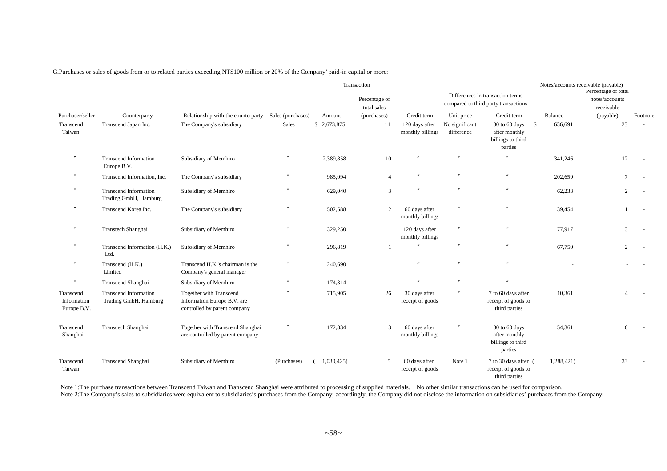G.Purchases or sales of goods from or to related parties exceeding NT\$100 million or 20% of the Company' paid-in capital or more:

|                                         |                                                       |                                                                                        |                   |             | Transaction                  |                                    |                              |                                                                          |            | Notes/accounts receivable (payable)                 |          |
|-----------------------------------------|-------------------------------------------------------|----------------------------------------------------------------------------------------|-------------------|-------------|------------------------------|------------------------------------|------------------------------|--------------------------------------------------------------------------|------------|-----------------------------------------------------|----------|
|                                         |                                                       |                                                                                        |                   |             | Percentage of<br>total sales |                                    |                              | Differences in transaction terms<br>compared to third party transactions |            | Percentage of total<br>notes/accounts<br>receivable |          |
| Purchaser/seller                        | Counterparty                                          | Relationship with the counterparty                                                     | Sales (purchases) | Amount      | (purchases)                  | Credit term                        | Unit price                   | Credit term                                                              | Balance    | (payable)                                           | Footnote |
| Transcend<br>Taiwan                     | Transcend Japan Inc.                                  | The Company's subsidiary                                                               | Sales             | \$2,673,875 | 11                           | 120 days after<br>monthly billings | No significant<br>difference | 30 to 60 days<br>- \$<br>after monthly<br>billings to third<br>parties   | 636,691    | 23                                                  |          |
| $\prime\prime$                          | <b>Transcend Information</b><br>Europe B.V.           | Subsidiary of Memhiro                                                                  | $^{\prime\prime}$ | 2,389,858   | 10                           |                                    | $^{\prime\prime}$            |                                                                          | 341,246    | 12                                                  |          |
|                                         | Transcend Information, Inc.                           | The Company's subsidiary                                                               |                   | 985,094     | $\overline{\mathcal{A}}$     |                                    | $^{\prime\prime}$            |                                                                          | 202,659    |                                                     |          |
| $^{\prime\prime}$                       | <b>Transcend Information</b><br>Trading GmbH, Hamburg | Subsidiary of Memhiro                                                                  |                   | 629,040     | 3                            |                                    | $^{\prime\prime}$            |                                                                          | 62,233     | 2                                                   |          |
|                                         | Transcend Korea Inc.                                  | The Company's subsidiary                                                               |                   | 502,588     | 2                            | 60 days after<br>monthly billings  |                              |                                                                          | 39,454     |                                                     |          |
|                                         | Transtech Shanghai                                    | Subsidiary of Memhiro                                                                  |                   | 329,250     |                              | 120 days after<br>monthly billings |                              |                                                                          | 77,917     | 3                                                   |          |
|                                         | Transcend Information (H.K.)<br>Ltd.                  | Subsidiary of Memhiro                                                                  |                   | 296,819     |                              |                                    | $^{\prime\prime}$            |                                                                          | 67,750     | 2                                                   |          |
| $^{\prime\prime}$                       | Transcend (H.K.)<br>Limited                           | Transcend H.K.'s chairman is the<br>Company's general manager                          |                   | 240,690     |                              |                                    | $^{\prime\prime}$            |                                                                          |            |                                                     |          |
| $^{\prime\prime}$                       | Transcend Shanghai                                    | Subsidiary of Memhiro                                                                  | $^{\prime\prime}$ | 174,314     | $\overline{1}$               |                                    |                              |                                                                          |            |                                                     |          |
| Transcend<br>Information<br>Europe B.V. | Transcend Information<br>Trading GmbH, Hamburg        | Together with Transcend<br>Information Europe B.V. are<br>controlled by parent company |                   | 715,905     | 26                           | 30 days after<br>receipt of goods  |                              | 7 to 60 days after<br>receipt of goods to<br>third parties               | 10,361     |                                                     |          |
| Transcend<br>Shanghai                   | Transcech Shanghai                                    | Together with Transcend Shanghai<br>are controlled by parent company                   |                   | 172,834     | 3                            | 60 days after<br>monthly billings  |                              | 30 to 60 days<br>after monthly<br>billings to third<br>parties           | 54,361     | 6                                                   |          |
| Transcend<br>Taiwan                     | Transcend Shanghai                                    | Subsidiary of Memhiro                                                                  | (Purchases)       | 1,030,425   | 5                            | 60 days after<br>receipt of goods  | Note 1                       | 7 to 30 days after (<br>receipt of goods to<br>third parties             | 1,288,421) | 33                                                  |          |

Note 1:The purchase transactions between Transcend Taiwan and Transcend Shanghai were attributed to processing of supplied materials. No other similar transactions can be used for comparison. Note 2:The Company's sales to subsidiaries were equivalent to subsidiaries's purchases from the Company; accordingly, the Company did not disclose the information on subsidiaries' purchases from the Company.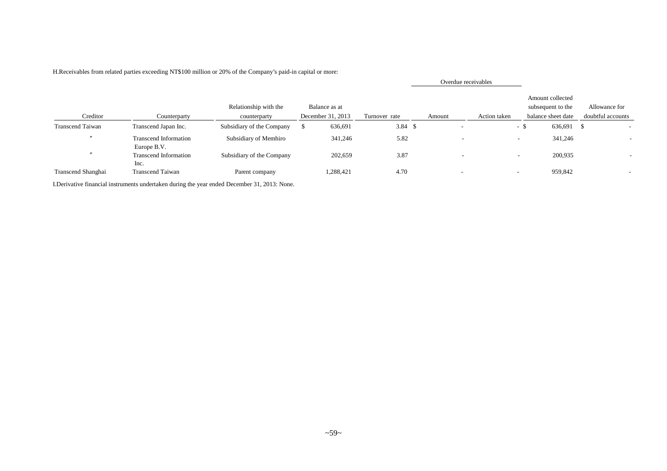|                         |                                             |                           |                   |                | Overdue receivables |                          |                                       |                   |
|-------------------------|---------------------------------------------|---------------------------|-------------------|----------------|---------------------|--------------------------|---------------------------------------|-------------------|
|                         |                                             | Relationship with the     | Balance as at     |                |                     |                          | Amount collected<br>subsequent to the | Allowance for     |
| Creditor                | Counterparty                                | counterparty              | December 31, 2013 | Turnover rate  | Amount              | Action taken             | balance sheet date                    | doubtful accounts |
| <b>Transcend Taiwan</b> | Transcend Japan Inc.                        | Subsidiary of the Company | 636,691           | $3.84 \quad $$ |                     | - \$                     | 636,691 \$                            |                   |
|                         | <b>Transcend Information</b><br>Europe B.V. | Subsidiary of Memhiro     | 341,246           | 5.82           |                     | $\overline{\phantom{a}}$ | 341,246                               |                   |
| $\overline{u}$          | <b>Transcend Information</b><br>Inc.        | Subsidiary of the Company | 202,659           | 3.87           |                     | $\overline{\phantom{a}}$ | 200,935                               |                   |
| Transcend Shanghai      | Transcend Taiwan                            | Parent company            | 1,288,421         | 4.70           | . .                 | $\overline{\phantom{0}}$ | 959,842                               |                   |

#### H.Receivables from related parties exceeding NT\$100 million or 20% of the Company's paid-in capital or more:

I.Derivative financial instruments undertaken during the year ended December 31, 2013: None.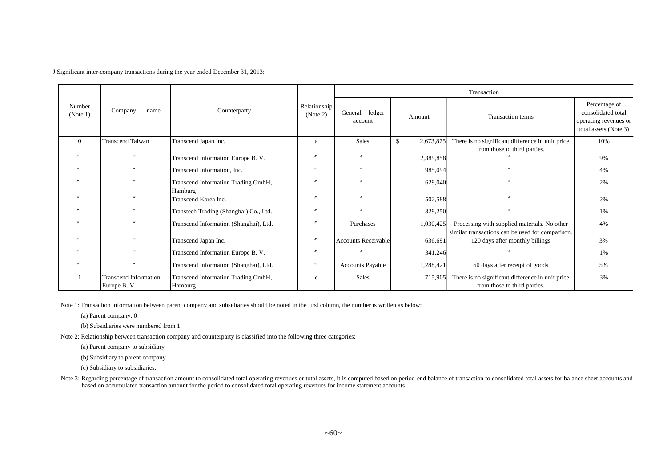J.Significant inter-company transactions during the year ended December 31, 2013:

|                    |                                             |                                                |                          |                            |                 | Transaction                                                                                      |                                                                                       |
|--------------------|---------------------------------------------|------------------------------------------------|--------------------------|----------------------------|-----------------|--------------------------------------------------------------------------------------------------|---------------------------------------------------------------------------------------|
| Number<br>(Note 1) | Company<br>name                             | Counterparty                                   | Relationship<br>(Note 2) | General ledger<br>account  | Amount          | Transaction terms                                                                                | Percentage of<br>consolidated total<br>operating revenues or<br>total assets (Note 3) |
| $\Omega$           | Transcend Taiwan                            | Transcend Japan Inc.                           | a                        | Sales                      | 2,673,875<br>\$ | There is no significant difference in unit price                                                 | 10%                                                                                   |
|                    |                                             | Transcend Information Europe B. V.             |                          |                            | 2,389,858       | from those to third parties.                                                                     | 9%                                                                                    |
|                    |                                             | Transcend Information, Inc.                    |                          |                            | 985,094         |                                                                                                  | 4%                                                                                    |
|                    |                                             | Transcend Information Trading GmbH,<br>Hamburg |                          |                            | 629,040         |                                                                                                  | 2%                                                                                    |
|                    |                                             | Transcend Korea Inc.                           |                          |                            | 502,588         |                                                                                                  | 2%                                                                                    |
|                    |                                             | Transtech Trading (Shanghai) Co., Ltd.         |                          |                            | 329,250         |                                                                                                  | 1%                                                                                    |
|                    |                                             | Transcend Information (Shanghai), Ltd.         |                          | Purchases                  | 1,030,425       | Processing with supplied materials. No other<br>similar transactions can be used for comparison. | 4%                                                                                    |
|                    |                                             | Transcend Japan Inc.                           |                          | <b>Accounts Receivable</b> | 636,691         | 120 days after monthly billings                                                                  | 3%                                                                                    |
|                    |                                             | Transcend Information Europe B. V.             | $\overline{p}$           |                            | 341,246         |                                                                                                  | 1%                                                                                    |
|                    |                                             | Transcend Information (Shanghai), Ltd.         | $\prime\prime$           | <b>Accounts Payable</b>    | 1,288,421       | 60 days after receipt of goods                                                                   | 5%                                                                                    |
|                    | <b>Transcend Information</b><br>Europe B.V. | Transcend Information Trading GmbH,<br>Hamburg | $\mathbf{C}$             | Sales                      | 715,905         | There is no significant difference in unit price<br>from those to third parties.                 | 3%                                                                                    |

Note 1: Transaction information between parent company and subsidiaries should be noted in the first column, the number is written as below:

(a) Parent company: 0

(b) Subsidiaries were numbered from 1.

Note 2: Relationship between transaction company and counterparty is classified into the following three categories:

(a) Parent company to subsidiary.

(b) Subsidiary to parent company.

(c) Subsidiary to subsidiaries.

Note 3: Regarding percentage of transaction amount to consolidated total operating revenues or total assets, it is computed based on period-end balance of transaction to consolidated total assets for balance sheet accounts based on accumulated transaction amount for the period to consolidated total operating revenues for income statement accounts.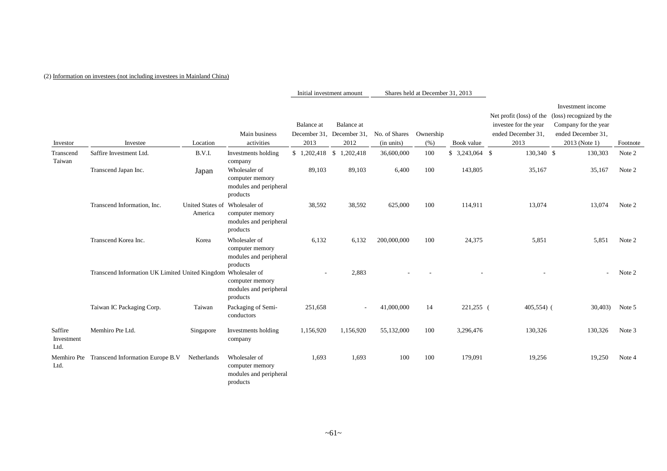#### (2) Information on investees (not including investees in Mainland China)

Initial investment amount Shares held at December 31, 2013

|                               |                                                               |                                           |                                                                        |                   |                           |               |           |            |                          | Investment income        |          |
|-------------------------------|---------------------------------------------------------------|-------------------------------------------|------------------------------------------------------------------------|-------------------|---------------------------|---------------|-----------|------------|--------------------------|--------------------------|----------|
|                               |                                                               |                                           |                                                                        |                   |                           |               |           |            | Net profit (loss) of the | (loss) recognized by the |          |
|                               |                                                               |                                           |                                                                        | Balance at        | Balance at                |               |           |            | investee for the year    | Company for the year     |          |
|                               |                                                               |                                           | Main business                                                          |                   | December 31, December 31, | No. of Shares | Ownership |            | ended December 31,       | ended December 31,       |          |
| Investor                      | Investee                                                      | Location                                  | activities                                                             | 2013              | 2012                      | (in units)    | (% )      | Book value | 2013                     | 2013 (Note 1)            | Footnote |
| Transcend<br>Taiwan           | Saffire Investment Ltd.                                       | B.V.I.                                    | Investments holding<br>company                                         | $$1,202,418$ \ \$ | 1,202,418                 | 36,600,000    | 100       |            | 130,340 \$               | 130,303                  | Note 2   |
|                               | Transcend Japan Inc.                                          | Japan                                     | Wholesaler of<br>computer memory<br>modules and peripheral<br>products | 89,103            | 89,103                    | 6,400         | 100       | 143,805    | 35,167                   | 35,167                   | Note 2   |
|                               | Transcend Information. Inc.                                   | United States of Wholesaler of<br>America | computer memory<br>modules and peripheral<br>products                  | 38,592            | 38,592                    | 625,000       | 100       | 114,911    | 13,074                   | 13,074                   | Note 2   |
|                               | Transcend Korea Inc.                                          | Korea                                     | Wholesaler of<br>computer memory<br>modules and peripheral<br>products | 6,132             | 6,132                     | 200,000,000   | 100       | 24,375     | 5,851                    | 5,851                    | Note 2   |
|                               | Transcend Information UK Limited United Kingdom Wholesaler of |                                           | computer memory<br>modules and peripheral<br>products                  | $\overline{a}$    | 2,883                     |               |           |            |                          |                          | Note 2   |
|                               | Taiwan IC Packaging Corp.                                     | Taiwan                                    | Packaging of Semi-<br>conductors                                       | 251,658           | $\sim$                    | 41,000,000    | 14        | 221,255 (  | $405,554$ (              | 30,403                   | Note 5   |
| Saffire<br>Investment<br>Ltd. | Memhiro Pte Ltd.                                              | Singapore                                 | Investments holding<br>company                                         | 1,156,920         | 1,156,920                 | 55,132,000    | 100       | 3,296,476  | 130,326                  | 130,326                  | Note 3   |
| Ltd.                          | Memhiro Pte Transcend Information Europe B.V                  | Netherlands                               | Wholesaler of<br>computer memory<br>modules and peripheral<br>products | 1,693             | 1,693                     | 100           | 100       | 179,091    | 19,256                   | 19,250                   | Note 4   |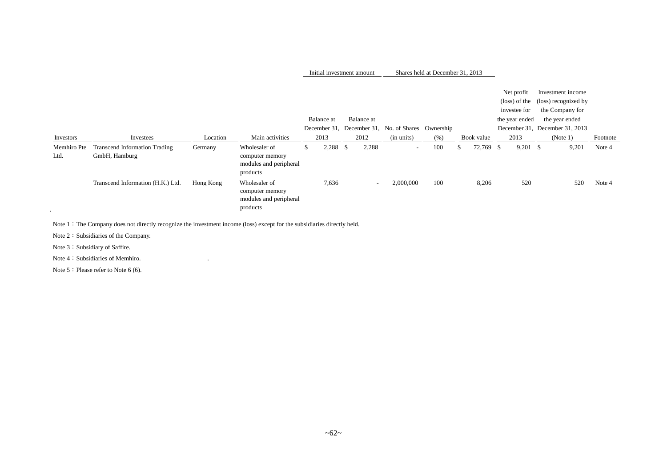| Initial investment amount | Shares held at December 31, 2013 |  |
|---------------------------|----------------------------------|--|
|---------------------------|----------------------------------|--|

|                     |                                                       |           |                                                                        |     | Balance at |      | Balance at               | December 31, December 31, No. of Shares Ownership |      |     |            |      | Net profit<br>investee for<br>the year ended | Investment income<br>(loss) of the (loss) recognized by<br>the Company for<br>the year ended<br>December 31, December 31, 2013 |          |
|---------------------|-------------------------------------------------------|-----------|------------------------------------------------------------------------|-----|------------|------|--------------------------|---------------------------------------------------|------|-----|------------|------|----------------------------------------------|--------------------------------------------------------------------------------------------------------------------------------|----------|
| Investors           | Investees                                             | Location  | Main activities                                                        |     | 2013       |      | 2012                     | (in units)                                        | (% ) |     | Book value |      | 2013                                         | (Note 1)                                                                                                                       | Footnote |
| Memhiro Pte<br>Ltd. | <b>Transcend Information Trading</b><br>GmbH, Hamburg | Germany   | Wholesaler of<br>computer memory<br>modules and peripheral<br>products | \$. | 2,288      | - \$ | 2,288                    | $\sim$                                            | 100  | \$. | 72,769     | - \$ | $9,201$ \$                                   | 9,201                                                                                                                          | Note 4   |
| $\sim$              | Transcend Information (H.K.) Ltd.                     | Hong Kong | Wholesaler of<br>computer memory<br>modules and peripheral<br>products |     | 7,636      |      | $\overline{\phantom{a}}$ | 2,000,000                                         | 100  |     | 8,206      |      | 520                                          | 520                                                                                                                            | Note 4   |

Note 1: The Company does not directly recognize the investment income (loss) except for the subsidiaries directly held.

Note 2: Subsidiaries of the Company.

Note 3: Subsidiary of Saffire.

Note 4: Subsidiaries of Memhiro.

Note 5: Please refer to Note 6 (6).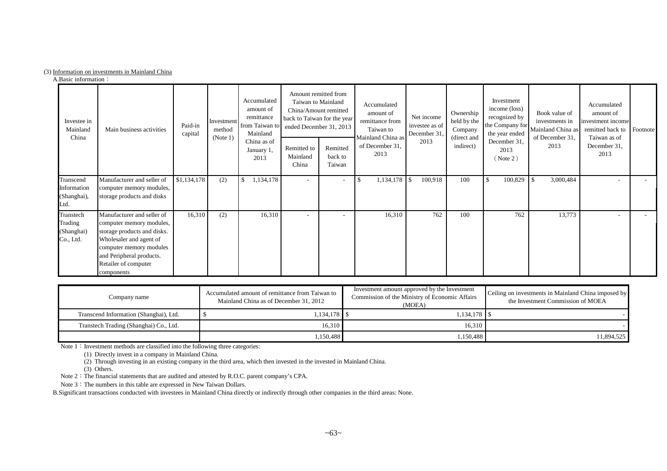#### (3) Information on investments in Mainland China

A.Basic information:

| Investee in<br>Mainland<br>China                | Main business activities                                                                                                                                                                                      | Paid-in<br>capital | Investment<br>method<br>(Note 1) | Accumulated<br>amount of<br>remittance<br>from Taiwan to<br>Mainland | Amount remitted from<br>Taiwan to Mainland<br>China/Amount remitted<br>back to Taiwan for the year<br>ended December 31, 2013 |                               | Accumulated<br>amount of<br>remittance from<br>Taiwan to<br>Mainland China as | Net income<br>investee as of<br>December 31 | Ownership<br>held by the<br>Company<br>(direct and | Investment<br>income (loss)<br>recognized by<br>the Company for<br>the year ended | Book value of<br>investments in<br>Mainland China as<br>of December 31, | Accumulated<br>amount of<br>investment income<br>remitted back to Footnote<br>Taiwan as of |  |
|-------------------------------------------------|---------------------------------------------------------------------------------------------------------------------------------------------------------------------------------------------------------------|--------------------|----------------------------------|----------------------------------------------------------------------|-------------------------------------------------------------------------------------------------------------------------------|-------------------------------|-------------------------------------------------------------------------------|---------------------------------------------|----------------------------------------------------|-----------------------------------------------------------------------------------|-------------------------------------------------------------------------|--------------------------------------------------------------------------------------------|--|
|                                                 |                                                                                                                                                                                                               |                    |                                  | China as of<br>January 1,<br>2013                                    | Remitted to<br>Mainland<br>China                                                                                              | Remitted<br>back to<br>Taiwan | of December 31,<br>2013                                                       | 2013                                        | indirect)                                          | December 31,<br>2013<br>(Note 2)                                                  | 2013                                                                    | December 31,<br>2013                                                                       |  |
| Transcend<br>Information<br>(Shanghai),<br>Ltd. | Manufacturer and seller of<br>computer memory modules,<br>storage products and disks                                                                                                                          | \$1,134,178        | (2)                              | 1,134,178<br>\$                                                      | $\sim$                                                                                                                        | $\overline{\phantom{a}}$      | \$                                                                            | 100,918                                     | 100                                                | $\mathcal{S}$<br>100,829                                                          | 3,000,484<br>\$                                                         |                                                                                            |  |
| Transtech<br>Trading<br>(Shanghai)<br>Co., Ltd. | Manufacturer and seller of<br>computer memory modules,<br>storage products and disks.<br>Wholesaler and agent of<br>computer memory modules<br>and Peripheral products.<br>Retailer of computer<br>components | 16,310             | (2)                              | 16,310                                                               |                                                                                                                               |                               | 16,310                                                                        | 762                                         | 100                                                | 762                                                                               | 13,773                                                                  |                                                                                            |  |

| Company name                           | Accumulated amount of remittance from Taiwan to<br>Mainland China as of December 31, 2012 | Investment amount approved by the Investment<br>Commission of the Ministry of Economic Affairs<br>(MOEA) | Ceiling on investments in Mainland China imposed by<br>the Investment Commission of MOEA |
|----------------------------------------|-------------------------------------------------------------------------------------------|----------------------------------------------------------------------------------------------------------|------------------------------------------------------------------------------------------|
| Transcend Information (Shanghai), Ltd. | 1,134,178   \$                                                                            | 1.134.178 S                                                                                              |                                                                                          |
| Transtech Trading (Shanghai) Co., Ltd. | 16.310                                                                                    | 16.310                                                                                                   |                                                                                          |
|                                        | .150,488                                                                                  | 1,150,488                                                                                                | 11.894.525                                                                               |

Note 1: Investment methods are classified into the following three categories:

(1) Directly invest in a company in Mainland China.

(2) Through investing in an existing company in the third area, which then invested in the invested in Mainland China.

 $(3)$  Others.

Note 2: The financial statements that are audited and attested by R.O.C. parent company's CPA.

Note 3: The numbers in this table are expressed in New Taiwan Dollars.

B.Significant transactions conducted with investees in Mainland China directly or indirectly through other companies in the third areas: None.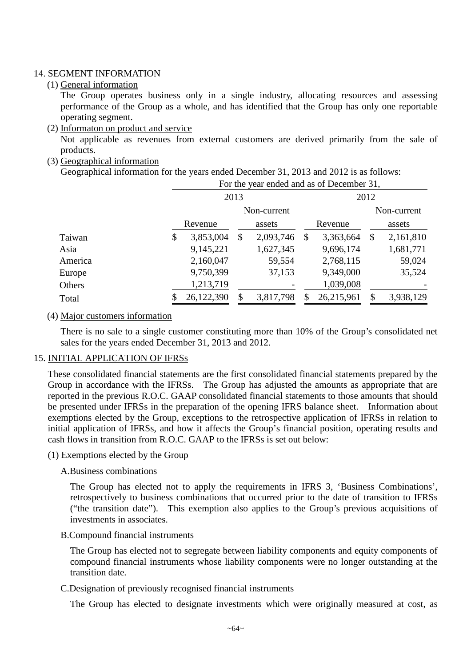#### 14. SEGMENT INFORMATION

#### (1) General information

The Group operates business only in a single industry, allocating resources and assessing performance of the Group as a whole, and has identified that the Group has only one reportable operating segment.

(2) Informaton on product and service

Not applicable as revenues from external customers are derived primarily from the sale of products.

(3) Geographical information

Geographical information for the years ended December 31, 2013 and 2012 is as follows:

|         | For the year ended and as of December 31, |               |             |      |             |        |           |  |  |  |  |  |  |  |
|---------|-------------------------------------------|---------------|-------------|------|-------------|--------|-----------|--|--|--|--|--|--|--|
|         |                                           | 2013          |             | 2012 |             |        |           |  |  |  |  |  |  |  |
|         |                                           |               | Non-current |      | Non-current |        |           |  |  |  |  |  |  |  |
|         | Revenue                                   | assets        |             |      | Revenue     | assets |           |  |  |  |  |  |  |  |
| Taiwan  | \$<br>3,853,004                           | $\mathcal{S}$ | 2,093,746   | \$   | 3,363,664   | \$     | 2,161,810 |  |  |  |  |  |  |  |
| Asia    | 9,145,221                                 |               | 1,627,345   |      | 9,696,174   |        | 1,681,771 |  |  |  |  |  |  |  |
| America | 2,160,047                                 |               | 59,554      |      | 2,768,115   |        | 59,024    |  |  |  |  |  |  |  |
| Europe  | 9,750,399                                 |               | 37,153      |      | 9,349,000   |        | 35,524    |  |  |  |  |  |  |  |
| Others  | 1,213,719                                 |               |             |      | 1,039,008   |        |           |  |  |  |  |  |  |  |
| Total   | 26,122,390                                |               | 3,817,798   | \$   | 26,215,961  |        | 3,938,129 |  |  |  |  |  |  |  |

#### (4) Major customers information

There is no sale to a single customer constituting more than 10% of the Group's consolidated net sales for the years ended December 31, 2013 and 2012.

### 15. INITIAL APPLICATION OF IFRSs

These consolidated financial statements are the first consolidated financial statements prepared by the Group in accordance with the IFRSs. The Group has adjusted the amounts as appropriate that are reported in the previous R.O.C. GAAP consolidated financial statements to those amounts that should be presented under IFRSs in the preparation of the opening IFRS balance sheet. Information about exemptions elected by the Group, exceptions to the retrospective application of IFRSs in relation to initial application of IFRSs, and how it affects the Group's financial position, operating results and cash flows in transition from R.O.C. GAAP to the IFRSs is set out below:

(1) Exemptions elected by the Group

### A.Business combinations

The Group has elected not to apply the requirements in IFRS 3, 'Business Combinations', retrospectively to business combinations that occurred prior to the date of transition to IFRSs ("the transition date"). This exemption also applies to the Group's previous acquisitions of investments in associates.

### B.Compound financial instruments

The Group has elected not to segregate between liability components and equity components of compound financial instruments whose liability components were no longer outstanding at the transition date.

### C.Designation of previously recognised financial instruments

The Group has elected to designate investments which were originally measured at cost, as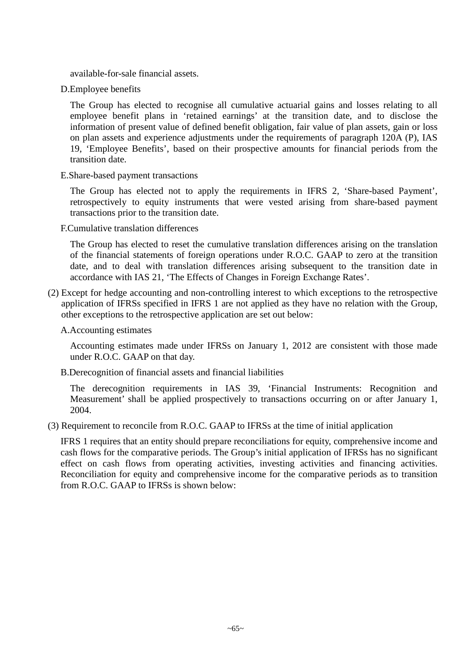available-for-sale financial assets.

D.Employee benefits

The Group has elected to recognise all cumulative actuarial gains and losses relating to all employee benefit plans in 'retained earnings' at the transition date, and to disclose the information of present value of defined benefit obligation, fair value of plan assets, gain or loss on plan assets and experience adjustments under the requirements of paragraph 120A (P), IAS 19, 'Employee Benefits', based on their prospective amounts for financial periods from the transition date.

E.Share-based payment transactions

The Group has elected not to apply the requirements in IFRS 2, 'Share-based Payment', retrospectively to equity instruments that were vested arising from share-based payment transactions prior to the transition date.

F.Cumulative translation differences

The Group has elected to reset the cumulative translation differences arising on the translation of the financial statements of foreign operations under R.O.C. GAAP to zero at the transition date, and to deal with translation differences arising subsequent to the transition date in accordance with IAS 21, 'The Effects of Changes in Foreign Exchange Rates'.

(2) Except for hedge accounting and non-controlling interest to which exceptions to the retrospective application of IFRSs specified in IFRS 1 are not applied as they have no relation with the Group, other exceptions to the retrospective application are set out below:

#### A.Accounting estimates

Accounting estimates made under IFRSs on January 1, 2012 are consistent with those made under R.O.C. GAAP on that day.

B.Derecognition of financial assets and financial liabilities

The derecognition requirements in IAS 39, 'Financial Instruments: Recognition and Measurement' shall be applied prospectively to transactions occurring on or after January 1, 2004.

(3) Requirement to reconcile from R.O.C. GAAP to IFRSs at the time of initial application

IFRS 1 requires that an entity should prepare reconciliations for equity, comprehensive income and cash flows for the comparative periods. The Group's initial application of IFRSs has no significant effect on cash flows from operating activities, investing activities and financing activities. Reconciliation for equity and comprehensive income for the comparative periods as to transition from R.O.C. GAAP to IFRSs is shown below: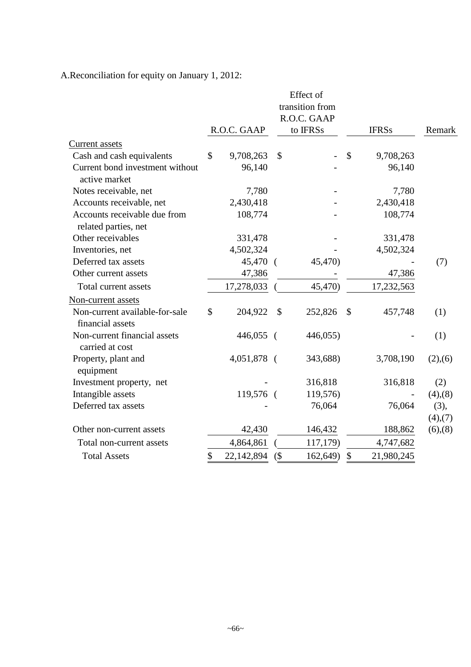A.Reconciliation for equity on January 1, 2012:

|                                                      |                 |             |               | Effect of   |               |              |                       |  |
|------------------------------------------------------|-----------------|-------------|---------------|-------------|---------------|--------------|-----------------------|--|
|                                                      | transition from |             |               |             |               |              |                       |  |
|                                                      |                 |             |               | R.O.C. GAAP |               |              |                       |  |
|                                                      |                 | R.O.C. GAAP |               | to IFRSs    |               | <b>IFRSs</b> | Remark                |  |
| <b>Current</b> assets                                |                 |             |               |             |               |              |                       |  |
| Cash and cash equivalents                            | \$              | 9,708,263   | $\mathcal{S}$ |             | $\mathcal{S}$ | 9,708,263    |                       |  |
| Current bond investment without<br>active market     |                 | 96,140      |               |             |               | 96,140       |                       |  |
| Notes receivable, net                                |                 | 7,780       |               |             |               | 7,780        |                       |  |
| Accounts receivable, net                             |                 | 2,430,418   |               |             |               | 2,430,418    |                       |  |
| Accounts receivable due from<br>related parties, net |                 | 108,774     |               |             |               | 108,774      |                       |  |
| Other receivables                                    |                 | 331,478     |               |             |               | 331,478      |                       |  |
| Inventories, net                                     |                 | 4,502,324   |               |             |               | 4,502,324    |                       |  |
| Deferred tax assets                                  |                 | 45,470 (    |               | 45,470)     |               |              | (7)                   |  |
| Other current assets                                 |                 | 47,386      |               |             |               | 47,386       |                       |  |
| Total current assets                                 |                 | 17,278,033  |               | 45,470)     |               | 17,232,563   |                       |  |
| Non-current assets                                   |                 |             |               |             |               |              |                       |  |
| Non-current available-for-sale<br>financial assets   | \$              | 204,922     | $\mathcal{S}$ | 252,826     | $\mathcal{S}$ | 457,748      | (1)                   |  |
| Non-current financial assets<br>carried at cost      |                 | 446,055 (   |               | 446,055)    |               |              | (1)                   |  |
| Property, plant and<br>equipment                     |                 | 4,051,878 ( |               | 343,688)    |               | 3,708,190    | (2),(6)               |  |
| Investment property, net                             |                 |             |               | 316,818     |               | 316,818      | (2)                   |  |
| Intangible assets                                    |                 | 119,576 (   |               | 119,576)    |               |              | $(4)$ , $(8)$         |  |
| Deferred tax assets                                  |                 |             |               | 76,064      |               | 76,064       | (3),<br>$(4)$ , $(7)$ |  |
| Other non-current assets                             |                 | 42,430      |               | 146,432     |               | 188,862      | $(6)$ , $(8)$         |  |
| Total non-current assets                             |                 | 4,864,861   |               | 117,179)    |               | 4,747,682    |                       |  |
| <b>Total Assets</b>                                  | \$              | 22,142,894  | $($ \$        | 162,649)    | \$            | 21,980,245   |                       |  |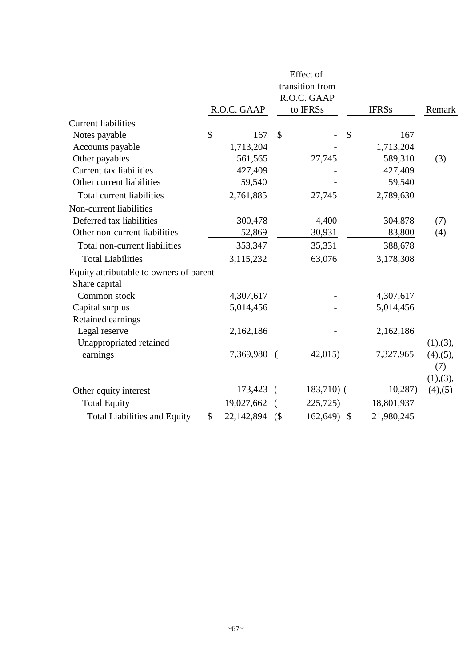|                                         |    |                         |                           | Effect of       |               |              |                            |
|-----------------------------------------|----|-------------------------|---------------------------|-----------------|---------------|--------------|----------------------------|
|                                         |    |                         |                           | transition from |               |              |                            |
|                                         |    |                         |                           |                 |               |              |                            |
|                                         |    | R.O.C. GAAP<br>to IFRSs |                           |                 |               | <b>IFRSs</b> | Remark                     |
| <b>Current liabilities</b>              |    |                         |                           |                 |               |              |                            |
| Notes payable                           | \$ | 167                     | $\boldsymbol{\mathsf{S}}$ |                 | \$            | 167          |                            |
| Accounts payable                        |    | 1,713,204               |                           |                 |               | 1,713,204    |                            |
| Other payables                          |    | 561,565                 |                           | 27,745          |               | 589,310      | (3)                        |
| <b>Current tax liabilities</b>          |    | 427,409                 |                           |                 |               | 427,409      |                            |
| Other current liabilities               |    | 59,540                  |                           |                 |               | 59,540       |                            |
| Total current liabilities               |    | 2,761,885               |                           | 27,745          |               | 2,789,630    |                            |
| Non-current liabilities                 |    |                         |                           |                 |               |              |                            |
| Deferred tax liabilities                |    | 300,478                 |                           | 4,400           |               | 304,878      | (7)                        |
| Other non-current liabilities           |    | 52,869                  |                           | 30,931          |               | 83,800       | (4)                        |
| Total non-current liabilities           |    | 353,347                 |                           | 35,331          |               | 388,678      |                            |
| <b>Total Liabilities</b>                |    | 3,115,232               |                           | 63,076          |               | 3,178,308    |                            |
| Equity attributable to owners of parent |    |                         |                           |                 |               |              |                            |
| Share capital                           |    |                         |                           |                 |               |              |                            |
| Common stock                            |    | 4,307,617               |                           |                 |               | 4,307,617    |                            |
| Capital surplus                         |    | 5,014,456               |                           |                 |               | 5,014,456    |                            |
| Retained earnings                       |    |                         |                           |                 |               |              |                            |
| Legal reserve                           |    | 2,162,186               |                           |                 |               | 2,162,186    |                            |
| Unappropriated retained                 |    |                         |                           |                 |               |              | (1), (3),                  |
| earnings                                |    | 7,369,980 (             |                           | 42,015          |               | 7,327,965    | $(4)$ , $(5)$ ,            |
|                                         |    |                         |                           |                 |               |              | (7)                        |
| Other equity interest                   |    | 173,423                 |                           | 183,710)        |               | 10,287       | (1), (3),<br>$(4)$ , $(5)$ |
| <b>Total Equity</b>                     |    | 19,027,662              |                           | 225,725)        |               | 18,801,937   |                            |
|                                         |    |                         |                           |                 |               |              |                            |
| <b>Total Liabilities and Equity</b>     | \$ | 22,142,894              | $($ \$                    | 162,649)        | $\mathcal{S}$ | 21,980,245   |                            |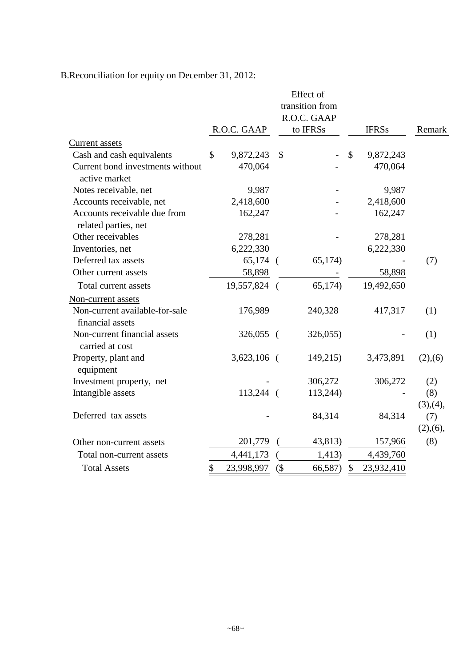| B. Reconciliation for equity on December 31, 2012: |  |  |  |
|----------------------------------------------------|--|--|--|
|                                                    |  |  |  |

|                                                   |                  |        | Effect of       |               |              |           |
|---------------------------------------------------|------------------|--------|-----------------|---------------|--------------|-----------|
|                                                   |                  |        | transition from |               |              |           |
|                                                   |                  |        | R.O.C. GAAP     |               |              |           |
|                                                   | R.O.C. GAAP      |        | to IFRSs        |               | <b>IFRSs</b> | Remark    |
| <b>Current</b> assets                             |                  |        |                 |               |              |           |
| Cash and cash equivalents                         | \$<br>9,872,243  | \$     |                 | $\mathcal{S}$ | 9,872,243    |           |
| Current bond investments without<br>active market | 470,064          |        |                 |               | 470,064      |           |
| Notes receivable, net                             | 9,987            |        |                 |               | 9,987        |           |
| Accounts receivable, net                          | 2,418,600        |        |                 |               | 2,418,600    |           |
| Accounts receivable due from                      | 162,247          |        |                 |               | 162,247      |           |
| related parties, net                              |                  |        |                 |               |              |           |
| Other receivables                                 | 278,281          |        |                 |               | 278,281      |           |
| Inventories, net                                  | 6,222,330        |        |                 |               | 6,222,330    |           |
| Deferred tax assets                               | $65,174$ (       |        | 65,174)         |               |              | (7)       |
| Other current assets                              | 58,898           |        |                 |               | 58,898       |           |
| Total current assets                              | 19,557,824       |        | 65,174)         |               | 19,492,650   |           |
| Non-current assets                                |                  |        |                 |               |              |           |
| Non-current available-for-sale                    | 176,989          |        | 240,328         |               | 417,317      | (1)       |
| financial assets                                  |                  |        |                 |               |              |           |
| Non-current financial assets                      | 326,055 (        |        | 326,055)        |               |              | (1)       |
| carried at cost                                   |                  |        |                 |               |              |           |
| Property, plant and<br>equipment                  | 3,623,106 (      |        | 149,215)        |               | 3,473,891    | (2),(6)   |
| Investment property, net                          |                  |        | 306,272         |               | 306,272      | (2)       |
| Intangible assets                                 | 113,244 (        |        | 113,244)        |               |              | (8)       |
|                                                   |                  |        |                 |               |              | (3), (4), |
| Deferred tax assets                               |                  |        | 84,314          |               | 84,314       | (7)       |
|                                                   |                  |        |                 |               |              | (2),(6),  |
| Other non-current assets                          | 201,779          |        | 43,813)         |               | 157,966      | (8)       |
| Total non-current assets                          | 4,441,173        |        | 1,413)          |               | 4,439,760    |           |
| <b>Total Assets</b>                               | \$<br>23,998,997 | $($ \$ | 66,587)         | \$            | 23,932,410   |           |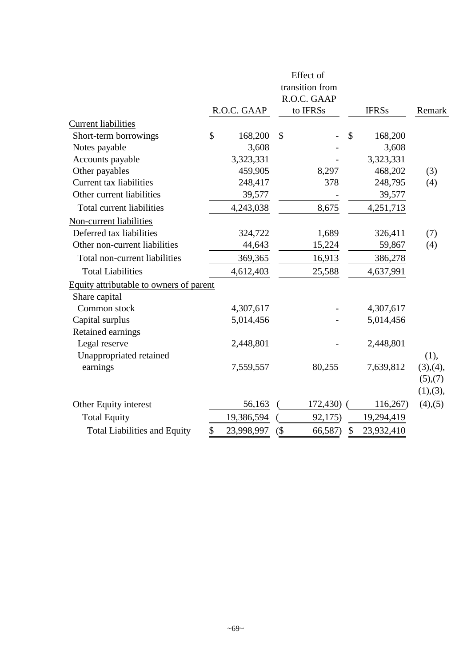|                                         |                  |        | Effect of<br>transition from |               |              |               |
|-----------------------------------------|------------------|--------|------------------------------|---------------|--------------|---------------|
|                                         |                  |        | R.O.C. GAAP                  |               |              |               |
|                                         | R.O.C. GAAP      |        | to IFRSs                     |               | <b>IFRSs</b> | Remark        |
| <b>Current liabilities</b>              |                  |        |                              |               |              |               |
| Short-term borrowings                   | \$<br>168,200    | \$     |                              | \$            | 168,200      |               |
| Notes payable                           | 3,608            |        |                              |               | 3,608        |               |
| Accounts payable                        | 3,323,331        |        |                              |               | 3,323,331    |               |
| Other payables                          | 459,905          |        | 8,297                        |               | 468,202      | (3)           |
| <b>Current tax liabilities</b>          | 248,417          |        | 378                          |               | 248,795      | (4)           |
| Other current liabilities               | 39,577           |        |                              |               | 39,577       |               |
| Total current liabilities               | 4,243,038        |        | 8,675                        |               | 4,251,713    |               |
| Non-current liabilities                 |                  |        |                              |               |              |               |
| Deferred tax liabilities                | 324,722          |        | 1,689                        |               | 326,411      | (7)           |
| Other non-current liabilities           | 44,643           |        | 15,224                       |               | 59,867       | (4)           |
| Total non-current liabilities           | 369,365          |        | 16,913                       |               | 386,278      |               |
| <b>Total Liabilities</b>                | 4,612,403        |        | 25,588                       |               | 4,637,991    |               |
| Equity attributable to owners of parent |                  |        |                              |               |              |               |
| Share capital                           |                  |        |                              |               |              |               |
| Common stock                            | 4,307,617        |        |                              |               | 4,307,617    |               |
| Capital surplus                         | 5,014,456        |        |                              |               | 5,014,456    |               |
| Retained earnings                       |                  |        |                              |               |              |               |
| Legal reserve                           | 2,448,801        |        |                              |               | 2,448,801    |               |
| Unappropriated retained                 |                  |        |                              |               |              | (1),          |
| earnings                                | 7,559,557        |        | 80,255                       |               | 7,639,812    | (3), (4),     |
|                                         |                  |        |                              |               |              | (5),(7)       |
|                                         |                  |        |                              |               |              | (1), (3),     |
| Other Equity interest                   | 56,163           |        | $172,430$ (                  |               | 116,267)     | $(4)$ , $(5)$ |
| <b>Total Equity</b>                     | 19,386,594       |        | 92,175)                      |               | 19,294,419   |               |
| <b>Total Liabilities and Equity</b>     | \$<br>23,998,997 | $($ \$ | 66,587)                      | $\mathcal{S}$ | 23,932,410   |               |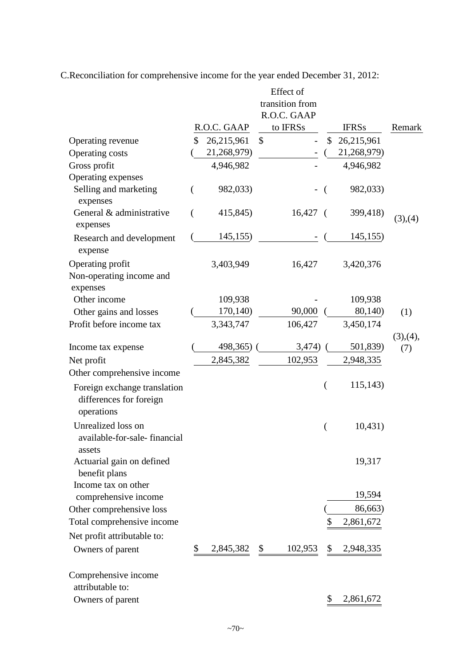C.Reconciliation for comprehensive income for the year ended December 31, 2012:

|                                                                       |                  |               | Effect of       |                |              |           |
|-----------------------------------------------------------------------|------------------|---------------|-----------------|----------------|--------------|-----------|
|                                                                       |                  |               | transition from |                |              |           |
|                                                                       |                  |               | R.O.C. GAAP     |                |              |           |
|                                                                       | R.O.C. GAAP      |               | to IFRSs        |                | <b>IFRSs</b> | Remark    |
| Operating revenue                                                     | \$<br>26,215,961 | $\mathcal{S}$ |                 | \$             | 26,215,961   |           |
| Operating costs                                                       | 21,268,979)      |               |                 |                | 21,268,979)  |           |
| Gross profit                                                          | 4,946,982        |               |                 |                | 4,946,982    |           |
| Operating expenses                                                    |                  |               |                 |                |              |           |
| Selling and marketing<br>expenses                                     | 982,033)         |               |                 | $\left($       | 982,033)     |           |
| General & administrative<br>expenses                                  | 415,845)         |               | $16,427$ (      |                | 399,418)     | (3),(4)   |
| Research and development<br>expense                                   | 145,155)         |               |                 |                | 145,155)     |           |
| Operating profit<br>Non-operating income and<br>expenses              | 3,403,949        |               | 16,427          |                | 3,420,376    |           |
| Other income                                                          | 109,938          |               |                 |                | 109,938      |           |
| Other gains and losses                                                | 170,140)         |               | 90,000          |                | 80,140)      | (1)       |
| Profit before income tax                                              | 3,343,747        |               | 106,427         |                | 3,450,174    |           |
|                                                                       |                  |               |                 |                |              | (3), (4), |
| Income tax expense                                                    | 498,365)         |               | 3,474)          |                | 501,839)     | (7)       |
| Net profit                                                            | 2,845,382        |               | 102,953         |                | 2,948,335    |           |
| Other comprehensive income                                            |                  |               |                 |                |              |           |
| Foreign exchange translation<br>differences for foreign<br>operations |                  |               |                 | $\overline{(}$ | 115,143)     |           |
| Unrealized loss on<br>available-for-sale-financial<br>assets          |                  |               |                 | (              | 10,431)      |           |
| Actuarial gain on defined<br>benefit plans<br>Income tax on other     |                  |               |                 |                | 19,317       |           |
| comprehensive income                                                  |                  |               |                 |                | 19,594       |           |
| Other comprehensive loss                                              |                  |               |                 |                | 86,663)      |           |
| Total comprehensive income                                            |                  |               |                 |                | 2,861,672    |           |
| Net profit attributable to:                                           |                  |               |                 |                |              |           |
| Owners of parent                                                      | 2,845,382        | $\mathcal{S}$ | 102,953         | \$             | 2,948,335    |           |
| Comprehensive income<br>attributable to:                              |                  |               |                 |                |              |           |
| Owners of parent                                                      |                  |               |                 | P              | 2,861,672    |           |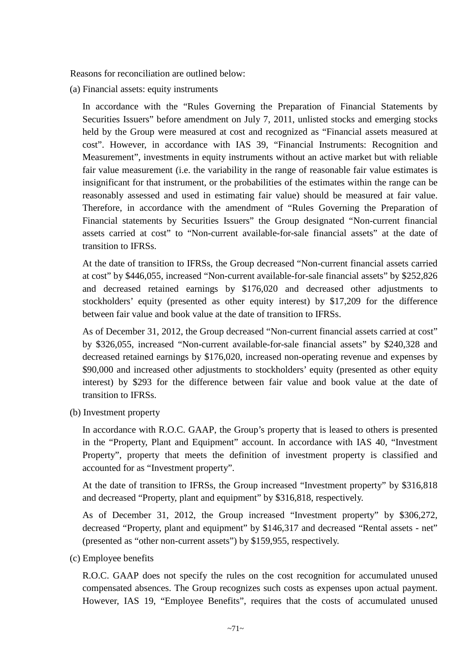Reasons for reconciliation are outlined below:

(a) Financial assets: equity instruments

In accordance with the "Rules Governing the Preparation of Financial Statements by Securities Issuers" before amendment on July 7, 2011, unlisted stocks and emerging stocks held by the Group were measured at cost and recognized as "Financial assets measured at cost". However, in accordance with IAS 39, "Financial Instruments: Recognition and Measurement", investments in equity instruments without an active market but with reliable fair value measurement (i.e. the variability in the range of reasonable fair value estimates is insignificant for that instrument, or the probabilities of the estimates within the range can be reasonably assessed and used in estimating fair value) should be measured at fair value. Therefore, in accordance with the amendment of "Rules Governing the Preparation of Financial statements by Securities Issuers" the Group designated "Non-current financial assets carried at cost" to "Non-current available-for-sale financial assets" at the date of transition to IFRSs.

At the date of transition to IFRSs, the Group decreased "Non-current financial assets carried at cost" by \$446,055, increased "Non-current available-for-sale financial assets" by \$252,826 and decreased retained earnings by \$176,020 and decreased other adjustments to stockholders' equity (presented as other equity interest) by \$17,209 for the difference between fair value and book value at the date of transition to IFRSs.

As of December 31, 2012, the Group decreased "Non-current financial assets carried at cost" by \$326,055, increased "Non-current available-for-sale financial assets" by \$240,328 and decreased retained earnings by \$176,020, increased non-operating revenue and expenses by \$90,000 and increased other adjustments to stockholders' equity (presented as other equity interest) by \$293 for the difference between fair value and book value at the date of transition to IFRSs.

(b) Investment property

In accordance with R.O.C. GAAP, the Group's property that is leased to others is presented in the "Property, Plant and Equipment" account. In accordance with IAS 40, "Investment Property", property that meets the definition of investment property is classified and accounted for as "Investment property".

At the date of transition to IFRSs, the Group increased "Investment property" by \$316,818 and decreased "Property, plant and equipment" by \$316,818, respectively.

As of December 31, 2012, the Group increased "Investment property" by \$306,272, decreased "Property, plant and equipment" by \$146,317 and decreased "Rental assets - net" (presented as "other non-current assets") by \$159,955, respectively.

(c) Employee benefits

R.O.C. GAAP does not specify the rules on the cost recognition for accumulated unused compensated absences. The Group recognizes such costs as expenses upon actual payment. However, IAS 19, "Employee Benefits", requires that the costs of accumulated unused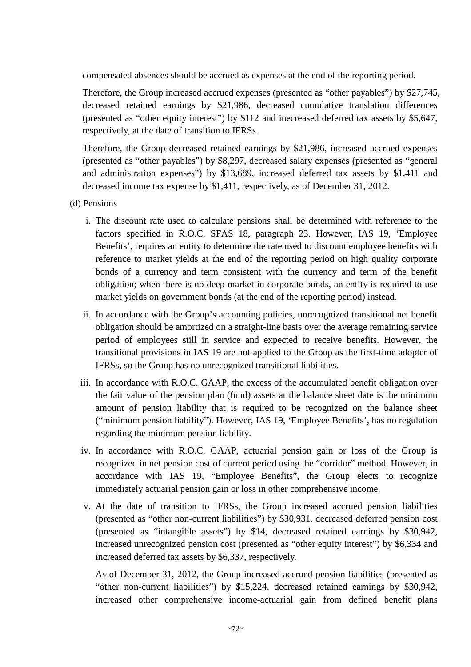compensated absences should be accrued as expenses at the end of the reporting period.

Therefore, the Group increased accrued expenses (presented as "other payables") by \$27,745, decreased retained earnings by \$21,986, decreased cumulative translation differences (presented as "other equity interest") by \$112 and inecreased deferred tax assets by \$5,647, respectively, at the date of transition to IFRSs.

Therefore, the Group decreased retained earnings by \$21,986, increased accrued expenses (presented as "other payables") by \$8,297, decreased salary expenses (presented as "general and administration expenses") by \$13,689, increased deferred tax assets by \$1,411 and decreased income tax expense by \$1,411, respectively, as of December 31, 2012.

(d) Pensions

- i. The discount rate used to calculate pensions shall be determined with reference to the factors specified in R.O.C. SFAS 18, paragraph 23. However, IAS 19, 'Employee Benefits', requires an entity to determine the rate used to discount employee benefits with reference to market yields at the end of the reporting period on high quality corporate bonds of a currency and term consistent with the currency and term of the benefit obligation; when there is no deep market in corporate bonds, an entity is required to use market yields on government bonds (at the end of the reporting period) instead.
- ii. In accordance with the Group's accounting policies, unrecognized transitional net benefit obligation should be amortized on a straight-line basis over the average remaining service period of employees still in service and expected to receive benefits. However, the transitional provisions in IAS 19 are not applied to the Group as the first-time adopter of IFRSs, so the Group has no unrecognized transitional liabilities.
- iii. In accordance with R.O.C. GAAP, the excess of the accumulated benefit obligation over the fair value of the pension plan (fund) assets at the balance sheet date is the minimum amount of pension liability that is required to be recognized on the balance sheet ("minimum pension liability"). However, IAS 19, 'Employee Benefits', has no regulation regarding the minimum pension liability.
- iv. In accordance with R.O.C. GAAP, actuarial pension gain or loss of the Group is recognized in net pension cost of current period using the "corridor" method. However, in accordance with IAS 19, "Employee Benefits", the Group elects to recognize immediately actuarial pension gain or loss in other comprehensive income.
- v. At the date of transition to IFRSs, the Group increased accrued pension liabilities (presented as "other non-current liabilities") by \$30,931, decreased deferred pension cost (presented as "intangible assets") by \$14, decreased retained earnings by \$30,942, increased unrecognized pension cost (presented as "other equity interest") by \$6,334 and increased deferred tax assets by \$6,337, respectively.

As of December 31, 2012, the Group increased accrued pension liabilities (presented as "other non-current liabilities") by \$15,224, decreased retained earnings by \$30,942, increased other comprehensive income-actuarial gain from defined benefit plans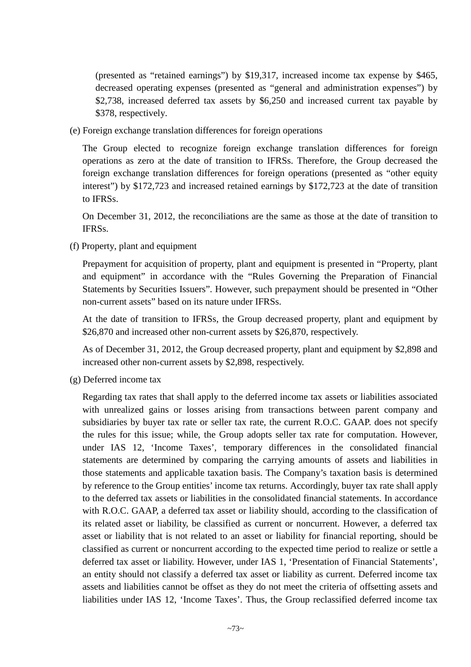(presented as "retained earnings") by \$19,317, increased income tax expense by \$465, decreased operating expenses (presented as "general and administration expenses") by \$2,738, increased deferred tax assets by \$6,250 and increased current tax payable by \$378, respectively.

(e) Foreign exchange translation differences for foreign operations

The Group elected to recognize foreign exchange translation differences for foreign operations as zero at the date of transition to IFRSs. Therefore, the Group decreased the foreign exchange translation differences for foreign operations (presented as "other equity interest") by \$172,723 and increased retained earnings by \$172,723 at the date of transition to IFRSs.

On December 31, 2012, the reconciliations are the same as those at the date of transition to IFRSs.

(f) Property, plant and equipment

Prepayment for acquisition of property, plant and equipment is presented in "Property, plant and equipment" in accordance with the "Rules Governing the Preparation of Financial Statements by Securities Issuers". However, such prepayment should be presented in "Other non-current assets" based on its nature under IFRSs.

At the date of transition to IFRSs, the Group decreased property, plant and equipment by \$26,870 and increased other non-current assets by \$26,870, respectively.

As of December 31, 2012, the Group decreased property, plant and equipment by \$2,898 and increased other non-current assets by \$2,898, respectively.

(g) Deferred income tax

Regarding tax rates that shall apply to the deferred income tax assets or liabilities associated with unrealized gains or losses arising from transactions between parent company and subsidiaries by buyer tax rate or seller tax rate, the current R.O.C. GAAP. does not specify the rules for this issue; while, the Group adopts seller tax rate for computation. However, under IAS 12, 'Income Taxes', temporary differences in the consolidated financial statements are determined by comparing the carrying amounts of assets and liabilities in those statements and applicable taxation basis. The Company's taxation basis is determined by reference to the Group entities' income tax returns. Accordingly, buyer tax rate shall apply to the deferred tax assets or liabilities in the consolidated financial statements. In accordance with R.O.C. GAAP, a deferred tax asset or liability should, according to the classification of its related asset or liability, be classified as current or noncurrent. However, a deferred tax asset or liability that is not related to an asset or liability for financial reporting, should be classified as current or noncurrent according to the expected time period to realize or settle a deferred tax asset or liability. However, under IAS 1, 'Presentation of Financial Statements', an entity should not classify a deferred tax asset or liability as current. Deferred income tax assets and liabilities cannot be offset as they do not meet the criteria of offsetting assets and liabilities under IAS 12, 'Income Taxes'. Thus, the Group reclassified deferred income tax